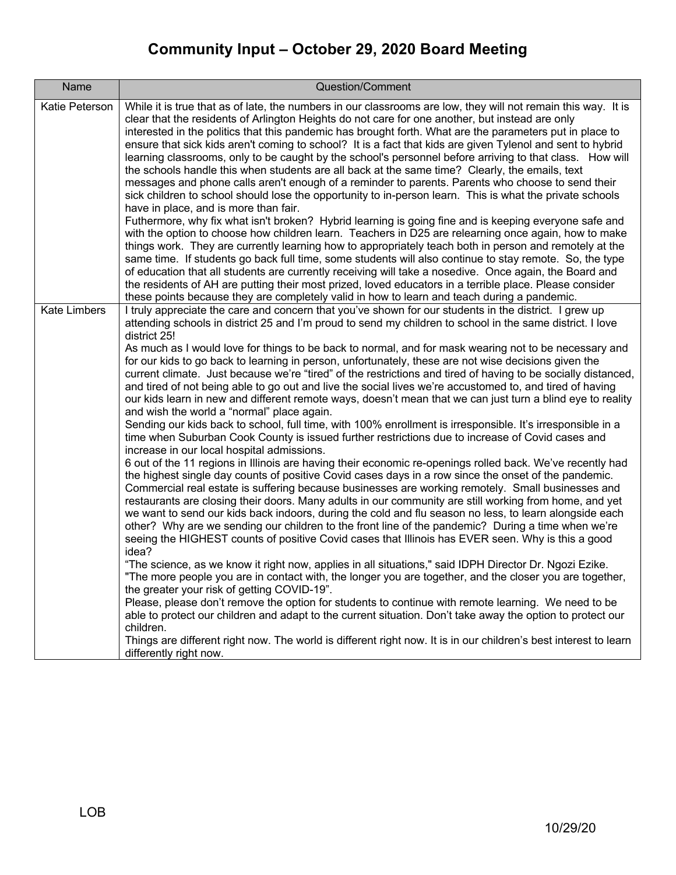| Name                | Question/Comment                                                                                                                                                                                                                                                                                                                                                                                                                                                                                                                                                                                                                                                                                                                                                                                                                                                                                                                                                                                                                                                                                                                                                                                                                                                                                                                                                                                                                                                                                                                                                                                                                                                                                                                                                                                                                                                                                                                                                                                                                                                                                                                                                                                                                                                                                                                                                                                                                                                                                                                   |
|---------------------|------------------------------------------------------------------------------------------------------------------------------------------------------------------------------------------------------------------------------------------------------------------------------------------------------------------------------------------------------------------------------------------------------------------------------------------------------------------------------------------------------------------------------------------------------------------------------------------------------------------------------------------------------------------------------------------------------------------------------------------------------------------------------------------------------------------------------------------------------------------------------------------------------------------------------------------------------------------------------------------------------------------------------------------------------------------------------------------------------------------------------------------------------------------------------------------------------------------------------------------------------------------------------------------------------------------------------------------------------------------------------------------------------------------------------------------------------------------------------------------------------------------------------------------------------------------------------------------------------------------------------------------------------------------------------------------------------------------------------------------------------------------------------------------------------------------------------------------------------------------------------------------------------------------------------------------------------------------------------------------------------------------------------------------------------------------------------------------------------------------------------------------------------------------------------------------------------------------------------------------------------------------------------------------------------------------------------------------------------------------------------------------------------------------------------------------------------------------------------------------------------------------------------------|
| Katie Peterson      | While it is true that as of late, the numbers in our classrooms are low, they will not remain this way. It is<br>clear that the residents of Arlington Heights do not care for one another, but instead are only<br>interested in the politics that this pandemic has brought forth. What are the parameters put in place to<br>ensure that sick kids aren't coming to school? It is a fact that kids are given Tylenol and sent to hybrid<br>learning classrooms, only to be caught by the school's personnel before arriving to that class. How will<br>the schools handle this when students are all back at the same time? Clearly, the emails, text<br>messages and phone calls aren't enough of a reminder to parents. Parents who choose to send their<br>sick children to school should lose the opportunity to in-person learn. This is what the private schools<br>have in place, and is more than fair.<br>Futhermore, why fix what isn't broken? Hybrid learning is going fine and is keeping everyone safe and<br>with the option to choose how children learn. Teachers in D25 are relearning once again, how to make<br>things work. They are currently learning how to appropriately teach both in person and remotely at the<br>same time. If students go back full time, some students will also continue to stay remote. So, the type<br>of education that all students are currently receiving will take a nosedive. Once again, the Board and<br>the residents of AH are putting their most prized, loved educators in a terrible place. Please consider<br>these points because they are completely valid in how to learn and teach during a pandemic.                                                                                                                                                                                                                                                                                                                                                                                                                                                                                                                                                                                                                                                                                                                                                                                                                                                       |
| <b>Kate Limbers</b> | I truly appreciate the care and concern that you've shown for our students in the district. I grew up<br>attending schools in district 25 and I'm proud to send my children to school in the same district. I love<br>district 25!<br>As much as I would love for things to be back to normal, and for mask wearing not to be necessary and<br>for our kids to go back to learning in person, unfortunately, these are not wise decisions given the<br>current climate. Just because we're "tired" of the restrictions and tired of having to be socially distanced,<br>and tired of not being able to go out and live the social lives we're accustomed to, and tired of having<br>our kids learn in new and different remote ways, doesn't mean that we can just turn a blind eye to reality<br>and wish the world a "normal" place again.<br>Sending our kids back to school, full time, with 100% enrollment is irresponsible. It's irresponsible in a<br>time when Suburban Cook County is issued further restrictions due to increase of Covid cases and<br>increase in our local hospital admissions.<br>6 out of the 11 regions in Illinois are having their economic re-openings rolled back. We've recently had<br>the highest single day counts of positive Covid cases days in a row since the onset of the pandemic.<br>Commercial real estate is suffering because businesses are working remotely. Small businesses and<br>restaurants are closing their doors. Many adults in our community are still working from home, and yet<br>we want to send our kids back indoors, during the cold and flu season no less, to learn alongside each<br>other? Why are we sending our children to the front line of the pandemic? During a time when we're<br>seeing the HIGHEST counts of positive Covid cases that Illinois has EVER seen. Why is this a good<br>idea?<br>"The science, as we know it right now, applies in all situations," said IDPH Director Dr. Ngozi Ezike.<br>"The more people you are in contact with, the longer you are together, and the closer you are together,<br>the greater your risk of getting COVID-19".<br>Please, please don't remove the option for students to continue with remote learning. We need to be<br>able to protect our children and adapt to the current situation. Don't take away the option to protect our<br>children.<br>Things are different right now. The world is different right now. It is in our children's best interest to learn<br>differently right now. |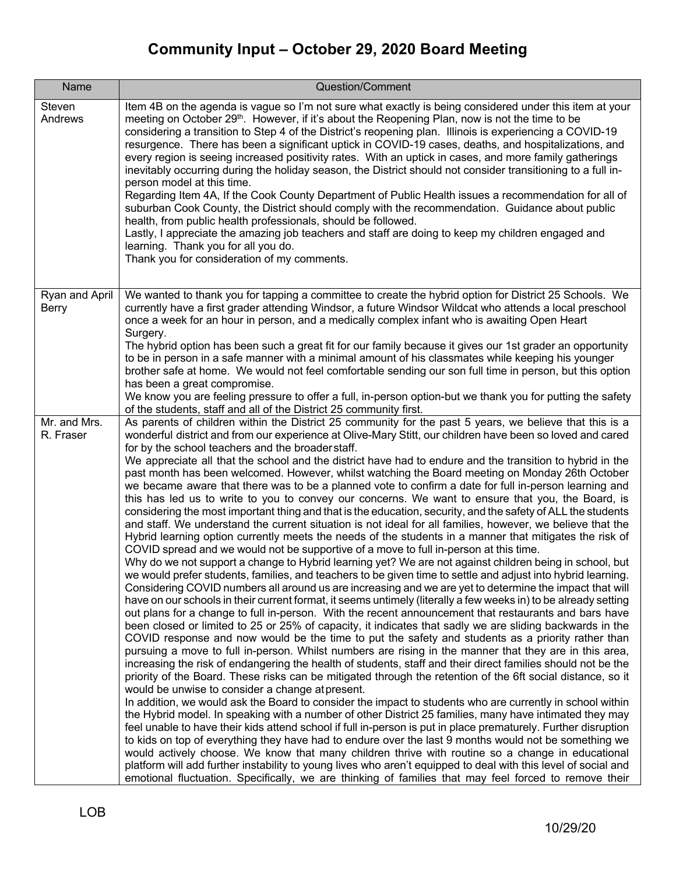| Name                           | Question/Comment                                                                                                                                                                                                                                                                                                                                                                                                                                                                                                                                                                                                                                                                                                                                                                                                                                                                                                                                                                                                                                                                                                                                                                                                                                                                                                                                                                                                                                                                                                                                                                                                                                                                                                                                                                                                                                                                                                                                                                                                                                                                                                                                                                                                                                                                                                                                                                                                                                                                                                                                                                                                                                                                                                                                                                                                                                                                                                                                                                                                                                                                                            |
|--------------------------------|-------------------------------------------------------------------------------------------------------------------------------------------------------------------------------------------------------------------------------------------------------------------------------------------------------------------------------------------------------------------------------------------------------------------------------------------------------------------------------------------------------------------------------------------------------------------------------------------------------------------------------------------------------------------------------------------------------------------------------------------------------------------------------------------------------------------------------------------------------------------------------------------------------------------------------------------------------------------------------------------------------------------------------------------------------------------------------------------------------------------------------------------------------------------------------------------------------------------------------------------------------------------------------------------------------------------------------------------------------------------------------------------------------------------------------------------------------------------------------------------------------------------------------------------------------------------------------------------------------------------------------------------------------------------------------------------------------------------------------------------------------------------------------------------------------------------------------------------------------------------------------------------------------------------------------------------------------------------------------------------------------------------------------------------------------------------------------------------------------------------------------------------------------------------------------------------------------------------------------------------------------------------------------------------------------------------------------------------------------------------------------------------------------------------------------------------------------------------------------------------------------------------------------------------------------------------------------------------------------------------------------------------------------------------------------------------------------------------------------------------------------------------------------------------------------------------------------------------------------------------------------------------------------------------------------------------------------------------------------------------------------------------------------------------------------------------------------------------------------------|
| Steven<br>Andrews              | Item 4B on the agenda is vague so I'm not sure what exactly is being considered under this item at your<br>meeting on October 29 <sup>th</sup> . However, if it's about the Reopening Plan, now is not the time to be<br>considering a transition to Step 4 of the District's reopening plan. Illinois is experiencing a COVID-19<br>resurgence. There has been a significant uptick in COVID-19 cases, deaths, and hospitalizations, and<br>every region is seeing increased positivity rates. With an uptick in cases, and more family gatherings<br>inevitably occurring during the holiday season, the District should not consider transitioning to a full in-<br>person model at this time.<br>Regarding Item 4A, If the Cook County Department of Public Health issues a recommendation for all of<br>suburban Cook County, the District should comply with the recommendation. Guidance about public<br>health, from public health professionals, should be followed.<br>Lastly, I appreciate the amazing job teachers and staff are doing to keep my children engaged and<br>learning. Thank you for all you do.<br>Thank you for consideration of my comments.                                                                                                                                                                                                                                                                                                                                                                                                                                                                                                                                                                                                                                                                                                                                                                                                                                                                                                                                                                                                                                                                                                                                                                                                                                                                                                                                                                                                                                                                                                                                                                                                                                                                                                                                                                                                                                                                                                                                    |
| Ryan and April<br><b>Berry</b> | We wanted to thank you for tapping a committee to create the hybrid option for District 25 Schools. We<br>currently have a first grader attending Windsor, a future Windsor Wildcat who attends a local preschool<br>once a week for an hour in person, and a medically complex infant who is awaiting Open Heart<br>Surgery.<br>The hybrid option has been such a great fit for our family because it gives our 1st grader an opportunity<br>to be in person in a safe manner with a minimal amount of his classmates while keeping his younger<br>brother safe at home. We would not feel comfortable sending our son full time in person, but this option<br>has been a great compromise.<br>We know you are feeling pressure to offer a full, in-person option-but we thank you for putting the safety<br>of the students, staff and all of the District 25 community first.                                                                                                                                                                                                                                                                                                                                                                                                                                                                                                                                                                                                                                                                                                                                                                                                                                                                                                                                                                                                                                                                                                                                                                                                                                                                                                                                                                                                                                                                                                                                                                                                                                                                                                                                                                                                                                                                                                                                                                                                                                                                                                                                                                                                                            |
| Mr. and Mrs.<br>R. Fraser      | As parents of children within the District 25 community for the past 5 years, we believe that this is a<br>wonderful district and from our experience at Olive-Mary Stitt, our children have been so loved and cared<br>for by the school teachers and the broader staff.<br>We appreciate all that the school and the district have had to endure and the transition to hybrid in the<br>past month has been welcomed. However, whilst watching the Board meeting on Monday 26th October<br>we became aware that there was to be a planned vote to confirm a date for full in-person learning and<br>this has led us to write to you to convey our concerns. We want to ensure that you, the Board, is<br>considering the most important thing and that is the education, security, and the safety of ALL the students<br>and staff. We understand the current situation is not ideal for all families, however, we believe that the<br>Hybrid learning option currently meets the needs of the students in a manner that mitigates the risk of<br>COVID spread and we would not be supportive of a move to full in-person at this time.<br>Why do we not support a change to Hybrid learning yet? We are not against children being in school, but<br>we would prefer students, families, and teachers to be given time to settle and adjust into hybrid learning.<br>Considering COVID numbers all around us are increasing and we are yet to determine the impact that will<br>have on our schools in their current format, it seems untimely (literally a few weeks in) to be already setting<br>out plans for a change to full in-person. With the recent announcement that restaurants and bars have<br>been closed or limited to 25 or 25% of capacity, it indicates that sadly we are sliding backwards in the<br>COVID response and now would be the time to put the safety and students as a priority rather than<br>pursuing a move to full in-person. Whilst numbers are rising in the manner that they are in this area,<br>increasing the risk of endangering the health of students, staff and their direct families should not be the<br>priority of the Board. These risks can be mitigated through the retention of the 6ft social distance, so it<br>would be unwise to consider a change at present.<br>In addition, we would ask the Board to consider the impact to students who are currently in school within<br>the Hybrid model. In speaking with a number of other District 25 families, many have intimated they may<br>feel unable to have their kids attend school if full in-person is put in place prematurely. Further disruption<br>to kids on top of everything they have had to endure over the last 9 months would not be something we<br>would actively choose. We know that many children thrive with routine so a change in educational<br>platform will add further instability to young lives who aren't equipped to deal with this level of social and<br>emotional fluctuation. Specifically, we are thinking of families that may feel forced to remove their |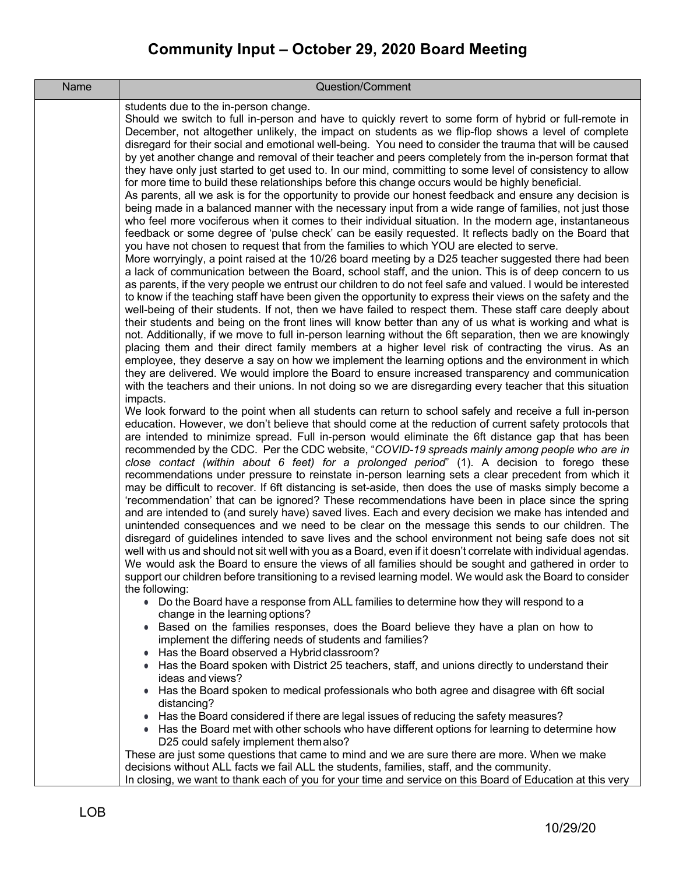| Name | Question/Comment                                                                                                                                                                                                           |
|------|----------------------------------------------------------------------------------------------------------------------------------------------------------------------------------------------------------------------------|
|      | students due to the in-person change.                                                                                                                                                                                      |
|      | Should we switch to full in-person and have to quickly revert to some form of hybrid or full-remote in<br>December, not altogether unlikely, the impact on students as we flip-flop shows a level of complete              |
|      | disregard for their social and emotional well-being. You need to consider the trauma that will be caused                                                                                                                   |
|      | by yet another change and removal of their teacher and peers completely from the in-person format that                                                                                                                     |
|      | they have only just started to get used to. In our mind, committing to some level of consistency to allow                                                                                                                  |
|      | for more time to build these relationships before this change occurs would be highly beneficial.                                                                                                                           |
|      | As parents, all we ask is for the opportunity to provide our honest feedback and ensure any decision is                                                                                                                    |
|      | being made in a balanced manner with the necessary input from a wide range of families, not just those<br>who feel more vociferous when it comes to their individual situation. In the modern age, instantaneous           |
|      | feedback or some degree of 'pulse check' can be easily requested. It reflects badly on the Board that                                                                                                                      |
|      | you have not chosen to request that from the families to which YOU are elected to serve.                                                                                                                                   |
|      | More worryingly, a point raised at the 10/26 board meeting by a D25 teacher suggested there had been                                                                                                                       |
|      | a lack of communication between the Board, school staff, and the union. This is of deep concern to us                                                                                                                      |
|      | as parents, if the very people we entrust our children to do not feel safe and valued. I would be interested<br>to know if the teaching staff have been given the opportunity to express their views on the safety and the |
|      | well-being of their students. If not, then we have failed to respect them. These staff care deeply about                                                                                                                   |
|      | their students and being on the front lines will know better than any of us what is working and what is                                                                                                                    |
|      | not. Additionally, if we move to full in-person learning without the 6ft separation, then we are knowingly                                                                                                                 |
|      | placing them and their direct family members at a higher level risk of contracting the virus. As an                                                                                                                        |
|      | employee, they deserve a say on how we implement the learning options and the environment in which<br>they are delivered. We would implore the Board to ensure increased transparency and communication                    |
|      | with the teachers and their unions. In not doing so we are disregarding every teacher that this situation                                                                                                                  |
|      | impacts.                                                                                                                                                                                                                   |
|      | We look forward to the point when all students can return to school safely and receive a full in-person                                                                                                                    |
|      | education. However, we don't believe that should come at the reduction of current safety protocols that<br>are intended to minimize spread. Full in-person would eliminate the 6ft distance gap that has been              |
|      | recommended by the CDC. Per the CDC website, "COVID-19 spreads mainly among people who are in                                                                                                                              |
|      | close contact (within about 6 feet) for a prolonged period" (1). A decision to forego these                                                                                                                                |
|      | recommendations under pressure to reinstate in-person learning sets a clear precedent from which it                                                                                                                        |
|      | may be difficult to recover. If 6ft distancing is set-aside, then does the use of masks simply become a<br>'recommendation' that can be ignored? These recommendations have been in place since the spring                 |
|      | and are intended to (and surely have) saved lives. Each and every decision we make has intended and                                                                                                                        |
|      | unintended consequences and we need to be clear on the message this sends to our children. The                                                                                                                             |
|      | disregard of guidelines intended to save lives and the school environment not being safe does not sit                                                                                                                      |
|      | well with us and should not sit well with you as a Board, even if it doesn't correlate with individual agendas.                                                                                                            |
|      | We would ask the Board to ensure the views of all families should be sought and gathered in order to<br>support our children before transitioning to a revised learning model. We would ask the Board to consider          |
|      | the following:                                                                                                                                                                                                             |
|      | • Do the Board have a response from ALL families to determine how they will respond to a                                                                                                                                   |
|      | change in the learning options?                                                                                                                                                                                            |
|      | • Based on the families responses, does the Board believe they have a plan on how to<br>implement the differing needs of students and families?                                                                            |
|      | • Has the Board observed a Hybrid classroom?                                                                                                                                                                               |
|      | • Has the Board spoken with District 25 teachers, staff, and unions directly to understand their                                                                                                                           |
|      | ideas and views?                                                                                                                                                                                                           |
|      | • Has the Board spoken to medical professionals who both agree and disagree with 6ft social<br>distancing?                                                                                                                 |
|      | • Has the Board considered if there are legal issues of reducing the safety measures?                                                                                                                                      |
|      | • Has the Board met with other schools who have different options for learning to determine how                                                                                                                            |
|      | D25 could safely implement them also?                                                                                                                                                                                      |
|      | These are just some questions that came to mind and we are sure there are more. When we make                                                                                                                               |
|      | decisions without ALL facts we fail ALL the students, families, staff, and the community.<br>In closing, we want to thank each of you for your time and service on this Board of Education at this very                    |
|      |                                                                                                                                                                                                                            |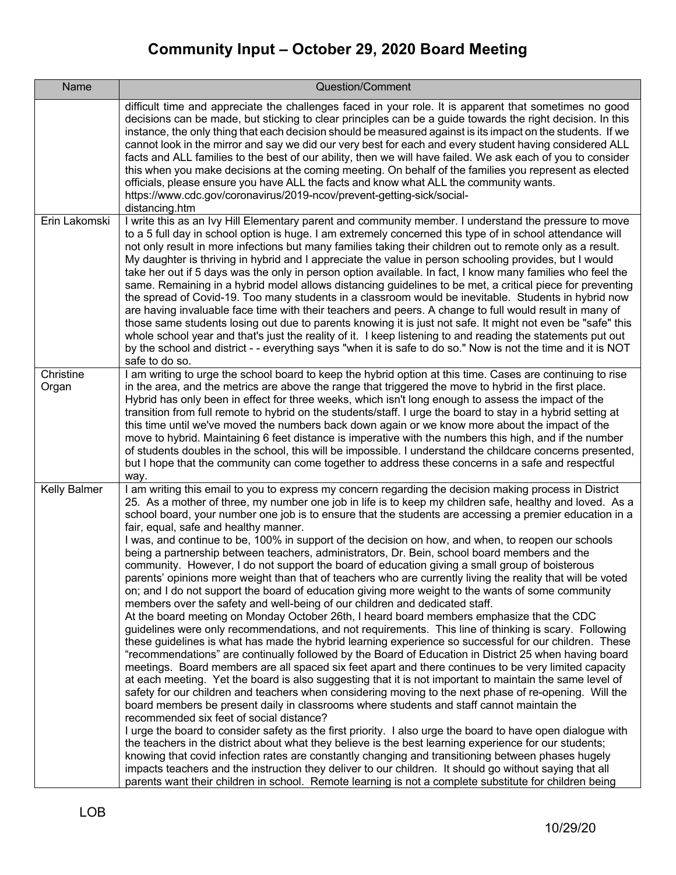| Name               | Question/Comment                                                                                                                                                                                                                                                                                                                                                                                                                                                                                                                                                                                                                                                                                                                                                                                                                                                                                                                                                                                                                                                                                                                                                                                                                                                                                                                                                                                                                                                                                                                                                                                                                                                                                                                                                                                                                                                                                                                                                                                                                                                                                                                                                                                                                                                                                                                                                                                                                       |
|--------------------|----------------------------------------------------------------------------------------------------------------------------------------------------------------------------------------------------------------------------------------------------------------------------------------------------------------------------------------------------------------------------------------------------------------------------------------------------------------------------------------------------------------------------------------------------------------------------------------------------------------------------------------------------------------------------------------------------------------------------------------------------------------------------------------------------------------------------------------------------------------------------------------------------------------------------------------------------------------------------------------------------------------------------------------------------------------------------------------------------------------------------------------------------------------------------------------------------------------------------------------------------------------------------------------------------------------------------------------------------------------------------------------------------------------------------------------------------------------------------------------------------------------------------------------------------------------------------------------------------------------------------------------------------------------------------------------------------------------------------------------------------------------------------------------------------------------------------------------------------------------------------------------------------------------------------------------------------------------------------------------------------------------------------------------------------------------------------------------------------------------------------------------------------------------------------------------------------------------------------------------------------------------------------------------------------------------------------------------------------------------------------------------------------------------------------------------|
|                    | difficult time and appreciate the challenges faced in your role. It is apparent that sometimes no good<br>decisions can be made, but sticking to clear principles can be a guide towards the right decision. In this<br>instance, the only thing that each decision should be measured against is its impact on the students. If we<br>cannot look in the mirror and say we did our very best for each and every student having considered ALL<br>facts and ALL families to the best of our ability, then we will have failed. We ask each of you to consider<br>this when you make decisions at the coming meeting. On behalf of the families you represent as elected<br>officials, please ensure you have ALL the facts and know what ALL the community wants.<br>https://www.cdc.gov/coronavirus/2019-ncov/prevent-getting-sick/social-<br>distancing.htm                                                                                                                                                                                                                                                                                                                                                                                                                                                                                                                                                                                                                                                                                                                                                                                                                                                                                                                                                                                                                                                                                                                                                                                                                                                                                                                                                                                                                                                                                                                                                                          |
| Erin Lakomski      | I write this as an Ivy Hill Elementary parent and community member. I understand the pressure to move<br>to a 5 full day in school option is huge. I am extremely concerned this type of in school attendance will<br>not only result in more infections but many families taking their children out to remote only as a result.<br>My daughter is thriving in hybrid and I appreciate the value in person schooling provides, but I would<br>take her out if 5 days was the only in person option available. In fact, I know many families who feel the<br>same. Remaining in a hybrid model allows distancing guidelines to be met, a critical piece for preventing<br>the spread of Covid-19. Too many students in a classroom would be inevitable. Students in hybrid now<br>are having invaluable face time with their teachers and peers. A change to full would result in many of<br>those same students losing out due to parents knowing it is just not safe. It might not even be "safe" this<br>whole school year and that's just the reality of it. I keep listening to and reading the statements put out<br>by the school and district - - everything says "when it is safe to do so." Now is not the time and it is NOT<br>safe to do so.                                                                                                                                                                                                                                                                                                                                                                                                                                                                                                                                                                                                                                                                                                                                                                                                                                                                                                                                                                                                                                                                                                                                                                               |
| Christine<br>Organ | I am writing to urge the school board to keep the hybrid option at this time. Cases are continuing to rise<br>in the area, and the metrics are above the range that triggered the move to hybrid in the first place.<br>Hybrid has only been in effect for three weeks, which isn't long enough to assess the impact of the<br>transition from full remote to hybrid on the students/staff. I urge the board to stay in a hybrid setting at<br>this time until we've moved the numbers back down again or we know more about the impact of the<br>move to hybrid. Maintaining 6 feet distance is imperative with the numbers this high, and if the number<br>of students doubles in the school, this will be impossible. I understand the childcare concerns presented,<br>but I hope that the community can come together to address these concerns in a safe and respectful<br>way.                                                                                                                                                                                                                                                                                                                                                                                                                                                                                                                                                                                                                                                                                                                                                                                                                                                                                                                                                                                                                                                                                                                                                                                                                                                                                                                                                                                                                                                                                                                                                  |
| Kelly Balmer       | I am writing this email to you to express my concern regarding the decision making process in District<br>25. As a mother of three, my number one job in life is to keep my children safe, healthy and loved. As a<br>school board, your number one job is to ensure that the students are accessing a premier education in a<br>fair, equal, safe and healthy manner.<br>I was, and continue to be, 100% in support of the decision on how, and when, to reopen our schools<br>being a partnership between teachers, administrators, Dr. Bein, school board members and the<br>community. However, I do not support the board of education giving a small group of boisterous<br>parents' opinions more weight than that of teachers who are currently living the reality that will be voted<br>on; and I do not support the board of education giving more weight to the wants of some community<br>members over the safety and well-being of our children and dedicated staff.<br>At the board meeting on Monday October 26th, I heard board members emphasize that the CDC<br>guidelines were only recommendations, and not requirements. This line of thinking is scary. Following<br>these guidelines is what has made the hybrid learning experience so successful for our children. These<br>"recommendations" are continually followed by the Board of Education in District 25 when having board<br>meetings. Board members are all spaced six feet apart and there continues to be very limited capacity<br>at each meeting. Yet the board is also suggesting that it is not important to maintain the same level of<br>safety for our children and teachers when considering moving to the next phase of re-opening. Will the<br>board members be present daily in classrooms where students and staff cannot maintain the<br>recommended six feet of social distance?<br>I urge the board to consider safety as the first priority. I also urge the board to have open dialogue with<br>the teachers in the district about what they believe is the best learning experience for our students;<br>knowing that covid infection rates are constantly changing and transitioning between phases hugely<br>impacts teachers and the instruction they deliver to our children. It should go without saying that all<br>parents want their children in school. Remote learning is not a complete substitute for children being |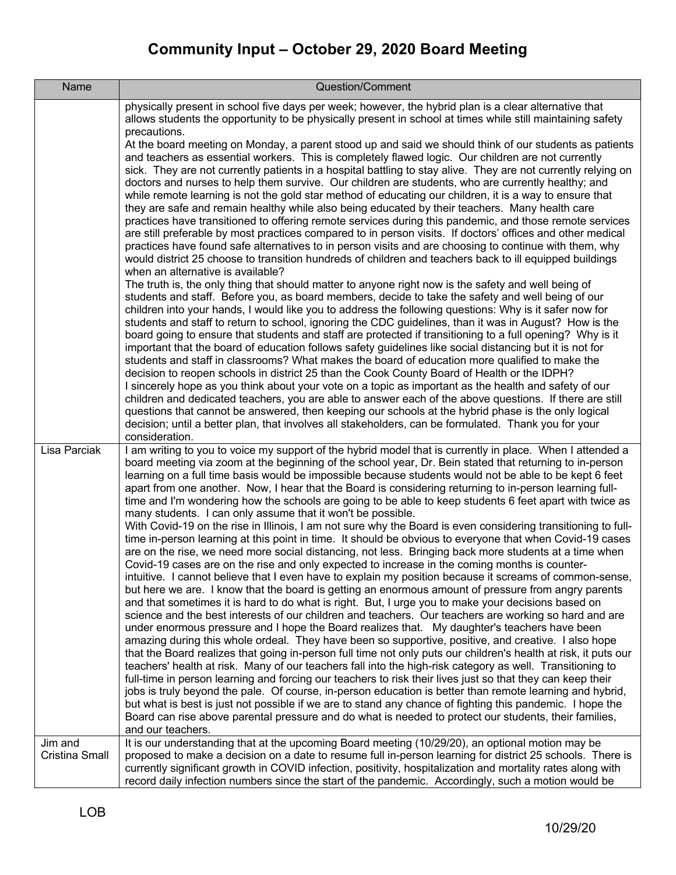| Name                      | Question/Comment                                                                                                                                                                                                                                                                                                                                                                                                                                                                                                                                                                                                                                                                                                                                                                                                                                                                                                                                                                                                                                                                                                                                                                               |
|---------------------------|------------------------------------------------------------------------------------------------------------------------------------------------------------------------------------------------------------------------------------------------------------------------------------------------------------------------------------------------------------------------------------------------------------------------------------------------------------------------------------------------------------------------------------------------------------------------------------------------------------------------------------------------------------------------------------------------------------------------------------------------------------------------------------------------------------------------------------------------------------------------------------------------------------------------------------------------------------------------------------------------------------------------------------------------------------------------------------------------------------------------------------------------------------------------------------------------|
|                           | physically present in school five days per week; however, the hybrid plan is a clear alternative that<br>allows students the opportunity to be physically present in school at times while still maintaining safety<br>precautions.<br>At the board meeting on Monday, a parent stood up and said we should think of our students as patients<br>and teachers as essential workers. This is completely flawed logic. Our children are not currently<br>sick. They are not currently patients in a hospital battling to stay alive. They are not currently relying on<br>doctors and nurses to help them survive. Our children are students, who are currently healthy; and<br>while remote learning is not the gold star method of educating our children, it is a way to ensure that<br>they are safe and remain healthy while also being educated by their teachers. Many health care<br>practices have transitioned to offering remote services during this pandemic, and those remote services                                                                                                                                                                                             |
|                           | are still preferable by most practices compared to in person visits. If doctors' offices and other medical<br>practices have found safe alternatives to in person visits and are choosing to continue with them, why<br>would district 25 choose to transition hundreds of children and teachers back to ill equipped buildings<br>when an alternative is available?<br>The truth is, the only thing that should matter to anyone right now is the safety and well being of<br>students and staff. Before you, as board members, decide to take the safety and well being of our                                                                                                                                                                                                                                                                                                                                                                                                                                                                                                                                                                                                               |
|                           | children into your hands, I would like you to address the following questions: Why is it safer now for<br>students and staff to return to school, ignoring the CDC guidelines, than it was in August? How is the<br>board going to ensure that students and staff are protected if transitioning to a full opening? Why is it<br>important that the board of education follows safety guidelines like social distancing but it is not for<br>students and staff in classrooms? What makes the board of education more qualified to make the<br>decision to reopen schools in district 25 than the Cook County Board of Health or the IDPH?                                                                                                                                                                                                                                                                                                                                                                                                                                                                                                                                                     |
|                           | I sincerely hope as you think about your vote on a topic as important as the health and safety of our<br>children and dedicated teachers, you are able to answer each of the above questions. If there are still<br>questions that cannot be answered, then keeping our schools at the hybrid phase is the only logical<br>decision; until a better plan, that involves all stakeholders, can be formulated. Thank you for your<br>consideration.                                                                                                                                                                                                                                                                                                                                                                                                                                                                                                                                                                                                                                                                                                                                              |
| Lisa Parciak              | I am writing to you to voice my support of the hybrid model that is currently in place. When I attended a<br>board meeting via zoom at the beginning of the school year, Dr. Bein stated that returning to in-person<br>learning on a full time basis would be impossible because students would not be able to be kept 6 feet<br>apart from one another. Now, I hear that the Board is considering returning to in-person learning full-<br>time and I'm wondering how the schools are going to be able to keep students 6 feet apart with twice as<br>many students. I can only assume that it won't be possible.                                                                                                                                                                                                                                                                                                                                                                                                                                                                                                                                                                            |
|                           | With Covid-19 on the rise in Illinois, I am not sure why the Board is even considering transitioning to full-<br>time in-person learning at this point in time. It should be obvious to everyone that when Covid-19 cases<br>are on the rise, we need more social distancing, not less. Bringing back more students at a time when<br>Covid-19 cases are on the rise and only expected to increase in the coming months is counter-<br>intuitive. I cannot believe that I even have to explain my position because it screams of common-sense,<br>but here we are. I know that the board is getting an enormous amount of pressure from angry parents<br>and that sometimes it is hard to do what is right. But, I urge you to make your decisions based on<br>science and the best interests of our children and teachers. Our teachers are working so hard and are<br>under enormous pressure and I hope the Board realizes that. My daughter's teachers have been<br>amazing during this whole ordeal. They have been so supportive, positive, and creative. I also hope<br>that the Board realizes that going in-person full time not only puts our children's health at risk, it puts our |
|                           | teachers' health at risk. Many of our teachers fall into the high-risk category as well. Transitioning to<br>full-time in person learning and forcing our teachers to risk their lives just so that they can keep their<br>jobs is truly beyond the pale. Of course, in-person education is better than remote learning and hybrid,<br>but what is best is just not possible if we are to stand any chance of fighting this pandemic. I hope the<br>Board can rise above parental pressure and do what is needed to protect our students, their families,<br>and our teachers.                                                                                                                                                                                                                                                                                                                                                                                                                                                                                                                                                                                                                 |
| Jim and<br>Cristina Small | It is our understanding that at the upcoming Board meeting (10/29/20), an optional motion may be<br>proposed to make a decision on a date to resume full in-person learning for district 25 schools. There is<br>currently significant growth in COVID infection, positivity, hospitalization and mortality rates along with<br>record daily infection numbers since the start of the pandemic. Accordingly, such a motion would be                                                                                                                                                                                                                                                                                                                                                                                                                                                                                                                                                                                                                                                                                                                                                            |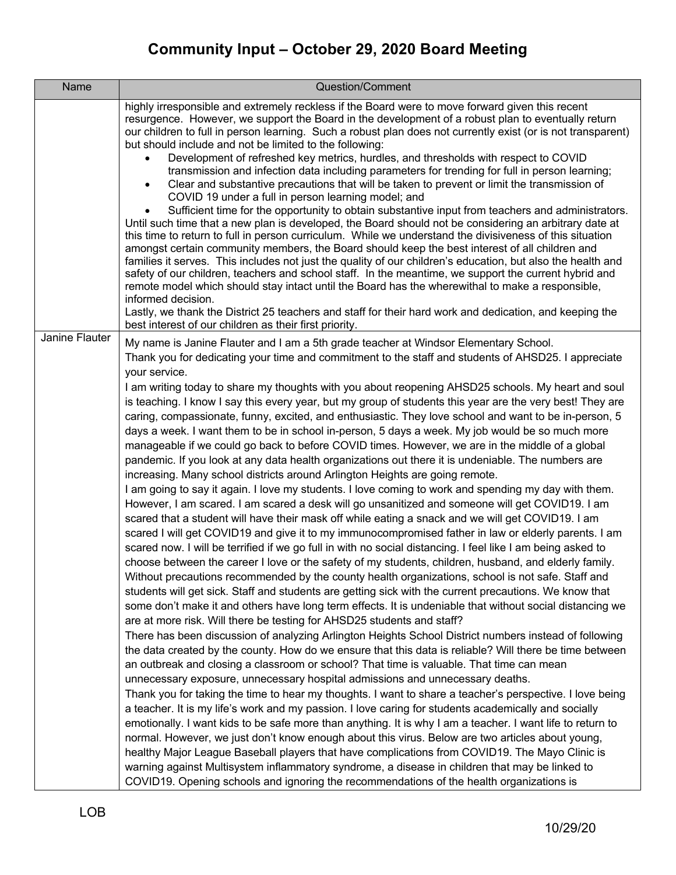| Name           | Question/Comment                                                                                                                                                                                                                                                                                                                                                                                                                                                                                                                                                                                                                                                                                                                                                                                                                                                                                                                                                                                                                                                                                                                                                                                                                                                                                                                                                                                                                                                                                                                                                                                                                                                                                                                                                                                                                                                                                                                                                                                                                                                                                                                                                                                                                                                                                                                                                                                                                                                                                                                                                                                                                                                                                                                                                                                                                                                                                                                                                                                                                                                                                                                                                                           |
|----------------|--------------------------------------------------------------------------------------------------------------------------------------------------------------------------------------------------------------------------------------------------------------------------------------------------------------------------------------------------------------------------------------------------------------------------------------------------------------------------------------------------------------------------------------------------------------------------------------------------------------------------------------------------------------------------------------------------------------------------------------------------------------------------------------------------------------------------------------------------------------------------------------------------------------------------------------------------------------------------------------------------------------------------------------------------------------------------------------------------------------------------------------------------------------------------------------------------------------------------------------------------------------------------------------------------------------------------------------------------------------------------------------------------------------------------------------------------------------------------------------------------------------------------------------------------------------------------------------------------------------------------------------------------------------------------------------------------------------------------------------------------------------------------------------------------------------------------------------------------------------------------------------------------------------------------------------------------------------------------------------------------------------------------------------------------------------------------------------------------------------------------------------------------------------------------------------------------------------------------------------------------------------------------------------------------------------------------------------------------------------------------------------------------------------------------------------------------------------------------------------------------------------------------------------------------------------------------------------------------------------------------------------------------------------------------------------------------------------------------------------------------------------------------------------------------------------------------------------------------------------------------------------------------------------------------------------------------------------------------------------------------------------------------------------------------------------------------------------------------------------------------------------------------------------------------------------------|
|                | highly irresponsible and extremely reckless if the Board were to move forward given this recent<br>resurgence. However, we support the Board in the development of a robust plan to eventually return<br>our children to full in person learning. Such a robust plan does not currently exist (or is not transparent)<br>but should include and not be limited to the following:<br>Development of refreshed key metrics, hurdles, and thresholds with respect to COVID<br>$\bullet$<br>transmission and infection data including parameters for trending for full in person learning;<br>Clear and substantive precautions that will be taken to prevent or limit the transmission of<br>$\bullet$<br>COVID 19 under a full in person learning model; and<br>Sufficient time for the opportunity to obtain substantive input from teachers and administrators.<br>Until such time that a new plan is developed, the Board should not be considering an arbitrary date at<br>this time to return to full in person curriculum. While we understand the divisiveness of this situation<br>amongst certain community members, the Board should keep the best interest of all children and<br>families it serves. This includes not just the quality of our children's education, but also the health and<br>safety of our children, teachers and school staff. In the meantime, we support the current hybrid and<br>remote model which should stay intact until the Board has the wherewithal to make a responsible,<br>informed decision.<br>Lastly, we thank the District 25 teachers and staff for their hard work and dedication, and keeping the                                                                                                                                                                                                                                                                                                                                                                                                                                                                                                                                                                                                                                                                                                                                                                                                                                                                                                                                                                                                                                                                                                                                                                                                                                                                                                                                                                                                                                                                                                                                       |
| Janine Flauter | best interest of our children as their first priority.<br>My name is Janine Flauter and I am a 5th grade teacher at Windsor Elementary School.<br>Thank you for dedicating your time and commitment to the staff and students of AHSD25. I appreciate<br>your service.<br>I am writing today to share my thoughts with you about reopening AHSD25 schools. My heart and soul<br>is teaching. I know I say this every year, but my group of students this year are the very best! They are<br>caring, compassionate, funny, excited, and enthusiastic. They love school and want to be in-person, 5<br>days a week. I want them to be in school in-person, 5 days a week. My job would be so much more<br>manageable if we could go back to before COVID times. However, we are in the middle of a global<br>pandemic. If you look at any data health organizations out there it is undeniable. The numbers are<br>increasing. Many school districts around Arlington Heights are going remote.<br>I am going to say it again. I love my students. I love coming to work and spending my day with them.<br>However, I am scared. I am scared a desk will go unsanitized and someone will get COVID19. I am<br>scared that a student will have their mask off while eating a snack and we will get COVID19. I am<br>scared I will get COVID19 and give it to my immunocompromised father in law or elderly parents. I am<br>scared now. I will be terrified if we go full in with no social distancing. I feel like I am being asked to<br>choose between the career I love or the safety of my students, children, husband, and elderly family.<br>Without precautions recommended by the county health organizations, school is not safe. Staff and<br>students will get sick. Staff and students are getting sick with the current precautions. We know that<br>some don't make it and others have long term effects. It is undeniable that without social distancing we<br>are at more risk. Will there be testing for AHSD25 students and staff?<br>There has been discussion of analyzing Arlington Heights School District numbers instead of following<br>the data created by the county. How do we ensure that this data is reliable? Will there be time between<br>an outbreak and closing a classroom or school? That time is valuable. That time can mean<br>unnecessary exposure, unnecessary hospital admissions and unnecessary deaths.<br>Thank you for taking the time to hear my thoughts. I want to share a teacher's perspective. I love being<br>a teacher. It is my life's work and my passion. I love caring for students academically and socially<br>emotionally. I want kids to be safe more than anything. It is why I am a teacher. I want life to return to<br>normal. However, we just don't know enough about this virus. Below are two articles about young,<br>healthy Major League Baseball players that have complications from COVID19. The Mayo Clinic is<br>warning against Multisystem inflammatory syndrome, a disease in children that may be linked to<br>COVID19. Opening schools and ignoring the recommendations of the health organizations is |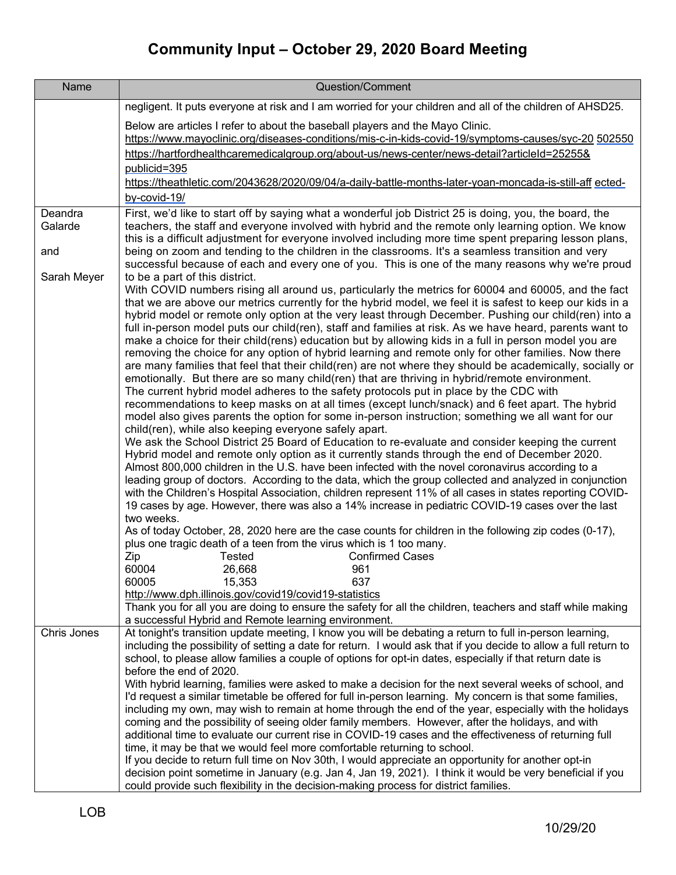| Name               | Question/Comment                                                                                                                                                                                                                                                                                                        |
|--------------------|-------------------------------------------------------------------------------------------------------------------------------------------------------------------------------------------------------------------------------------------------------------------------------------------------------------------------|
|                    | negligent. It puts everyone at risk and I am worried for your children and all of the children of AHSD25.                                                                                                                                                                                                               |
|                    | Below are articles I refer to about the baseball players and the Mayo Clinic.<br>https://www.mayoclinic.org/diseases-conditions/mis-c-in-kids-covid-19/symptoms-causes/syc-20 502550                                                                                                                                    |
|                    | https://hartfordhealthcaremedicalgroup.org/about-us/news-center/news-detail?articleId=25255&<br>publicid=395                                                                                                                                                                                                            |
|                    | https://theathletic.com/2043628/2020/09/04/a-daily-battle-months-later-yoan-moncada-is-still-aff ected-                                                                                                                                                                                                                 |
|                    | by-covid-19/                                                                                                                                                                                                                                                                                                            |
| Deandra<br>Galarde | First, we'd like to start off by saying what a wonderful job District 25 is doing, you, the board, the<br>teachers, the staff and everyone involved with hybrid and the remote only learning option. We know<br>this is a difficult adjustment for everyone involved including more time spent preparing lesson plans,  |
| and                | being on zoom and tending to the children in the classrooms. It's a seamless transition and very<br>successful because of each and every one of you. This is one of the many reasons why we're proud                                                                                                                    |
| Sarah Meyer        | to be a part of this district.                                                                                                                                                                                                                                                                                          |
|                    | With COVID numbers rising all around us, particularly the metrics for 60004 and 60005, and the fact<br>that we are above our metrics currently for the hybrid model, we feel it is safest to keep our kids in a<br>hybrid model or remote only option at the very least through December. Pushing our child(ren) into a |
|                    | full in-person model puts our child(ren), staff and families at risk. As we have heard, parents want to                                                                                                                                                                                                                 |
|                    | make a choice for their child(rens) education but by allowing kids in a full in person model you are<br>removing the choice for any option of hybrid learning and remote only for other families. Now there                                                                                                             |
|                    | are many families that feel that their child(ren) are not where they should be academically, socially or<br>emotionally. But there are so many child(ren) that are thriving in hybrid/remote environment.                                                                                                               |
|                    | The current hybrid model adheres to the safety protocols put in place by the CDC with                                                                                                                                                                                                                                   |
|                    | recommendations to keep masks on at all times (except lunch/snack) and 6 feet apart. The hybrid                                                                                                                                                                                                                         |
|                    | model also gives parents the option for some in-person instruction; something we all want for our<br>child(ren), while also keeping everyone safely apart.                                                                                                                                                              |
|                    | We ask the School District 25 Board of Education to re-evaluate and consider keeping the current<br>Hybrid model and remote only option as it currently stands through the end of December 2020.                                                                                                                        |
|                    | Almost 800,000 children in the U.S. have been infected with the novel coronavirus according to a                                                                                                                                                                                                                        |
|                    | leading group of doctors. According to the data, which the group collected and analyzed in conjunction<br>with the Children's Hospital Association, children represent 11% of all cases in states reporting COVID-<br>19 cases by age. However, there was also a 14% increase in pediatric COVID-19 cases over the last |
|                    | two weeks.                                                                                                                                                                                                                                                                                                              |
|                    | As of today October, 28, 2020 here are the case counts for children in the following zip codes (0-17),<br>plus one tragic death of a teen from the virus which is 1 too many.                                                                                                                                           |
|                    | Tested<br><b>Confirmed Cases</b><br>Zip                                                                                                                                                                                                                                                                                 |
|                    | 60004<br>26,668<br>961<br>60005<br>15,353<br>637                                                                                                                                                                                                                                                                        |
|                    | http://www.dph.illinois.gov/covid19/covid19-statistics                                                                                                                                                                                                                                                                  |
|                    | Thank you for all you are doing to ensure the safety for all the children, teachers and staff while making<br>a successful Hybrid and Remote learning environment.                                                                                                                                                      |
| Chris Jones        | At tonight's transition update meeting, I know you will be debating a return to full in-person learning,<br>including the possibility of setting a date for return. I would ask that if you decide to allow a full return to                                                                                            |
|                    | school, to please allow families a couple of options for opt-in dates, especially if that return date is<br>before the end of 2020.                                                                                                                                                                                     |
|                    | With hybrid learning, families were asked to make a decision for the next several weeks of school, and                                                                                                                                                                                                                  |
|                    | I'd request a similar timetable be offered for full in-person learning. My concern is that some families,                                                                                                                                                                                                               |
|                    | including my own, may wish to remain at home through the end of the year, especially with the holidays<br>coming and the possibility of seeing older family members. However, after the holidays, and with                                                                                                              |
|                    | additional time to evaluate our current rise in COVID-19 cases and the effectiveness of returning full                                                                                                                                                                                                                  |
|                    | time, it may be that we would feel more comfortable returning to school.                                                                                                                                                                                                                                                |
|                    | If you decide to return full time on Nov 30th, I would appreciate an opportunity for another opt-in<br>decision point sometime in January (e.g. Jan 4, Jan 19, 2021). I think it would be very beneficial if you                                                                                                        |
|                    | could provide such flexibility in the decision-making process for district families.                                                                                                                                                                                                                                    |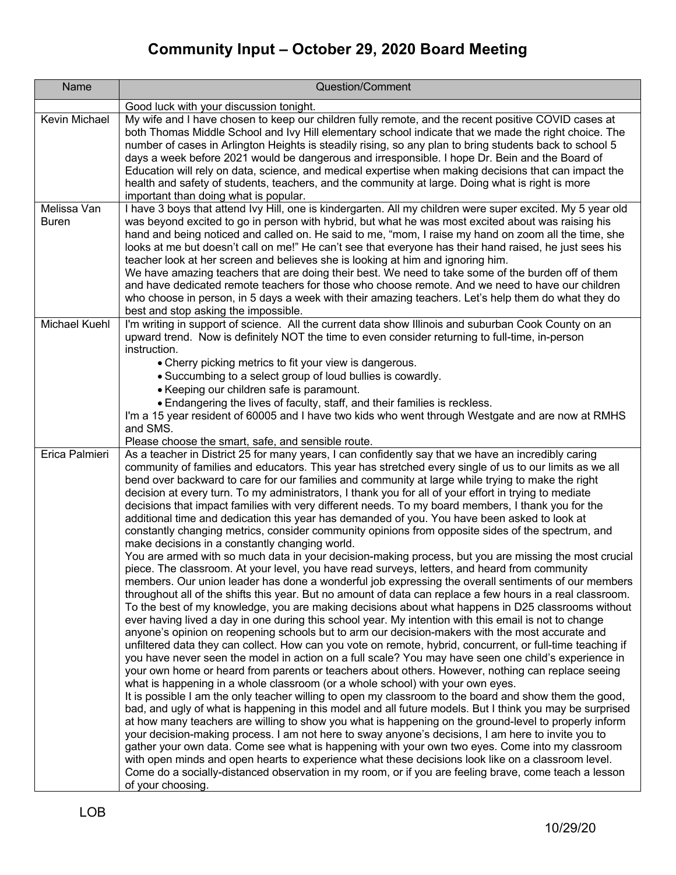| Name                        | Question/Comment                                                                                                                                                                                                                                                                                                                                                                                                                                                                                                                                                                                                                                                                                                                                                                                                                                                                                                                                                                                                                                                                                                                                                                                                                                                                                                                                                                                                                                                                                                                                                                                                                                                                                                                                                                                                                                                                                                                                                                                                                                                                                                                                                                                                                                                                                                                                                                                                                                                                                                                                                                                                                                                                                                                    |
|-----------------------------|-------------------------------------------------------------------------------------------------------------------------------------------------------------------------------------------------------------------------------------------------------------------------------------------------------------------------------------------------------------------------------------------------------------------------------------------------------------------------------------------------------------------------------------------------------------------------------------------------------------------------------------------------------------------------------------------------------------------------------------------------------------------------------------------------------------------------------------------------------------------------------------------------------------------------------------------------------------------------------------------------------------------------------------------------------------------------------------------------------------------------------------------------------------------------------------------------------------------------------------------------------------------------------------------------------------------------------------------------------------------------------------------------------------------------------------------------------------------------------------------------------------------------------------------------------------------------------------------------------------------------------------------------------------------------------------------------------------------------------------------------------------------------------------------------------------------------------------------------------------------------------------------------------------------------------------------------------------------------------------------------------------------------------------------------------------------------------------------------------------------------------------------------------------------------------------------------------------------------------------------------------------------------------------------------------------------------------------------------------------------------------------------------------------------------------------------------------------------------------------------------------------------------------------------------------------------------------------------------------------------------------------------------------------------------------------------------------------------------------------|
|                             | Good luck with your discussion tonight.                                                                                                                                                                                                                                                                                                                                                                                                                                                                                                                                                                                                                                                                                                                                                                                                                                                                                                                                                                                                                                                                                                                                                                                                                                                                                                                                                                                                                                                                                                                                                                                                                                                                                                                                                                                                                                                                                                                                                                                                                                                                                                                                                                                                                                                                                                                                                                                                                                                                                                                                                                                                                                                                                             |
| Kevin Michael               | My wife and I have chosen to keep our children fully remote, and the recent positive COVID cases at<br>both Thomas Middle School and Ivy Hill elementary school indicate that we made the right choice. The<br>number of cases in Arlington Heights is steadily rising, so any plan to bring students back to school 5<br>days a week before 2021 would be dangerous and irresponsible. I hope Dr. Bein and the Board of<br>Education will rely on data, science, and medical expertise when making decisions that can impact the<br>health and safety of students, teachers, and the community at large. Doing what is right is more<br>important than doing what is popular.                                                                                                                                                                                                                                                                                                                                                                                                                                                                                                                                                                                                                                                                                                                                                                                                                                                                                                                                                                                                                                                                                                                                                                                                                                                                                                                                                                                                                                                                                                                                                                                                                                                                                                                                                                                                                                                                                                                                                                                                                                                      |
| Melissa Van<br><b>Buren</b> | I have 3 boys that attend Ivy Hill, one is kindergarten. All my children were super excited. My 5 year old<br>was beyond excited to go in person with hybrid, but what he was most excited about was raising his<br>hand and being noticed and called on. He said to me, "mom, I raise my hand on zoom all the time, she<br>looks at me but doesn't call on me!" He can't see that everyone has their hand raised, he just sees his<br>teacher look at her screen and believes she is looking at him and ignoring him.<br>We have amazing teachers that are doing their best. We need to take some of the burden off of them<br>and have dedicated remote teachers for those who choose remote. And we need to have our children<br>who choose in person, in 5 days a week with their amazing teachers. Let's help them do what they do<br>best and stop asking the impossible.                                                                                                                                                                                                                                                                                                                                                                                                                                                                                                                                                                                                                                                                                                                                                                                                                                                                                                                                                                                                                                                                                                                                                                                                                                                                                                                                                                                                                                                                                                                                                                                                                                                                                                                                                                                                                                                     |
| <b>Michael Kuehl</b>        | I'm writing in support of science. All the current data show Illinois and suburban Cook County on an<br>upward trend. Now is definitely NOT the time to even consider returning to full-time, in-person<br>instruction.<br>• Cherry picking metrics to fit your view is dangerous.<br>• Succumbing to a select group of loud bullies is cowardly.<br>• Keeping our children safe is paramount.<br>• Endangering the lives of faculty, staff, and their families is reckless.<br>I'm a 15 year resident of 60005 and I have two kids who went through Westgate and are now at RMHS<br>and SMS.<br>Please choose the smart, safe, and sensible route.                                                                                                                                                                                                                                                                                                                                                                                                                                                                                                                                                                                                                                                                                                                                                                                                                                                                                                                                                                                                                                                                                                                                                                                                                                                                                                                                                                                                                                                                                                                                                                                                                                                                                                                                                                                                                                                                                                                                                                                                                                                                                 |
| Erica Palmieri              | As a teacher in District 25 for many years, I can confidently say that we have an incredibly caring<br>community of families and educators. This year has stretched every single of us to our limits as we all<br>bend over backward to care for our families and community at large while trying to make the right<br>decision at every turn. To my administrators, I thank you for all of your effort in trying to mediate<br>decisions that impact families with very different needs. To my board members, I thank you for the<br>additional time and dedication this year has demanded of you. You have been asked to look at<br>constantly changing metrics, consider community opinions from opposite sides of the spectrum, and<br>make decisions in a constantly changing world.<br>You are armed with so much data in your decision-making process, but you are missing the most crucial<br>piece. The classroom. At your level, you have read surveys, letters, and heard from community<br>members. Our union leader has done a wonderful job expressing the overall sentiments of our members<br>throughout all of the shifts this year. But no amount of data can replace a few hours in a real classroom.<br>To the best of my knowledge, you are making decisions about what happens in D25 classrooms without<br>ever having lived a day in one during this school year. My intention with this email is not to change<br>anyone's opinion on reopening schools but to arm our decision-makers with the most accurate and<br>unfiltered data they can collect. How can you vote on remote, hybrid, concurrent, or full-time teaching if<br>you have never seen the model in action on a full scale? You may have seen one child's experience in<br>your own home or heard from parents or teachers about others. However, nothing can replace seeing<br>what is happening in a whole classroom (or a whole school) with your own eyes.<br>It is possible I am the only teacher willing to open my classroom to the board and show them the good,<br>bad, and ugly of what is happening in this model and all future models. But I think you may be surprised<br>at how many teachers are willing to show you what is happening on the ground-level to properly inform<br>your decision-making process. I am not here to sway anyone's decisions, I am here to invite you to<br>gather your own data. Come see what is happening with your own two eyes. Come into my classroom<br>with open minds and open hearts to experience what these decisions look like on a classroom level.<br>Come do a socially-distanced observation in my room, or if you are feeling brave, come teach a lesson<br>of your choosing. |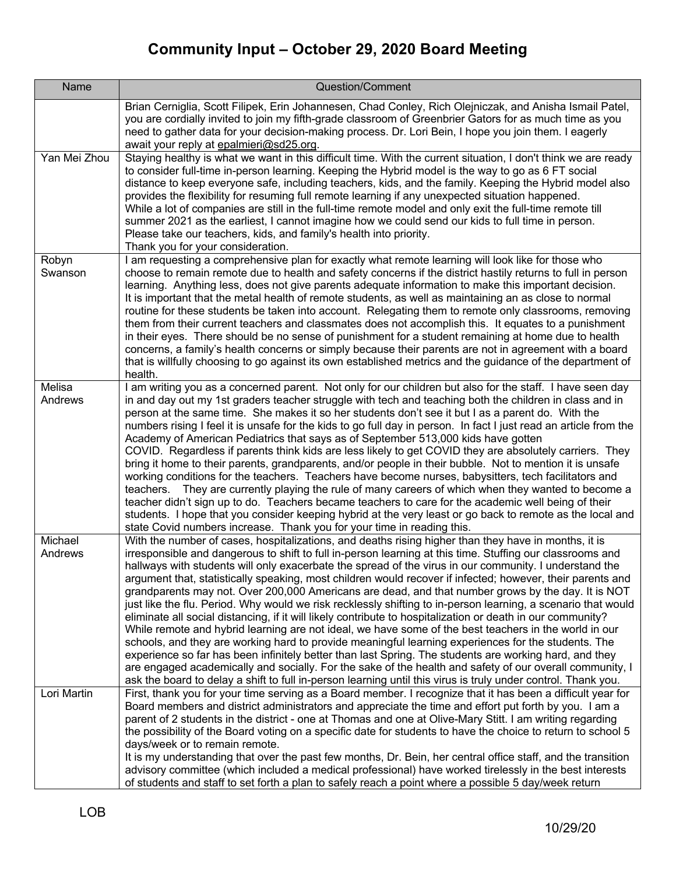| Name               | Question/Comment                                                                                                                                                                                                                                                                                                                                                                                                                                                                                                                                                                                                                                                                                                                                                                                                                                                                                                                                                                                                                                                                                                                                                                                                                                                                                                                       |
|--------------------|----------------------------------------------------------------------------------------------------------------------------------------------------------------------------------------------------------------------------------------------------------------------------------------------------------------------------------------------------------------------------------------------------------------------------------------------------------------------------------------------------------------------------------------------------------------------------------------------------------------------------------------------------------------------------------------------------------------------------------------------------------------------------------------------------------------------------------------------------------------------------------------------------------------------------------------------------------------------------------------------------------------------------------------------------------------------------------------------------------------------------------------------------------------------------------------------------------------------------------------------------------------------------------------------------------------------------------------|
|                    | Brian Cerniglia, Scott Filipek, Erin Johannesen, Chad Conley, Rich Olejniczak, and Anisha Ismail Patel,<br>you are cordially invited to join my fifth-grade classroom of Greenbrier Gators for as much time as you<br>need to gather data for your decision-making process. Dr. Lori Bein, I hope you join them. I eagerly<br>await your reply at epalmieri@sd25.org.                                                                                                                                                                                                                                                                                                                                                                                                                                                                                                                                                                                                                                                                                                                                                                                                                                                                                                                                                                  |
| Yan Mei Zhou       | Staying healthy is what we want in this difficult time. With the current situation, I don't think we are ready<br>to consider full-time in-person learning. Keeping the Hybrid model is the way to go as 6 FT social<br>distance to keep everyone safe, including teachers, kids, and the family. Keeping the Hybrid model also<br>provides the flexibility for resuming full remote learning if any unexpected situation happened.<br>While a lot of companies are still in the full-time remote model and only exit the full-time remote till<br>summer 2021 as the earliest, I cannot imagine how we could send our kids to full time in person.<br>Please take our teachers, kids, and family's health into priority.<br>Thank you for your consideration.                                                                                                                                                                                                                                                                                                                                                                                                                                                                                                                                                                         |
| Robyn<br>Swanson   | I am requesting a comprehensive plan for exactly what remote learning will look like for those who<br>choose to remain remote due to health and safety concerns if the district hastily returns to full in person<br>learning. Anything less, does not give parents adequate information to make this important decision.<br>It is important that the metal health of remote students, as well as maintaining an as close to normal<br>routine for these students be taken into account. Relegating them to remote only classrooms, removing<br>them from their current teachers and classmates does not accomplish this. It equates to a punishment<br>in their eyes. There should be no sense of punishment for a student remaining at home due to health<br>concerns, a family's health concerns or simply because their parents are not in agreement with a board<br>that is willfully choosing to go against its own established metrics and the guidance of the department of<br>health.                                                                                                                                                                                                                                                                                                                                         |
| Melisa<br>Andrews  | I am writing you as a concerned parent. Not only for our children but also for the staff. I have seen day<br>in and day out my 1st graders teacher struggle with tech and teaching both the children in class and in<br>person at the same time. She makes it so her students don't see it but I as a parent do. With the<br>numbers rising I feel it is unsafe for the kids to go full day in person. In fact I just read an article from the<br>Academy of American Pediatrics that says as of September 513,000 kids have gotten<br>COVID. Regardless if parents think kids are less likely to get COVID they are absolutely carriers. They<br>bring it home to their parents, grandparents, and/or people in their bubble. Not to mention it is unsafe<br>working conditions for the teachers. Teachers have become nurses, babysitters, tech facilitators and<br>They are currently playing the rule of many careers of which when they wanted to become a<br>teachers.<br>teacher didn't sign up to do. Teachers became teachers to care for the academic well being of their<br>students. I hope that you consider keeping hybrid at the very least or go back to remote as the local and<br>state Covid numbers increase. Thank you for your time in reading this.                                                             |
| Michael<br>Andrews | With the number of cases, hospitalizations, and deaths rising higher than they have in months, it is<br>irresponsible and dangerous to shift to full in-person learning at this time. Stuffing our classrooms and<br>hallways with students will only exacerbate the spread of the virus in our community. I understand the<br>argument that, statistically speaking, most children would recover if infected; however, their parents and<br>grandparents may not. Over 200,000 Americans are dead, and that number grows by the day. It is NOT<br>just like the flu. Period. Why would we risk recklessly shifting to in-person learning, a scenario that would<br>eliminate all social distancing, if it will likely contribute to hospitalization or death in our community?<br>While remote and hybrid learning are not ideal, we have some of the best teachers in the world in our<br>schools, and they are working hard to provide meaningful learning experiences for the students. The<br>experience so far has been infinitely better than last Spring. The students are working hard, and they<br>are engaged academically and socially. For the sake of the health and safety of our overall community, I<br>ask the board to delay a shift to full in-person learning until this virus is truly under control. Thank you. |
| Lori Martin        | First, thank you for your time serving as a Board member. I recognize that it has been a difficult year for<br>Board members and district administrators and appreciate the time and effort put forth by you. I am a<br>parent of 2 students in the district - one at Thomas and one at Olive-Mary Stitt. I am writing regarding<br>the possibility of the Board voting on a specific date for students to have the choice to return to school 5<br>days/week or to remain remote.<br>It is my understanding that over the past few months, Dr. Bein, her central office staff, and the transition<br>advisory committee (which included a medical professional) have worked tirelessly in the best interests<br>of students and staff to set forth a plan to safely reach a point where a possible 5 day/week return                                                                                                                                                                                                                                                                                                                                                                                                                                                                                                                  |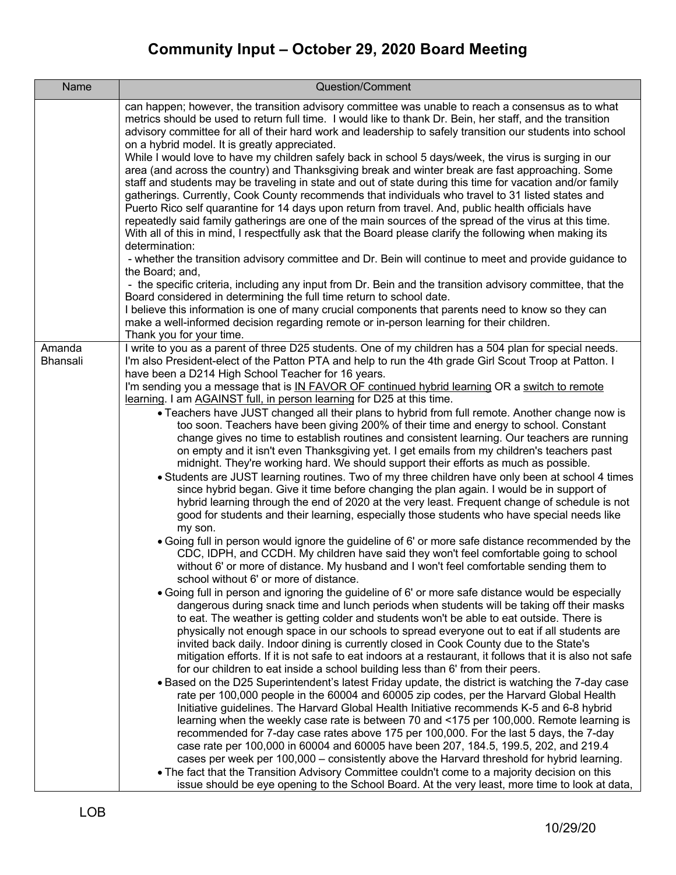| Name<br>Question/Comment                                                                                                                                                                                           |  |
|--------------------------------------------------------------------------------------------------------------------------------------------------------------------------------------------------------------------|--|
| can happen; however, the transition advisory committee was unable to reach a consensus as to what                                                                                                                  |  |
| metrics should be used to return full time. I would like to thank Dr. Bein, her staff, and the transition                                                                                                          |  |
| advisory committee for all of their hard work and leadership to safely transition our students into school                                                                                                         |  |
| on a hybrid model. It is greatly appreciated.                                                                                                                                                                      |  |
| While I would love to have my children safely back in school 5 days/week, the virus is surging in our                                                                                                              |  |
| area (and across the country) and Thanksgiving break and winter break are fast approaching. Some                                                                                                                   |  |
| staff and students may be traveling in state and out of state during this time for vacation and/or family                                                                                                          |  |
| gatherings. Currently, Cook County recommends that individuals who travel to 31 listed states and                                                                                                                  |  |
| Puerto Rico self quarantine for 14 days upon return from travel. And, public health officials have                                                                                                                 |  |
| repeatedly said family gatherings are one of the main sources of the spread of the virus at this time.<br>With all of this in mind, I respectfully ask that the Board please clarify the following when making its |  |
| determination:                                                                                                                                                                                                     |  |
| - whether the transition advisory committee and Dr. Bein will continue to meet and provide guidance to                                                                                                             |  |
| the Board; and,                                                                                                                                                                                                    |  |
| - the specific criteria, including any input from Dr. Bein and the transition advisory committee, that the                                                                                                         |  |
| Board considered in determining the full time return to school date.                                                                                                                                               |  |
| I believe this information is one of many crucial components that parents need to know so they can                                                                                                                 |  |
| make a well-informed decision regarding remote or in-person learning for their children.                                                                                                                           |  |
| Thank you for your time.                                                                                                                                                                                           |  |
| I write to you as a parent of three D25 students. One of my children has a 504 plan for special needs.<br>Amanda<br>Bhansali                                                                                       |  |
| I'm also President-elect of the Patton PTA and help to run the 4th grade Girl Scout Troop at Patton. I<br>have been a D214 High School Teacher for 16 years.                                                       |  |
| I'm sending you a message that is IN FAVOR OF continued hybrid learning OR a switch to remote                                                                                                                      |  |
| learning. I am AGAINST full, in person learning for D25 at this time.                                                                                                                                              |  |
| • Teachers have JUST changed all their plans to hybrid from full remote. Another change now is                                                                                                                     |  |
| too soon. Teachers have been giving 200% of their time and energy to school. Constant                                                                                                                              |  |
| change gives no time to establish routines and consistent learning. Our teachers are running                                                                                                                       |  |
| on empty and it isn't even Thanksgiving yet. I get emails from my children's teachers past                                                                                                                         |  |
| midnight. They're working hard. We should support their efforts as much as possible.                                                                                                                               |  |
| • Students are JUST learning routines. Two of my three children have only been at school 4 times<br>since hybrid began. Give it time before changing the plan again. I would be in support of                      |  |
| hybrid learning through the end of 2020 at the very least. Frequent change of schedule is not                                                                                                                      |  |
| good for students and their learning, especially those students who have special needs like                                                                                                                        |  |
| my son.                                                                                                                                                                                                            |  |
| • Going full in person would ignore the guideline of 6' or more safe distance recommended by the                                                                                                                   |  |
| CDC, IDPH, and CCDH. My children have said they won't feel comfortable going to school                                                                                                                             |  |
| without 6' or more of distance. My husband and I won't feel comfortable sending them to                                                                                                                            |  |
| school without 6' or more of distance.                                                                                                                                                                             |  |
| • Going full in person and ignoring the guideline of 6' or more safe distance would be especially                                                                                                                  |  |
| dangerous during snack time and lunch periods when students will be taking off their masks                                                                                                                         |  |
| to eat. The weather is getting colder and students won't be able to eat outside. There is<br>physically not enough space in our schools to spread everyone out to eat if all students are                          |  |
| invited back daily. Indoor dining is currently closed in Cook County due to the State's                                                                                                                            |  |
| mitigation efforts. If it is not safe to eat indoors at a restaurant, it follows that it is also not safe                                                                                                          |  |
| for our children to eat inside a school building less than 6' from their peers.                                                                                                                                    |  |
| • Based on the D25 Superintendent's latest Friday update, the district is watching the 7-day case                                                                                                                  |  |
| rate per 100,000 people in the 60004 and 60005 zip codes, per the Harvard Global Health                                                                                                                            |  |
| Initiative guidelines. The Harvard Global Health Initiative recommends K-5 and 6-8 hybrid                                                                                                                          |  |
| learning when the weekly case rate is between 70 and <175 per 100,000. Remote learning is                                                                                                                          |  |
| recommended for 7-day case rates above 175 per 100,000. For the last 5 days, the 7-day                                                                                                                             |  |
| case rate per 100,000 in 60004 and 60005 have been 207, 184.5, 199.5, 202, and 219.4                                                                                                                               |  |
| cases per week per 100,000 - consistently above the Harvard threshold for hybrid learning.                                                                                                                         |  |
| • The fact that the Transition Advisory Committee couldn't come to a majority decision on this<br>issue should be eye opening to the School Board. At the very least, more time to look at data,                   |  |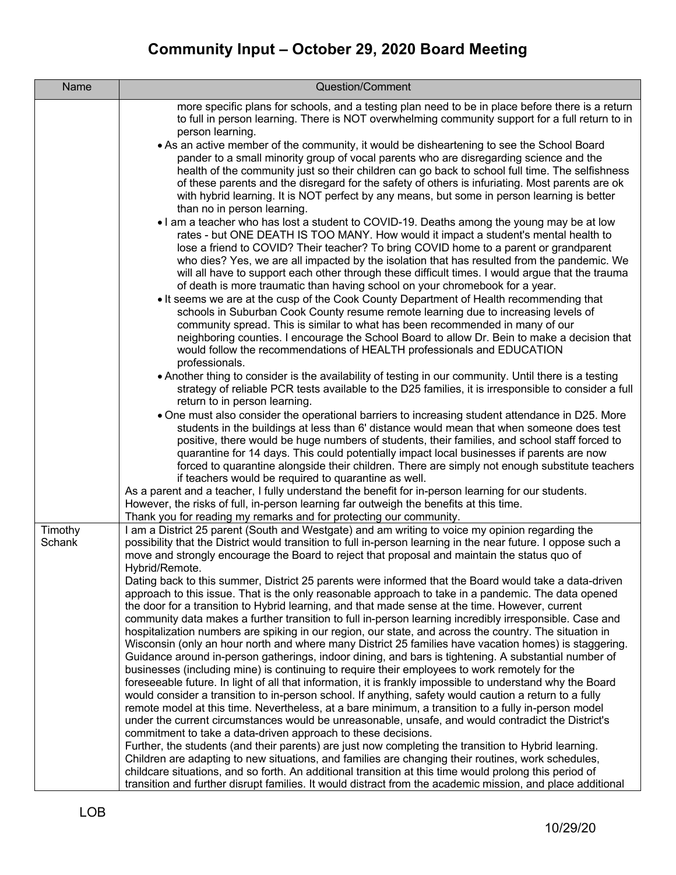| Name              | Question/Comment                                                                                                                                                                                                                                                                                                                                                                                                                                                                                                                                                                                                                                                                                                                                                                                                                                                                                                                                                                                                                                                                                                                                                                                                                                                                                                                                                                                                                                                     |
|-------------------|----------------------------------------------------------------------------------------------------------------------------------------------------------------------------------------------------------------------------------------------------------------------------------------------------------------------------------------------------------------------------------------------------------------------------------------------------------------------------------------------------------------------------------------------------------------------------------------------------------------------------------------------------------------------------------------------------------------------------------------------------------------------------------------------------------------------------------------------------------------------------------------------------------------------------------------------------------------------------------------------------------------------------------------------------------------------------------------------------------------------------------------------------------------------------------------------------------------------------------------------------------------------------------------------------------------------------------------------------------------------------------------------------------------------------------------------------------------------|
|                   | more specific plans for schools, and a testing plan need to be in place before there is a return<br>to full in person learning. There is NOT overwhelming community support for a full return to in<br>person learning.                                                                                                                                                                                                                                                                                                                                                                                                                                                                                                                                                                                                                                                                                                                                                                                                                                                                                                                                                                                                                                                                                                                                                                                                                                              |
|                   | • As an active member of the community, it would be disheartening to see the School Board<br>pander to a small minority group of vocal parents who are disregarding science and the<br>health of the community just so their children can go back to school full time. The selfishness<br>of these parents and the disregard for the safety of others is infuriating. Most parents are ok<br>with hybrid learning. It is NOT perfect by any means, but some in person learning is better<br>than no in person learning.                                                                                                                                                                                                                                                                                                                                                                                                                                                                                                                                                                                                                                                                                                                                                                                                                                                                                                                                              |
|                   | I am a teacher who has lost a student to COVID-19. Deaths among the young may be at low<br>rates - but ONE DEATH IS TOO MANY. How would it impact a student's mental health to<br>lose a friend to COVID? Their teacher? To bring COVID home to a parent or grandparent<br>who dies? Yes, we are all impacted by the isolation that has resulted from the pandemic. We<br>will all have to support each other through these difficult times. I would argue that the trauma<br>of death is more traumatic than having school on your chromebook for a year.                                                                                                                                                                                                                                                                                                                                                                                                                                                                                                                                                                                                                                                                                                                                                                                                                                                                                                           |
|                   | It seems we are at the cusp of the Cook County Department of Health recommending that<br>schools in Suburban Cook County resume remote learning due to increasing levels of<br>community spread. This is similar to what has been recommended in many of our<br>neighboring counties. I encourage the School Board to allow Dr. Bein to make a decision that<br>would follow the recommendations of HEALTH professionals and EDUCATION<br>professionals.                                                                                                                                                                                                                                                                                                                                                                                                                                                                                                                                                                                                                                                                                                                                                                                                                                                                                                                                                                                                             |
|                   | • Another thing to consider is the availability of testing in our community. Until there is a testing<br>strategy of reliable PCR tests available to the D25 families, it is irresponsible to consider a full<br>return to in person learning.                                                                                                                                                                                                                                                                                                                                                                                                                                                                                                                                                                                                                                                                                                                                                                                                                                                                                                                                                                                                                                                                                                                                                                                                                       |
|                   | • One must also consider the operational barriers to increasing student attendance in D25. More<br>students in the buildings at less than 6' distance would mean that when someone does test<br>positive, there would be huge numbers of students, their families, and school staff forced to<br>quarantine for 14 days. This could potentially impact local businesses if parents are now<br>forced to quarantine alongside their children. There are simply not enough substitute teachers<br>if teachers would be required to quarantine as well.                                                                                                                                                                                                                                                                                                                                                                                                                                                                                                                                                                                                                                                                                                                                                                                                                                                                                                                 |
|                   | As a parent and a teacher, I fully understand the benefit for in-person learning for our students.<br>However, the risks of full, in-person learning far outweigh the benefits at this time.<br>Thank you for reading my remarks and for protecting our community.                                                                                                                                                                                                                                                                                                                                                                                                                                                                                                                                                                                                                                                                                                                                                                                                                                                                                                                                                                                                                                                                                                                                                                                                   |
| Timothy<br>Schank | I am a District 25 parent (South and Westgate) and am writing to voice my opinion regarding the<br>possibility that the District would transition to full in-person learning in the near future. I oppose such a<br>move and strongly encourage the Board to reject that proposal and maintain the status quo of<br>Hybrid/Remote.                                                                                                                                                                                                                                                                                                                                                                                                                                                                                                                                                                                                                                                                                                                                                                                                                                                                                                                                                                                                                                                                                                                                   |
|                   | Dating back to this summer, District 25 parents were informed that the Board would take a data-driven<br>approach to this issue. That is the only reasonable approach to take in a pandemic. The data opened<br>the door for a transition to Hybrid learning, and that made sense at the time. However, current<br>community data makes a further transition to full in-person learning incredibly irresponsible. Case and<br>hospitalization numbers are spiking in our region, our state, and across the country. The situation in<br>Wisconsin (only an hour north and where many District 25 families have vacation homes) is staggering.<br>Guidance around in-person gatherings, indoor dining, and bars is tightening. A substantial number of<br>businesses (including mine) is continuing to require their employees to work remotely for the<br>foreseeable future. In light of all that information, it is frankly impossible to understand why the Board<br>would consider a transition to in-person school. If anything, safety would caution a return to a fully<br>remote model at this time. Nevertheless, at a bare minimum, a transition to a fully in-person model<br>under the current circumstances would be unreasonable, unsafe, and would contradict the District's<br>commitment to take a data-driven approach to these decisions.<br>Further, the students (and their parents) are just now completing the transition to Hybrid learning. |
|                   | Children are adapting to new situations, and families are changing their routines, work schedules,<br>childcare situations, and so forth. An additional transition at this time would prolong this period of<br>transition and further disrupt families. It would distract from the academic mission, and place additional                                                                                                                                                                                                                                                                                                                                                                                                                                                                                                                                                                                                                                                                                                                                                                                                                                                                                                                                                                                                                                                                                                                                           |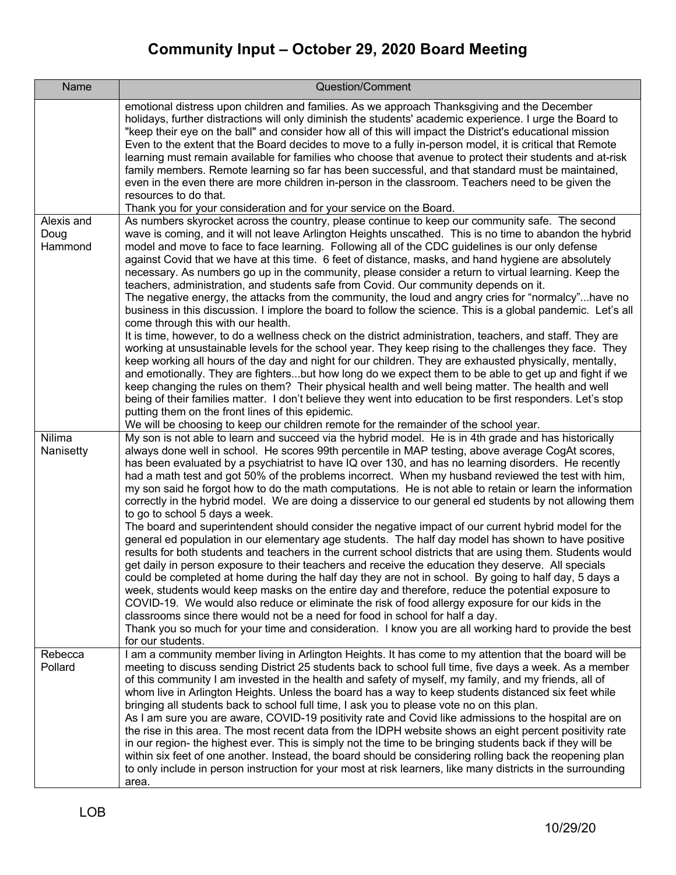| Name                          | Question/Comment                                                                                                                                                                                                                                                                                                                                                                                                                                                                                                                                                                                                                                                                                                                                                                                                                                                                                                                                                                                                                                                                                                                                                                                                                                                                                                                                                                                                                                                                                                                                                                                                                                          |
|-------------------------------|-----------------------------------------------------------------------------------------------------------------------------------------------------------------------------------------------------------------------------------------------------------------------------------------------------------------------------------------------------------------------------------------------------------------------------------------------------------------------------------------------------------------------------------------------------------------------------------------------------------------------------------------------------------------------------------------------------------------------------------------------------------------------------------------------------------------------------------------------------------------------------------------------------------------------------------------------------------------------------------------------------------------------------------------------------------------------------------------------------------------------------------------------------------------------------------------------------------------------------------------------------------------------------------------------------------------------------------------------------------------------------------------------------------------------------------------------------------------------------------------------------------------------------------------------------------------------------------------------------------------------------------------------------------|
|                               | emotional distress upon children and families. As we approach Thanksgiving and the December<br>holidays, further distractions will only diminish the students' academic experience. I urge the Board to<br>"keep their eye on the ball" and consider how all of this will impact the District's educational mission<br>Even to the extent that the Board decides to move to a fully in-person model, it is critical that Remote<br>learning must remain available for families who choose that avenue to protect their students and at-risk<br>family members. Remote learning so far has been successful, and that standard must be maintained,<br>even in the even there are more children in-person in the classroom. Teachers need to be given the<br>resources to do that.<br>Thank you for your consideration and for your service on the Board.                                                                                                                                                                                                                                                                                                                                                                                                                                                                                                                                                                                                                                                                                                                                                                                                    |
| Alexis and<br>Doug<br>Hammond | As numbers skyrocket across the country, please continue to keep our community safe. The second<br>wave is coming, and it will not leave Arlington Heights unscathed. This is no time to abandon the hybrid<br>model and move to face to face learning. Following all of the CDC guidelines is our only defense<br>against Covid that we have at this time. 6 feet of distance, masks, and hand hygiene are absolutely<br>necessary. As numbers go up in the community, please consider a return to virtual learning. Keep the<br>teachers, administration, and students safe from Covid. Our community depends on it.<br>The negative energy, the attacks from the community, the loud and angry cries for "normalcy"have no<br>business in this discussion. I implore the board to follow the science. This is a global pandemic. Let's all<br>come through this with our health.<br>It is time, however, to do a wellness check on the district administration, teachers, and staff. They are<br>working at unsustainable levels for the school year. They keep rising to the challenges they face. They<br>keep working all hours of the day and night for our children. They are exhausted physically, mentally,<br>and emotionally. They are fightersbut how long do we expect them to be able to get up and fight if we                                                                                                                                                                                                                                                                                                                            |
|                               | keep changing the rules on them? Their physical health and well being matter. The health and well<br>being of their families matter. I don't believe they went into education to be first responders. Let's stop<br>putting them on the front lines of this epidemic.<br>We will be choosing to keep our children remote for the remainder of the school year.                                                                                                                                                                                                                                                                                                                                                                                                                                                                                                                                                                                                                                                                                                                                                                                                                                                                                                                                                                                                                                                                                                                                                                                                                                                                                            |
| Nilima<br>Nanisetty           | My son is not able to learn and succeed via the hybrid model. He is in 4th grade and has historically<br>always done well in school. He scores 99th percentile in MAP testing, above average CogAt scores,<br>has been evaluated by a psychiatrist to have IQ over 130, and has no learning disorders. He recently<br>had a math test and got 50% of the problems incorrect. When my husband reviewed the test with him,<br>my son said he forgot how to do the math computations. He is not able to retain or learn the information<br>correctly in the hybrid model. We are doing a disservice to our general ed students by not allowing them<br>to go to school 5 days a week.<br>The board and superintendent should consider the negative impact of our current hybrid model for the<br>general ed population in our elementary age students. The half day model has shown to have positive<br>results for both students and teachers in the current school districts that are using them. Students would<br>get daily in person exposure to their teachers and receive the education they deserve. All specials<br>could be completed at home during the half day they are not in school. By going to half day, 5 days a<br>week, students would keep masks on the entire day and therefore, reduce the potential exposure to<br>COVID-19. We would also reduce or eliminate the risk of food allergy exposure for our kids in the<br>classrooms since there would not be a need for food in school for half a day.<br>Thank you so much for your time and consideration. I know you are all working hard to provide the best<br>for our students. |
| Rebecca<br>Pollard            | I am a community member living in Arlington Heights. It has come to my attention that the board will be<br>meeting to discuss sending District 25 students back to school full time, five days a week. As a member<br>of this community I am invested in the health and safety of myself, my family, and my friends, all of<br>whom live in Arlington Heights. Unless the board has a way to keep students distanced six feet while<br>bringing all students back to school full time, I ask you to please vote no on this plan.<br>As I am sure you are aware, COVID-19 positivity rate and Covid like admissions to the hospital are on<br>the rise in this area. The most recent data from the IDPH website shows an eight percent positivity rate<br>in our region- the highest ever. This is simply not the time to be bringing students back if they will be<br>within six feet of one another. Instead, the board should be considering rolling back the reopening plan<br>to only include in person instruction for your most at risk learners, like many districts in the surrounding<br>area.                                                                                                                                                                                                                                                                                                                                                                                                                                                                                                                                                   |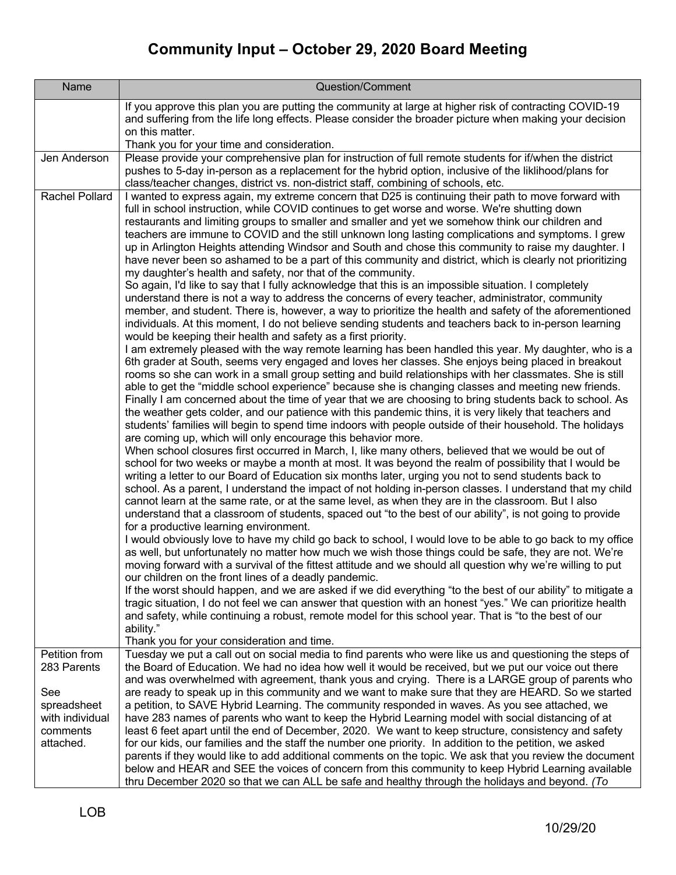| Name                                                                                           | Question/Comment                                                                                                                                                                                                                                                                                                                                                                                                                                                                                                                                                                                                                                                                                                                                                                                                                                                                                                                                                                                                                                                                                                                                                                                                                                                                                                                                                                                                                                                                                                                                                                                                                                                                                                                                                                                                                                                                                                                                                                                                                                                                                                                                                                                                                                                                                                                                                                                                                                                                                                                                                                                                                                                                                                                                                                                                                                                                                                                                                                                                                                                                                                                                                                                                                                                                                                                                                                                                                                                                                                                             |
|------------------------------------------------------------------------------------------------|----------------------------------------------------------------------------------------------------------------------------------------------------------------------------------------------------------------------------------------------------------------------------------------------------------------------------------------------------------------------------------------------------------------------------------------------------------------------------------------------------------------------------------------------------------------------------------------------------------------------------------------------------------------------------------------------------------------------------------------------------------------------------------------------------------------------------------------------------------------------------------------------------------------------------------------------------------------------------------------------------------------------------------------------------------------------------------------------------------------------------------------------------------------------------------------------------------------------------------------------------------------------------------------------------------------------------------------------------------------------------------------------------------------------------------------------------------------------------------------------------------------------------------------------------------------------------------------------------------------------------------------------------------------------------------------------------------------------------------------------------------------------------------------------------------------------------------------------------------------------------------------------------------------------------------------------------------------------------------------------------------------------------------------------------------------------------------------------------------------------------------------------------------------------------------------------------------------------------------------------------------------------------------------------------------------------------------------------------------------------------------------------------------------------------------------------------------------------------------------------------------------------------------------------------------------------------------------------------------------------------------------------------------------------------------------------------------------------------------------------------------------------------------------------------------------------------------------------------------------------------------------------------------------------------------------------------------------------------------------------------------------------------------------------------------------------------------------------------------------------------------------------------------------------------------------------------------------------------------------------------------------------------------------------------------------------------------------------------------------------------------------------------------------------------------------------------------------------------------------------------------------------------------------------|
|                                                                                                | If you approve this plan you are putting the community at large at higher risk of contracting COVID-19<br>and suffering from the life long effects. Please consider the broader picture when making your decision<br>on this matter.<br>Thank you for your time and consideration.                                                                                                                                                                                                                                                                                                                                                                                                                                                                                                                                                                                                                                                                                                                                                                                                                                                                                                                                                                                                                                                                                                                                                                                                                                                                                                                                                                                                                                                                                                                                                                                                                                                                                                                                                                                                                                                                                                                                                                                                                                                                                                                                                                                                                                                                                                                                                                                                                                                                                                                                                                                                                                                                                                                                                                                                                                                                                                                                                                                                                                                                                                                                                                                                                                                           |
| Jen Anderson                                                                                   | Please provide your comprehensive plan for instruction of full remote students for if/when the district<br>pushes to 5-day in-person as a replacement for the hybrid option, inclusive of the liklihood/plans for<br>class/teacher changes, district vs. non-district staff, combining of schools, etc.                                                                                                                                                                                                                                                                                                                                                                                                                                                                                                                                                                                                                                                                                                                                                                                                                                                                                                                                                                                                                                                                                                                                                                                                                                                                                                                                                                                                                                                                                                                                                                                                                                                                                                                                                                                                                                                                                                                                                                                                                                                                                                                                                                                                                                                                                                                                                                                                                                                                                                                                                                                                                                                                                                                                                                                                                                                                                                                                                                                                                                                                                                                                                                                                                                      |
| Rachel Pollard                                                                                 | I wanted to express again, my extreme concern that D25 is continuing their path to move forward with<br>full in school instruction, while COVID continues to get worse and worse. We're shutting down<br>restaurants and limiting groups to smaller and smaller and yet we somehow think our children and<br>teachers are immune to COVID and the still unknown long lasting complications and symptoms. I grew<br>up in Arlington Heights attending Windsor and South and chose this community to raise my daughter. I<br>have never been so ashamed to be a part of this community and district, which is clearly not prioritizing<br>my daughter's health and safety, nor that of the community.<br>So again, I'd like to say that I fully acknowledge that this is an impossible situation. I completely<br>understand there is not a way to address the concerns of every teacher, administrator, community<br>member, and student. There is, however, a way to prioritize the health and safety of the aforementioned<br>individuals. At this moment, I do not believe sending students and teachers back to in-person learning<br>would be keeping their health and safety as a first priority.<br>I am extremely pleased with the way remote learning has been handled this year. My daughter, who is a<br>6th grader at South, seems very engaged and loves her classes. She enjoys being placed in breakout<br>rooms so she can work in a small group setting and build relationships with her classmates. She is still<br>able to get the "middle school experience" because she is changing classes and meeting new friends.<br>Finally I am concerned about the time of year that we are choosing to bring students back to school. As<br>the weather gets colder, and our patience with this pandemic thins, it is very likely that teachers and<br>students' families will begin to spend time indoors with people outside of their household. The holidays<br>are coming up, which will only encourage this behavior more.<br>When school closures first occurred in March, I, like many others, believed that we would be out of<br>school for two weeks or maybe a month at most. It was beyond the realm of possibility that I would be<br>writing a letter to our Board of Education six months later, urging you not to send students back to<br>school. As a parent, I understand the impact of not holding in-person classes. I understand that my child<br>cannot learn at the same rate, or at the same level, as when they are in the classroom. But I also<br>understand that a classroom of students, spaced out "to the best of our ability", is not going to provide<br>for a productive learning environment.<br>I would obviously love to have my child go back to school, I would love to be able to go back to my office<br>as well, but unfortunately no matter how much we wish those things could be safe, they are not. We're<br>moving forward with a survival of the fittest attitude and we should all question why we're willing to put<br>our children on the front lines of a deadly pandemic.<br>If the worst should happen, and we are asked if we did everything "to the best of our ability" to mitigate a<br>tragic situation, I do not feel we can answer that question with an honest "yes." We can prioritize health<br>and safety, while continuing a robust, remote model for this school year. That is "to the best of our<br>ability."<br>Thank you for your consideration and time. |
| Petition from<br>283 Parents<br>See<br>spreadsheet<br>with individual<br>comments<br>attached. | Tuesday we put a call out on social media to find parents who were like us and questioning the steps of<br>the Board of Education. We had no idea how well it would be received, but we put our voice out there<br>and was overwhelmed with agreement, thank yous and crying. There is a LARGE group of parents who<br>are ready to speak up in this community and we want to make sure that they are HEARD. So we started<br>a petition, to SAVE Hybrid Learning. The community responded in waves. As you see attached, we<br>have 283 names of parents who want to keep the Hybrid Learning model with social distancing of at<br>least 6 feet apart until the end of December, 2020. We want to keep structure, consistency and safety<br>for our kids, our families and the staff the number one priority. In addition to the petition, we asked<br>parents if they would like to add additional comments on the topic. We ask that you review the document                                                                                                                                                                                                                                                                                                                                                                                                                                                                                                                                                                                                                                                                                                                                                                                                                                                                                                                                                                                                                                                                                                                                                                                                                                                                                                                                                                                                                                                                                                                                                                                                                                                                                                                                                                                                                                                                                                                                                                                                                                                                                                                                                                                                                                                                                                                                                                                                                                                                                                                                                                             |
|                                                                                                | below and HEAR and SEE the voices of concern from this community to keep Hybrid Learning available<br>thru December 2020 so that we can ALL be safe and healthy through the holidays and beyond. (To                                                                                                                                                                                                                                                                                                                                                                                                                                                                                                                                                                                                                                                                                                                                                                                                                                                                                                                                                                                                                                                                                                                                                                                                                                                                                                                                                                                                                                                                                                                                                                                                                                                                                                                                                                                                                                                                                                                                                                                                                                                                                                                                                                                                                                                                                                                                                                                                                                                                                                                                                                                                                                                                                                                                                                                                                                                                                                                                                                                                                                                                                                                                                                                                                                                                                                                                         |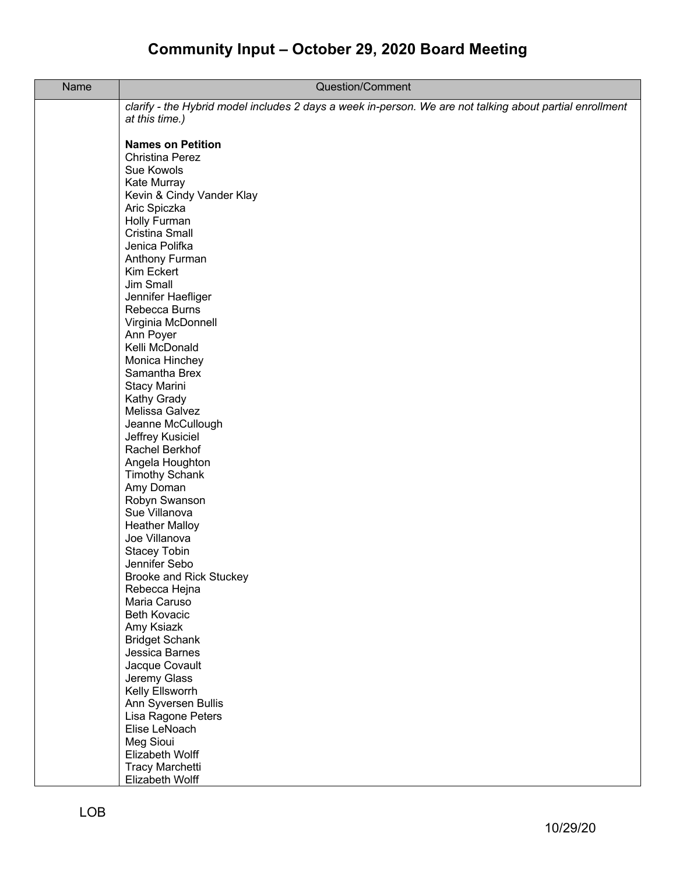| Name | Question/Comment                                                                                         |
|------|----------------------------------------------------------------------------------------------------------|
|      | clarify - the Hybrid model includes 2 days a week in-person. We are not talking about partial enrollment |
|      | at this time.)                                                                                           |
|      |                                                                                                          |
|      | <b>Names on Petition</b><br><b>Christina Perez</b>                                                       |
|      | Sue Kowols                                                                                               |
|      | Kate Murray                                                                                              |
|      | Kevin & Cindy Vander Klay                                                                                |
|      | Aric Spiczka                                                                                             |
|      | Holly Furman                                                                                             |
|      | <b>Cristina Small</b>                                                                                    |
|      | Jenica Polifka                                                                                           |
|      | Anthony Furman                                                                                           |
|      | Kim Eckert                                                                                               |
|      | Jim Small                                                                                                |
|      | Jennifer Haefliger                                                                                       |
|      | Rebecca Burns                                                                                            |
|      | Virginia McDonnell<br>Ann Poyer                                                                          |
|      | Kelli McDonald                                                                                           |
|      | Monica Hinchey                                                                                           |
|      | Samantha Brex                                                                                            |
|      | Stacy Marini                                                                                             |
|      | Kathy Grady                                                                                              |
|      | Melissa Galvez                                                                                           |
|      | Jeanne McCullough                                                                                        |
|      | Jeffrey Kusiciel                                                                                         |
|      | Rachel Berkhof                                                                                           |
|      | Angela Houghton                                                                                          |
|      | <b>Timothy Schank</b><br>Amy Doman                                                                       |
|      | Robyn Swanson                                                                                            |
|      | Sue Villanova                                                                                            |
|      | <b>Heather Malloy</b>                                                                                    |
|      | Joe Villanova                                                                                            |
|      | <b>Stacey Tobin</b>                                                                                      |
|      | Jennifer Sebo                                                                                            |
|      | <b>Brooke and Rick Stuckey</b>                                                                           |
|      | Rebecca Hejna                                                                                            |
|      | Maria Caruso                                                                                             |
|      | <b>Beth Kovacic</b><br>Amy Ksiazk                                                                        |
|      | <b>Bridget Schank</b>                                                                                    |
|      | Jessica Barnes                                                                                           |
|      | Jacque Covault                                                                                           |
|      | Jeremy Glass                                                                                             |
|      | Kelly Ellsworrh                                                                                          |
|      | Ann Syversen Bullis                                                                                      |
|      | Lisa Ragone Peters                                                                                       |
|      | Elise LeNoach                                                                                            |
|      | Meg Sioui                                                                                                |
|      | Elizabeth Wolff                                                                                          |
|      | <b>Tracy Marchetti</b><br>Elizabeth Wolff                                                                |
|      |                                                                                                          |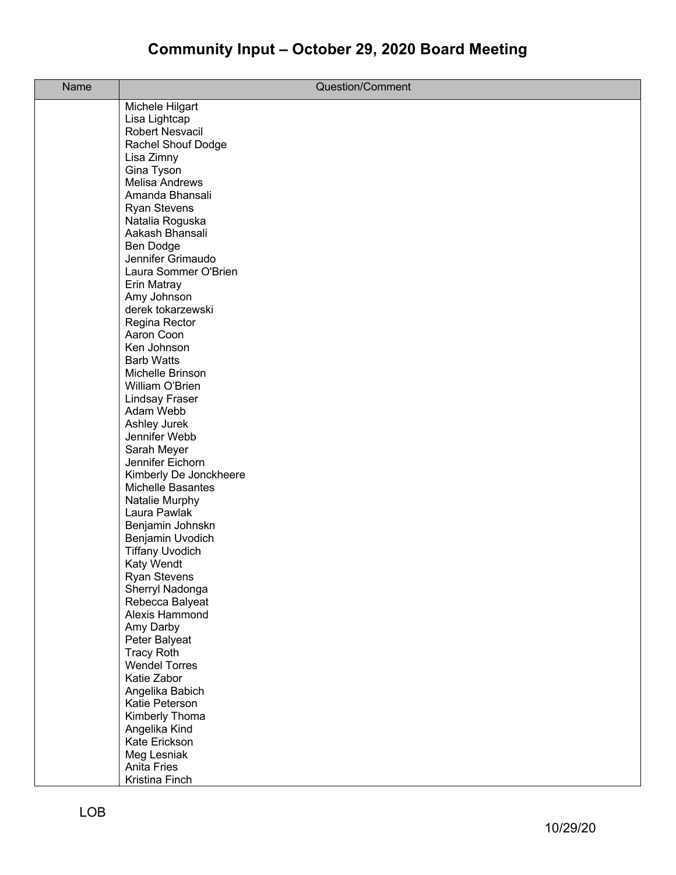| Name | Question/Comment                           |
|------|--------------------------------------------|
|      | Michele Hilgart                            |
|      | Lisa Lightcap                              |
|      | Robert Nesvacil                            |
|      | Rachel Shouf Dodge                         |
|      | Lisa Zimny                                 |
|      | Gina Tyson                                 |
|      | <b>Melisa Andrews</b>                      |
|      | Amanda Bhansali                            |
|      | <b>Ryan Stevens</b>                        |
|      | Natalia Roguska<br>Aakash Bhansali         |
|      | Ben Dodge                                  |
|      | Jennifer Grimaudo                          |
|      | Laura Sommer O'Brien                       |
|      | Erin Matray                                |
|      | Amy Johnson                                |
|      | derek tokarzewski                          |
|      | Regina Rector                              |
|      | Aaron Coon                                 |
|      | Ken Johnson                                |
|      | <b>Barb Watts</b>                          |
|      | Michelle Brinson                           |
|      | William O'Brien                            |
|      | Lindsay Fraser                             |
|      | Adam Webb                                  |
|      | Ashley Jurek                               |
|      | Jennifer Webb                              |
|      | Sarah Meyer                                |
|      | Jennifer Eichorn<br>Kimberly De Jonckheere |
|      | <b>Michelle Basantes</b>                   |
|      | Natalie Murphy                             |
|      | Laura Pawlak                               |
|      | Benjamin Johnskn                           |
|      | Benjamin Uvodich                           |
|      | <b>Tiffany Uvodich</b>                     |
|      | Katy Wendt                                 |
|      | <b>Ryan Stevens</b>                        |
|      | Sherryl Nadonga                            |
|      | Rebecca Balyeat                            |
|      | Alexis Hammond                             |
|      | Amy Darby                                  |
|      | Peter Balyeat                              |
|      | <b>Tracy Roth</b>                          |
|      | <b>Wendel Torres</b>                       |
|      | Katie Zabor                                |
|      | Angelika Babich                            |
|      | Katie Peterson<br>Kimberly Thoma           |
|      | Angelika Kind                              |
|      | Kate Erickson                              |
|      | Meg Lesniak                                |
|      | <b>Anita Fries</b>                         |
|      | Kristina Finch                             |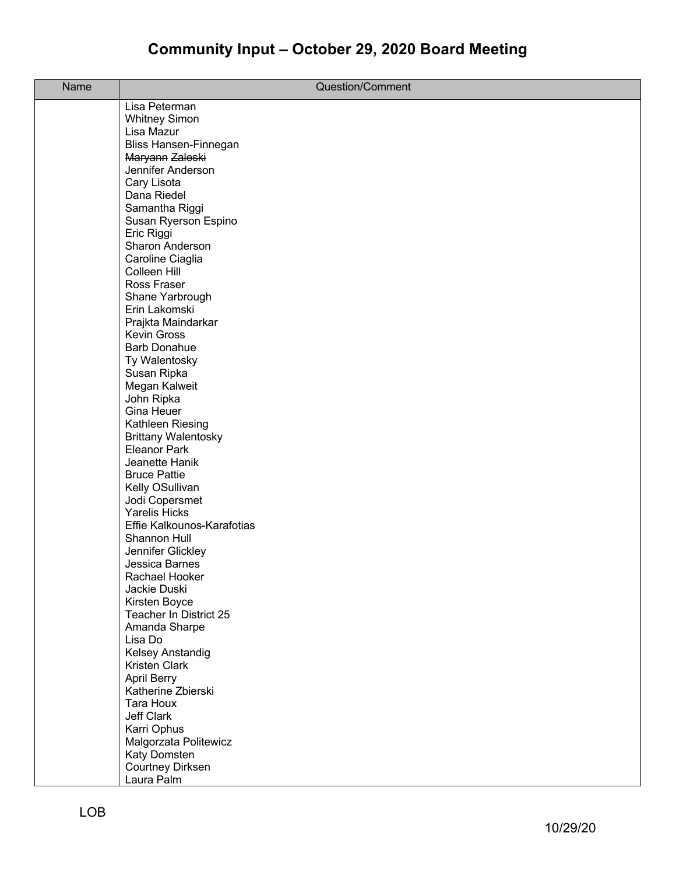| Name | Question/Comment                                  |
|------|---------------------------------------------------|
|      | Lisa Peterman                                     |
|      | <b>Whitney Simon</b>                              |
|      | Lisa Mazur                                        |
|      | Bliss Hansen-Finnegan                             |
|      | Maryann Zaleski                                   |
|      | Jennifer Anderson                                 |
|      | Cary Lisota                                       |
|      | Dana Riedel                                       |
|      | Samantha Riggi                                    |
|      | Susan Ryerson Espino                              |
|      | Eric Riggi                                        |
|      | Sharon Anderson                                   |
|      | Caroline Ciaglia                                  |
|      | Colleen Hill                                      |
|      | Ross Fraser                                       |
|      | Shane Yarbrough                                   |
|      | Erin Lakomski                                     |
|      | Prajkta Maindarkar                                |
|      | <b>Kevin Gross</b>                                |
|      | <b>Barb Donahue</b>                               |
|      | Ty Walentosky                                     |
|      | Susan Ripka                                       |
|      | Megan Kalweit                                     |
|      | John Ripka                                        |
|      | Gina Heuer                                        |
|      | Kathleen Riesing                                  |
|      | <b>Brittany Walentosky</b><br><b>Eleanor Park</b> |
|      | Jeanette Hanik                                    |
|      | <b>Bruce Pattie</b>                               |
|      | Kelly OSullivan                                   |
|      | Jodi Copersmet                                    |
|      | <b>Yarelis Hicks</b>                              |
|      | Effie Kalkounos-Karafotias                        |
|      | Shannon Hull                                      |
|      | Jennifer Glickley                                 |
|      | Jessica Barnes                                    |
|      | Rachael Hooker                                    |
|      | Jackie Duski                                      |
|      | Kirsten Boyce                                     |
|      | Teacher In District 25                            |
|      | Amanda Sharpe                                     |
|      | Lisa Do                                           |
|      | <b>Kelsey Anstandig</b>                           |
|      | Kristen Clark                                     |
|      | April Berry                                       |
|      | Katherine Zbierski                                |
|      | Tara Houx                                         |
|      | Jeff Clark                                        |
|      | Karri Ophus                                       |
|      | Malgorzata Politewicz                             |
|      | Katy Domsten                                      |
|      | <b>Courtney Dirksen</b>                           |
|      | Laura Palm                                        |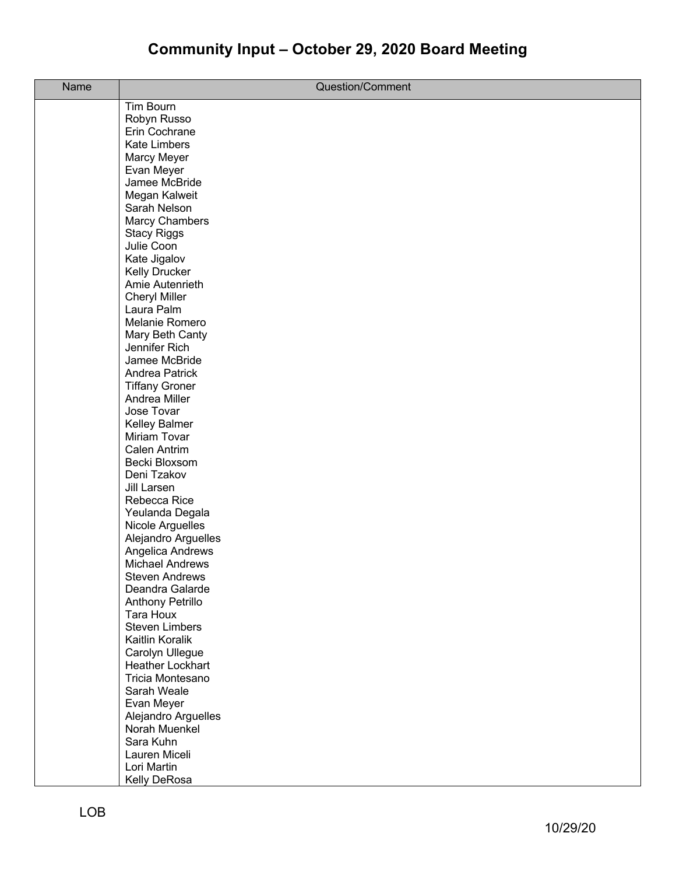| Name | Question/Comment                           |
|------|--------------------------------------------|
|      | <b>Tim Bourn</b>                           |
|      | Robyn Russo                                |
|      | Erin Cochrane                              |
|      | <b>Kate Limbers</b>                        |
|      | Marcy Meyer<br>Evan Meyer                  |
|      | Jamee McBride                              |
|      | Megan Kalweit                              |
|      | Sarah Nelson                               |
|      | <b>Marcy Chambers</b>                      |
|      | <b>Stacy Riggs</b>                         |
|      | Julie Coon                                 |
|      | Kate Jigalov                               |
|      | <b>Kelly Drucker</b><br>Amie Autenrieth    |
|      | <b>Cheryl Miller</b>                       |
|      | Laura Palm                                 |
|      | Melanie Romero                             |
|      | Mary Beth Canty                            |
|      | Jennifer Rich                              |
|      | Jamee McBride                              |
|      | Andrea Patrick                             |
|      | <b>Tiffany Groner</b>                      |
|      | Andrea Miller                              |
|      | Jose Tovar                                 |
|      | Kelley Balmer<br>Miriam Tovar              |
|      | Calen Antrim                               |
|      | Becki Bloxsom                              |
|      | Deni Tzakov                                |
|      | Jill Larsen                                |
|      | Rebecca Rice                               |
|      | Yeulanda Degala                            |
|      | Nicole Arguelles                           |
|      | Alejandro Arguelles                        |
|      | Angelica Andrews<br><b>Michael Andrews</b> |
|      | <b>Steven Andrews</b>                      |
|      | Deandra Galarde                            |
|      | <b>Anthony Petrillo</b>                    |
|      | Tara Houx                                  |
|      | <b>Steven Limbers</b>                      |
|      | Kaitlin Koralik                            |
|      | Carolyn Ullegue                            |
|      | <b>Heather Lockhart</b>                    |
|      | Tricia Montesano<br>Sarah Weale            |
|      | Evan Meyer                                 |
|      | Alejandro Arguelles                        |
|      | Norah Muenkel                              |
|      | Sara Kuhn                                  |
|      | Lauren Miceli                              |
|      | Lori Martin                                |
|      | Kelly DeRosa                               |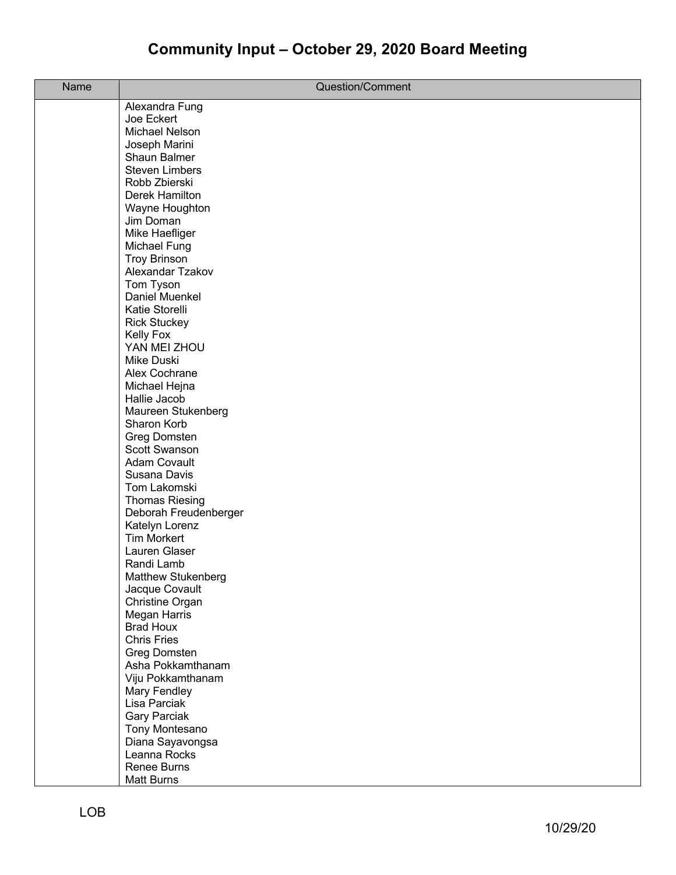| Name | Question/Comment                  |
|------|-----------------------------------|
|      | Alexandra Fung                    |
|      | Joe Eckert                        |
|      | Michael Nelson                    |
|      | Joseph Marini                     |
|      | Shaun Balmer                      |
|      | <b>Steven Limbers</b>             |
|      | Robb Zbierski                     |
|      | Derek Hamilton                    |
|      | Wayne Houghton                    |
|      | Jim Doman                         |
|      | Mike Haefliger                    |
|      | Michael Fung                      |
|      | <b>Troy Brinson</b>               |
|      | Alexandar Tzakov                  |
|      | Tom Tyson                         |
|      | Daniel Muenkel                    |
|      | Katie Storelli                    |
|      | <b>Rick Stuckey</b>               |
|      | <b>Kelly Fox</b>                  |
|      | YAN MEI ZHOU                      |
|      | Mike Duski                        |
|      | Alex Cochrane                     |
|      | Michael Hejna                     |
|      | Hallie Jacob                      |
|      | Maureen Stukenberg                |
|      | Sharon Korb                       |
|      | Greg Domsten                      |
|      | Scott Swanson                     |
|      | <b>Adam Covault</b>               |
|      | Susana Davis                      |
|      | Tom Lakomski                      |
|      | <b>Thomas Riesing</b>             |
|      | Deborah Freudenberger             |
|      | Katelyn Lorenz                    |
|      | <b>Tim Morkert</b>                |
|      | Lauren Glaser                     |
|      | Randi Lamb<br>Matthew Stukenberg  |
|      |                                   |
|      | Jacque Covault<br>Christine Organ |
|      | Megan Harris                      |
|      | <b>Brad Houx</b>                  |
|      | <b>Chris Fries</b>                |
|      | Greg Domsten                      |
|      | Asha Pokkamthanam                 |
|      | Viju Pokkamthanam                 |
|      | Mary Fendley                      |
|      | Lisa Parciak                      |
|      | <b>Gary Parciak</b>               |
|      | Tony Montesano                    |
|      | Diana Sayavongsa                  |
|      | Leanna Rocks                      |
|      | Renee Burns                       |
|      | Matt Burns                        |
|      |                                   |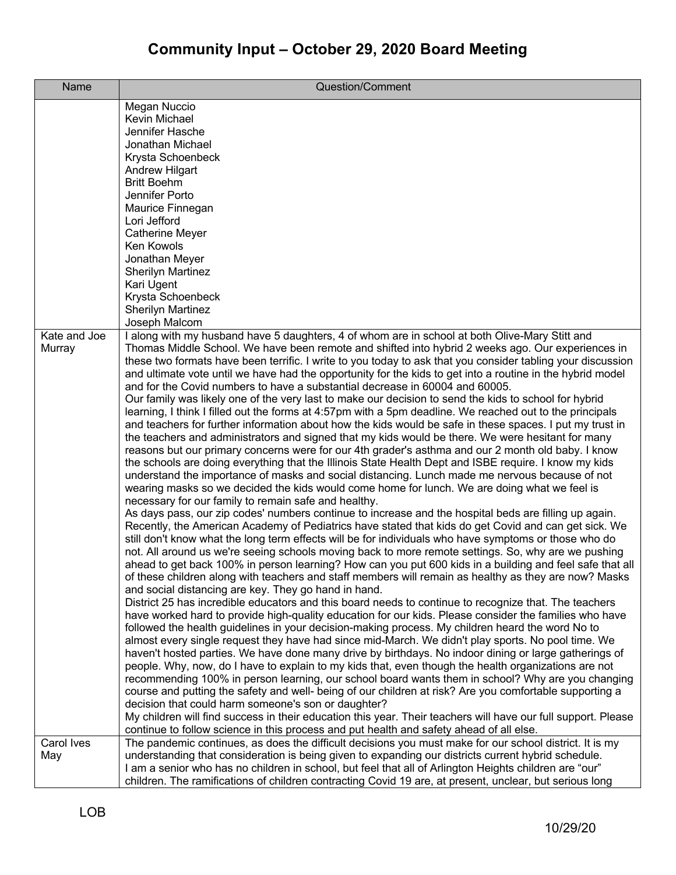| <b>Name</b>            | Question/Comment                                                                                                                                                                                                                                                                                                                                                                                                                                                                                                                                                                                                                                                                                                                                                                                                                                                                                                                                                                                                                                                                                                                                                                                                                                                                                                                                                                                                                                                                                                                                                                                                                                                                                                                                                                                                                                                                                                                                                                                                                                                                                                                                                                                                                                                                                                                                                                                                                                                                                                                                                                                                                                                                                                                                                                                                                                                                                                                                                                                                                                                                                                                                                                                                                                                                                |
|------------------------|-------------------------------------------------------------------------------------------------------------------------------------------------------------------------------------------------------------------------------------------------------------------------------------------------------------------------------------------------------------------------------------------------------------------------------------------------------------------------------------------------------------------------------------------------------------------------------------------------------------------------------------------------------------------------------------------------------------------------------------------------------------------------------------------------------------------------------------------------------------------------------------------------------------------------------------------------------------------------------------------------------------------------------------------------------------------------------------------------------------------------------------------------------------------------------------------------------------------------------------------------------------------------------------------------------------------------------------------------------------------------------------------------------------------------------------------------------------------------------------------------------------------------------------------------------------------------------------------------------------------------------------------------------------------------------------------------------------------------------------------------------------------------------------------------------------------------------------------------------------------------------------------------------------------------------------------------------------------------------------------------------------------------------------------------------------------------------------------------------------------------------------------------------------------------------------------------------------------------------------------------------------------------------------------------------------------------------------------------------------------------------------------------------------------------------------------------------------------------------------------------------------------------------------------------------------------------------------------------------------------------------------------------------------------------------------------------------------------------------------------------------------------------------------------------------------------------------------------------------------------------------------------------------------------------------------------------------------------------------------------------------------------------------------------------------------------------------------------------------------------------------------------------------------------------------------------------------------------------------------------------------------------------------------------------|
|                        | Megan Nuccio<br>Kevin Michael<br>Jennifer Hasche<br>Jonathan Michael<br>Krysta Schoenbeck<br>Andrew Hilgart<br><b>Britt Boehm</b><br>Jennifer Porto<br>Maurice Finnegan<br>Lori Jefford<br><b>Catherine Meyer</b><br>Ken Kowols<br>Jonathan Meyer<br><b>Sherilyn Martinez</b><br>Kari Ugent<br>Krysta Schoenbeck<br><b>Sherilyn Martinez</b>                                                                                                                                                                                                                                                                                                                                                                                                                                                                                                                                                                                                                                                                                                                                                                                                                                                                                                                                                                                                                                                                                                                                                                                                                                                                                                                                                                                                                                                                                                                                                                                                                                                                                                                                                                                                                                                                                                                                                                                                                                                                                                                                                                                                                                                                                                                                                                                                                                                                                                                                                                                                                                                                                                                                                                                                                                                                                                                                                    |
| Kate and Joe<br>Murray | Joseph Malcom<br>I along with my husband have 5 daughters, 4 of whom are in school at both Olive-Mary Stitt and<br>Thomas Middle School. We have been remote and shifted into hybrid 2 weeks ago. Our experiences in<br>these two formats have been terrific. I write to you today to ask that you consider tabling your discussion<br>and ultimate vote until we have had the opportunity for the kids to get into a routine in the hybrid model<br>and for the Covid numbers to have a substantial decrease in 60004 and 60005.<br>Our family was likely one of the very last to make our decision to send the kids to school for hybrid<br>learning, I think I filled out the forms at 4:57pm with a 5pm deadline. We reached out to the principals<br>and teachers for further information about how the kids would be safe in these spaces. I put my trust in<br>the teachers and administrators and signed that my kids would be there. We were hesitant for many<br>reasons but our primary concerns were for our 4th grader's asthma and our 2 month old baby. I know<br>the schools are doing everything that the Illinois State Health Dept and ISBE require. I know my kids<br>understand the importance of masks and social distancing. Lunch made me nervous because of not<br>wearing masks so we decided the kids would come home for lunch. We are doing what we feel is<br>necessary for our family to remain safe and healthy.<br>As days pass, our zip codes' numbers continue to increase and the hospital beds are filling up again.<br>Recently, the American Academy of Pediatrics have stated that kids do get Covid and can get sick. We<br>still don't know what the long term effects will be for individuals who have symptoms or those who do<br>not. All around us we're seeing schools moving back to more remote settings. So, why are we pushing<br>ahead to get back 100% in person learning? How can you put 600 kids in a building and feel safe that all<br>of these children along with teachers and staff members will remain as healthy as they are now? Masks<br>and social distancing are key. They go hand in hand.<br>District 25 has incredible educators and this board needs to continue to recognize that. The teachers<br>have worked hard to provide high-quality education for our kids. Please consider the families who have<br>followed the health guidelines in your decision-making process. My children heard the word No to<br>almost every single request they have had since mid-March. We didn't play sports. No pool time. We<br>haven't hosted parties. We have done many drive by birthdays. No indoor dining or large gatherings of<br>people. Why, now, do I have to explain to my kids that, even though the health organizations are not<br>recommending 100% in person learning, our school board wants them in school? Why are you changing<br>course and putting the safety and well- being of our children at risk? Are you comfortable supporting a<br>decision that could harm someone's son or daughter?<br>My children will find success in their education this year. Their teachers will have our full support. Please<br>continue to follow science in this process and put health and safety ahead of all else. |
| Carol Ives<br>May      | The pandemic continues, as does the difficult decisions you must make for our school district. It is my<br>understanding that consideration is being given to expanding our districts current hybrid schedule.<br>I am a senior who has no children in school, but feel that all of Arlington Heights children are "our"<br>children. The ramifications of children contracting Covid 19 are, at present, unclear, but serious long                                                                                                                                                                                                                                                                                                                                                                                                                                                                                                                                                                                                                                                                                                                                                                                                                                                                                                                                                                                                                                                                                                                                                                                                                                                                                                                                                                                                                                                                                                                                                                                                                                                                                                                                                                                                                                                                                                                                                                                                                                                                                                                                                                                                                                                                                                                                                                                                                                                                                                                                                                                                                                                                                                                                                                                                                                                             |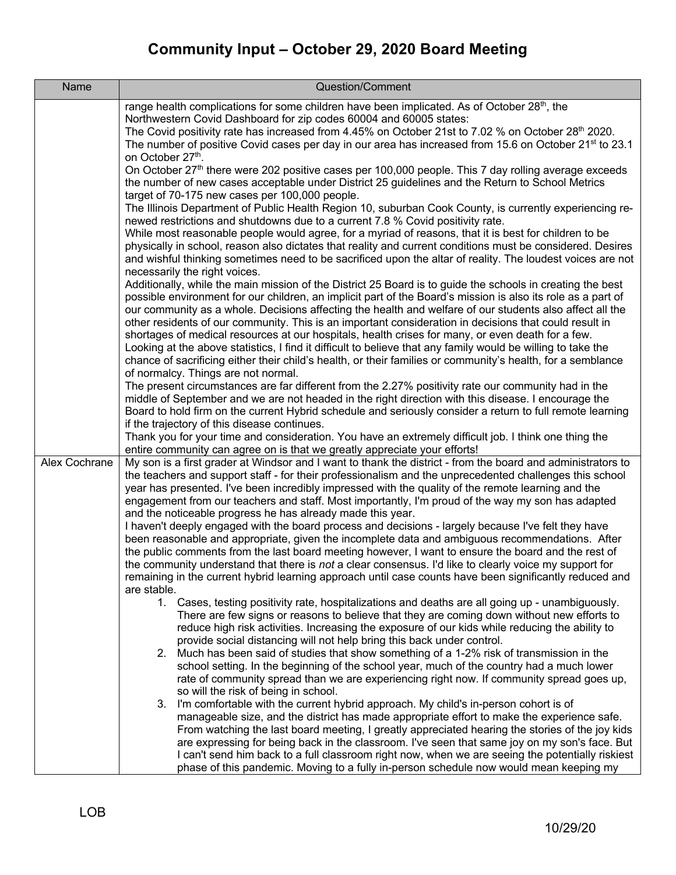| Name          | Question/Comment                                                                                                                                                                                                                                                                                                                                                                                                                                                                                                                                                                                                                                                                                                                                                                                                                                                                                                                                                                                                                                                                                                                                                                                                                                                                                                                                                                         |
|---------------|------------------------------------------------------------------------------------------------------------------------------------------------------------------------------------------------------------------------------------------------------------------------------------------------------------------------------------------------------------------------------------------------------------------------------------------------------------------------------------------------------------------------------------------------------------------------------------------------------------------------------------------------------------------------------------------------------------------------------------------------------------------------------------------------------------------------------------------------------------------------------------------------------------------------------------------------------------------------------------------------------------------------------------------------------------------------------------------------------------------------------------------------------------------------------------------------------------------------------------------------------------------------------------------------------------------------------------------------------------------------------------------|
|               | range health complications for some children have been implicated. As of October 28 <sup>th</sup> , the<br>Northwestern Covid Dashboard for zip codes 60004 and 60005 states:<br>The Covid positivity rate has increased from 4.45% on October 21st to 7.02 % on October 28 <sup>th</sup> 2020.<br>The number of positive Covid cases per day in our area has increased from 15.6 on October 21 <sup>st</sup> to 23.1<br>on October 27th.<br>On October 27th there were 202 positive cases per 100,000 people. This 7 day rolling average exceeds<br>the number of new cases acceptable under District 25 guidelines and the Return to School Metrics<br>target of 70-175 new cases per 100,000 people.<br>The Illinois Department of Public Health Region 10, suburban Cook County, is currently experiencing re-<br>newed restrictions and shutdowns due to a current 7.8 % Covid positivity rate.<br>While most reasonable people would agree, for a myriad of reasons, that it is best for children to be<br>physically in school, reason also dictates that reality and current conditions must be considered. Desires<br>and wishful thinking sometimes need to be sacrificed upon the altar of reality. The loudest voices are not<br>necessarily the right voices.<br>Additionally, while the main mission of the District 25 Board is to guide the schools in creating the best |
|               | possible environment for our children, an implicit part of the Board's mission is also its role as a part of<br>our community as a whole. Decisions affecting the health and welfare of our students also affect all the<br>other residents of our community. This is an important consideration in decisions that could result in<br>shortages of medical resources at our hospitals, health crises for many, or even death for a few.<br>Looking at the above statistics, I find it difficult to believe that any family would be willing to take the<br>chance of sacrificing either their child's health, or their families or community's health, for a semblance<br>of normalcy. Things are not normal.<br>The present circumstances are far different from the 2.27% positivity rate our community had in the<br>middle of September and we are not headed in the right direction with this disease. I encourage the<br>Board to hold firm on the current Hybrid schedule and seriously consider a return to full remote learning<br>if the trajectory of this disease continues.                                                                                                                                                                                                                                                                                                 |
|               | Thank you for your time and consideration. You have an extremely difficult job. I think one thing the                                                                                                                                                                                                                                                                                                                                                                                                                                                                                                                                                                                                                                                                                                                                                                                                                                                                                                                                                                                                                                                                                                                                                                                                                                                                                    |
| Alex Cochrane | entire community can agree on is that we greatly appreciate your efforts!<br>My son is a first grader at Windsor and I want to thank the district - from the board and administrators to<br>the teachers and support staff - for their professionalism and the unprecedented challenges this school<br>year has presented. I've been incredibly impressed with the quality of the remote learning and the<br>engagement from our teachers and staff. Most importantly, I'm proud of the way my son has adapted<br>and the noticeable progress he has already made this year.<br>I haven't deeply engaged with the board process and decisions - largely because I've felt they have<br>been reasonable and appropriate, given the incomplete data and ambiguous recommendations. After<br>the public comments from the last board meeting however, I want to ensure the board and the rest of<br>the community understand that there is not a clear consensus. I'd like to clearly voice my support for<br>remaining in the current hybrid learning approach until case counts have been significantly reduced and<br>are stable.                                                                                                                                                                                                                                                        |
|               | 1. Cases, testing positivity rate, hospitalizations and deaths are all going up - unambiguously.<br>There are few signs or reasons to believe that they are coming down without new efforts to<br>reduce high risk activities. Increasing the exposure of our kids while reducing the ability to<br>provide social distancing will not help bring this back under control.<br>2. Much has been said of studies that show something of a 1-2% risk of transmission in the<br>school setting. In the beginning of the school year, much of the country had a much lower<br>rate of community spread than we are experiencing right now. If community spread goes up,<br>so will the risk of being in school.<br>3. I'm comfortable with the current hybrid approach. My child's in-person cohort is of<br>manageable size, and the district has made appropriate effort to make the experience safe.<br>From watching the last board meeting, I greatly appreciated hearing the stories of the joy kids<br>are expressing for being back in the classroom. I've seen that same joy on my son's face. But<br>I can't send him back to a full classroom right now, when we are seeing the potentially riskiest<br>phase of this pandemic. Moving to a fully in-person schedule now would mean keeping my                                                                                     |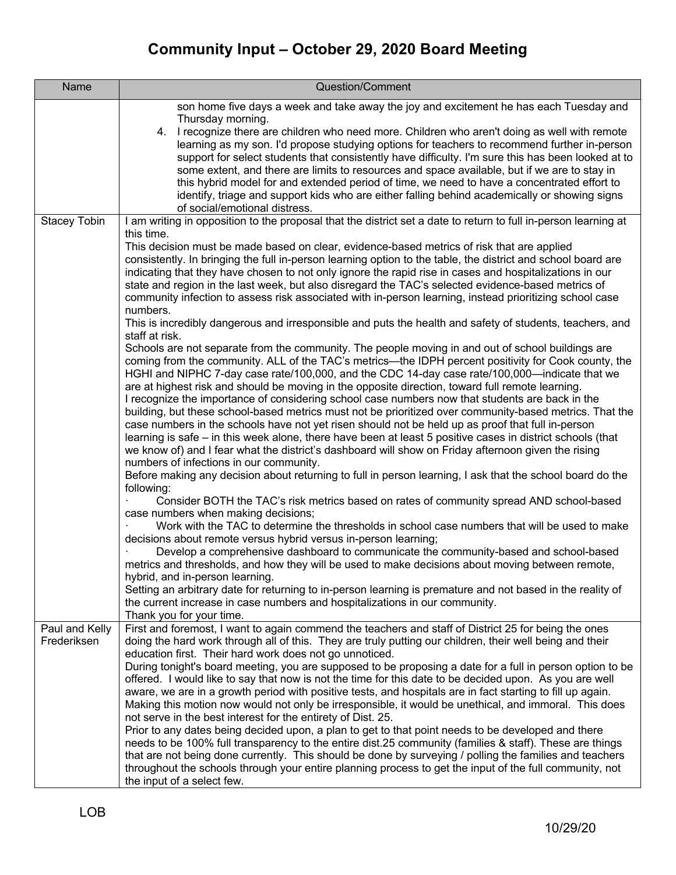| <b>Name</b>         | Question/Comment                                                                                                                                                                                    |
|---------------------|-----------------------------------------------------------------------------------------------------------------------------------------------------------------------------------------------------|
|                     | son home five days a week and take away the joy and excitement he has each Tuesday and                                                                                                              |
|                     | Thursday morning.                                                                                                                                                                                   |
|                     | I recognize there are children who need more. Children who aren't doing as well with remote<br>4.                                                                                                   |
|                     | learning as my son. I'd propose studying options for teachers to recommend further in-person<br>support for select students that consistently have difficulty. I'm sure this has been looked at to  |
|                     | some extent, and there are limits to resources and space available, but if we are to stay in                                                                                                        |
|                     | this hybrid model for and extended period of time, we need to have a concentrated effort to                                                                                                         |
|                     | identify, triage and support kids who are either falling behind academically or showing signs                                                                                                       |
|                     | of social/emotional distress.                                                                                                                                                                       |
| <b>Stacey Tobin</b> | I am writing in opposition to the proposal that the district set a date to return to full in-person learning at<br>this time.                                                                       |
|                     | This decision must be made based on clear, evidence-based metrics of risk that are applied                                                                                                          |
|                     | consistently. In bringing the full in-person learning option to the table, the district and school board are                                                                                        |
|                     | indicating that they have chosen to not only ignore the rapid rise in cases and hospitalizations in our                                                                                             |
|                     | state and region in the last week, but also disregard the TAC's selected evidence-based metrics of                                                                                                  |
|                     | community infection to assess risk associated with in-person learning, instead prioritizing school case                                                                                             |
|                     | numbers.<br>This is incredibly dangerous and irresponsible and puts the health and safety of students, teachers, and                                                                                |
|                     | staff at risk.                                                                                                                                                                                      |
|                     | Schools are not separate from the community. The people moving in and out of school buildings are                                                                                                   |
|                     | coming from the community. ALL of the TAC's metrics—the IDPH percent positivity for Cook county, the                                                                                                |
|                     | HGHI and NIPHC 7-day case rate/100,000, and the CDC 14-day case rate/100,000—indicate that we                                                                                                       |
|                     | are at highest risk and should be moving in the opposite direction, toward full remote learning.<br>I recognize the importance of considering school case numbers now that students are back in the |
|                     | building, but these school-based metrics must not be prioritized over community-based metrics. That the                                                                                             |
|                     | case numbers in the schools have not yet risen should not be held up as proof that full in-person                                                                                                   |
|                     | learning is safe - in this week alone, there have been at least 5 positive cases in district schools (that                                                                                          |
|                     | we know of) and I fear what the district's dashboard will show on Friday afternoon given the rising                                                                                                 |
|                     | numbers of infections in our community.                                                                                                                                                             |
|                     | Before making any decision about returning to full in person learning, I ask that the school board do the<br>following:                                                                             |
|                     | Consider BOTH the TAC's risk metrics based on rates of community spread AND school-based                                                                                                            |
|                     | case numbers when making decisions;                                                                                                                                                                 |
|                     | Work with the TAC to determine the thresholds in school case numbers that will be used to make                                                                                                      |
|                     | decisions about remote versus hybrid versus in-person learning;<br>Develop a comprehensive dashboard to communicate the community-based and school-based                                            |
|                     | metrics and thresholds, and how they will be used to make decisions about moving between remote,                                                                                                    |
|                     | hybrid, and in-person learning.                                                                                                                                                                     |
|                     | Setting an arbitrary date for returning to in-person learning is premature and not based in the reality of                                                                                          |
|                     | the current increase in case numbers and hospitalizations in our community.                                                                                                                         |
| Paul and Kelly      | Thank you for your time.<br>First and foremost, I want to again commend the teachers and staff of District 25 for being the ones                                                                    |
| Frederiksen         | doing the hard work through all of this. They are truly putting our children, their well being and their                                                                                            |
|                     | education first. Their hard work does not go unnoticed.                                                                                                                                             |
|                     | During tonight's board meeting, you are supposed to be proposing a date for a full in person option to be                                                                                           |
|                     | offered. I would like to say that now is not the time for this date to be decided upon. As you are well                                                                                             |
|                     | aware, we are in a growth period with positive tests, and hospitals are in fact starting to fill up again.                                                                                          |
|                     | Making this motion now would not only be irresponsible, it would be unethical, and immoral. This does<br>not serve in the best interest for the entirety of Dist. 25.                               |
|                     | Prior to any dates being decided upon, a plan to get to that point needs to be developed and there                                                                                                  |
|                     | needs to be 100% full transparency to the entire dist.25 community (families & staff). These are things                                                                                             |
|                     | that are not being done currently. This should be done by surveying / polling the families and teachers                                                                                             |
|                     | throughout the schools through your entire planning process to get the input of the full community, not                                                                                             |
|                     | the input of a select few.                                                                                                                                                                          |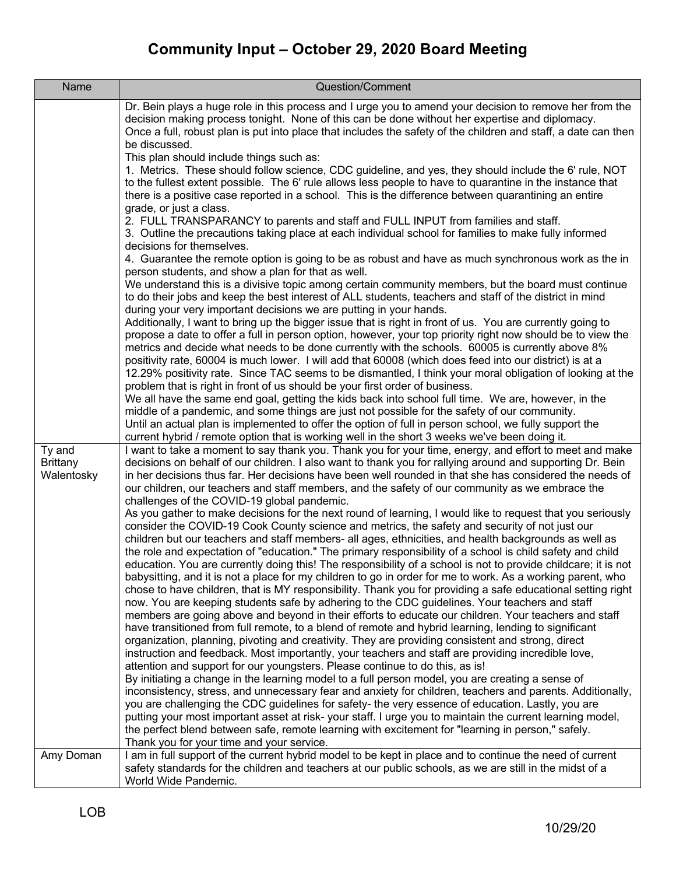| Name                                    | Question/Comment                                                                                                                                                                                                                                                                                                                                                                                                                                                                                                                                                                                                                                                                                                                                                                                                                                                                                                                                                                                                                                                                                                                                                                                                                                                                                                                                                                                                                                                                                                                                                                                                                                                                                                                                                                                                                                                                                                                                                                                                                                                                                                                                                                                                                                                                                                                                                                                                                                                                                                                                                                                                                                                                                                                                                                                                                                                                                                                                                                                                                                                                                                                                                                                                                                                                                                                                                                                                                                                                                                                                                                                                                                                                                                                                                                                                                                                                                                                                                               |
|-----------------------------------------|--------------------------------------------------------------------------------------------------------------------------------------------------------------------------------------------------------------------------------------------------------------------------------------------------------------------------------------------------------------------------------------------------------------------------------------------------------------------------------------------------------------------------------------------------------------------------------------------------------------------------------------------------------------------------------------------------------------------------------------------------------------------------------------------------------------------------------------------------------------------------------------------------------------------------------------------------------------------------------------------------------------------------------------------------------------------------------------------------------------------------------------------------------------------------------------------------------------------------------------------------------------------------------------------------------------------------------------------------------------------------------------------------------------------------------------------------------------------------------------------------------------------------------------------------------------------------------------------------------------------------------------------------------------------------------------------------------------------------------------------------------------------------------------------------------------------------------------------------------------------------------------------------------------------------------------------------------------------------------------------------------------------------------------------------------------------------------------------------------------------------------------------------------------------------------------------------------------------------------------------------------------------------------------------------------------------------------------------------------------------------------------------------------------------------------------------------------------------------------------------------------------------------------------------------------------------------------------------------------------------------------------------------------------------------------------------------------------------------------------------------------------------------------------------------------------------------------------------------------------------------------------------------------------------------------------------------------------------------------------------------------------------------------------------------------------------------------------------------------------------------------------------------------------------------------------------------------------------------------------------------------------------------------------------------------------------------------------------------------------------------------------------------------------------------------------------------------------------------------------------------------------------------------------------------------------------------------------------------------------------------------------------------------------------------------------------------------------------------------------------------------------------------------------------------------------------------------------------------------------------------------------------------------------------------------------------------------------------------------|
| Ty and<br><b>Brittany</b><br>Walentosky | Dr. Bein plays a huge role in this process and I urge you to amend your decision to remove her from the<br>decision making process tonight. None of this can be done without her expertise and diplomacy.<br>Once a full, robust plan is put into place that includes the safety of the children and staff, a date can then<br>be discussed.<br>This plan should include things such as:<br>1. Metrics. These should follow science, CDC guideline, and yes, they should include the 6' rule, NOT<br>to the fullest extent possible. The 6' rule allows less people to have to quarantine in the instance that<br>there is a positive case reported in a school. This is the difference between quarantining an entire<br>grade, or just a class.<br>2. FULL TRANSPARANCY to parents and staff and FULL INPUT from families and staff.<br>3. Outline the precautions taking place at each individual school for families to make fully informed<br>decisions for themselves.<br>4. Guarantee the remote option is going to be as robust and have as much synchronous work as the in<br>person students, and show a plan for that as well.<br>We understand this is a divisive topic among certain community members, but the board must continue<br>to do their jobs and keep the best interest of ALL students, teachers and staff of the district in mind<br>during your very important decisions we are putting in your hands.<br>Additionally, I want to bring up the bigger issue that is right in front of us. You are currently going to<br>propose a date to offer a full in person option, however, your top priority right now should be to view the<br>metrics and decide what needs to be done currently with the schools. 60005 is currently above 8%<br>positivity rate, 60004 is much lower. I will add that 60008 (which does feed into our district) is at a<br>12.29% positivity rate. Since TAC seems to be dismantled, I think your moral obligation of looking at the<br>problem that is right in front of us should be your first order of business.<br>We all have the same end goal, getting the kids back into school full time. We are, however, in the<br>middle of a pandemic, and some things are just not possible for the safety of our community.<br>Until an actual plan is implemented to offer the option of full in person school, we fully support the<br>current hybrid / remote option that is working well in the short 3 weeks we've been doing it.<br>I want to take a moment to say thank you. Thank you for your time, energy, and effort to meet and make<br>decisions on behalf of our children. I also want to thank you for rallying around and supporting Dr. Bein<br>in her decisions thus far. Her decisions have been well rounded in that she has considered the needs of<br>our children, our teachers and staff members, and the safety of our community as we embrace the<br>challenges of the COVID-19 global pandemic.<br>As you gather to make decisions for the next round of learning, I would like to request that you seriously<br>consider the COVID-19 Cook County science and metrics, the safety and security of not just our<br>children but our teachers and staff members- all ages, ethnicities, and health backgrounds as well as<br>the role and expectation of "education." The primary responsibility of a school is child safety and child<br>education. You are currently doing this! The responsibility of a school is not to provide childcare; it is not<br>babysitting, and it is not a place for my children to go in order for me to work. As a working parent, who<br>chose to have children, that is MY responsibility. Thank you for providing a safe educational setting right<br>now. You are keeping students safe by adhering to the CDC guidelines. Your teachers and staff<br>members are going above and beyond in their efforts to educate our children. Your teachers and staff |
|                                         | have transitioned from full remote, to a blend of remote and hybrid learning, lending to significant<br>organization, planning, pivoting and creativity. They are providing consistent and strong, direct                                                                                                                                                                                                                                                                                                                                                                                                                                                                                                                                                                                                                                                                                                                                                                                                                                                                                                                                                                                                                                                                                                                                                                                                                                                                                                                                                                                                                                                                                                                                                                                                                                                                                                                                                                                                                                                                                                                                                                                                                                                                                                                                                                                                                                                                                                                                                                                                                                                                                                                                                                                                                                                                                                                                                                                                                                                                                                                                                                                                                                                                                                                                                                                                                                                                                                                                                                                                                                                                                                                                                                                                                                                                                                                                                                      |
|                                         | instruction and feedback. Most importantly, your teachers and staff are providing incredible love,<br>attention and support for our youngsters. Please continue to do this, as is!<br>By initiating a change in the learning model to a full person model, you are creating a sense of<br>inconsistency, stress, and unnecessary fear and anxiety for children, teachers and parents. Additionally,<br>you are challenging the CDC guidelines for safety- the very essence of education. Lastly, you are<br>putting your most important asset at risk-your staff. I urge you to maintain the current learning model,<br>the perfect blend between safe, remote learning with excitement for "learning in person," safely.<br>Thank you for your time and your service.                                                                                                                                                                                                                                                                                                                                                                                                                                                                                                                                                                                                                                                                                                                                                                                                                                                                                                                                                                                                                                                                                                                                                                                                                                                                                                                                                                                                                                                                                                                                                                                                                                                                                                                                                                                                                                                                                                                                                                                                                                                                                                                                                                                                                                                                                                                                                                                                                                                                                                                                                                                                                                                                                                                                                                                                                                                                                                                                                                                                                                                                                                                                                                                                         |
| Amy Doman                               | I am in full support of the current hybrid model to be kept in place and to continue the need of current<br>safety standards for the children and teachers at our public schools, as we are still in the midst of a<br>World Wide Pandemic.                                                                                                                                                                                                                                                                                                                                                                                                                                                                                                                                                                                                                                                                                                                                                                                                                                                                                                                                                                                                                                                                                                                                                                                                                                                                                                                                                                                                                                                                                                                                                                                                                                                                                                                                                                                                                                                                                                                                                                                                                                                                                                                                                                                                                                                                                                                                                                                                                                                                                                                                                                                                                                                                                                                                                                                                                                                                                                                                                                                                                                                                                                                                                                                                                                                                                                                                                                                                                                                                                                                                                                                                                                                                                                                                    |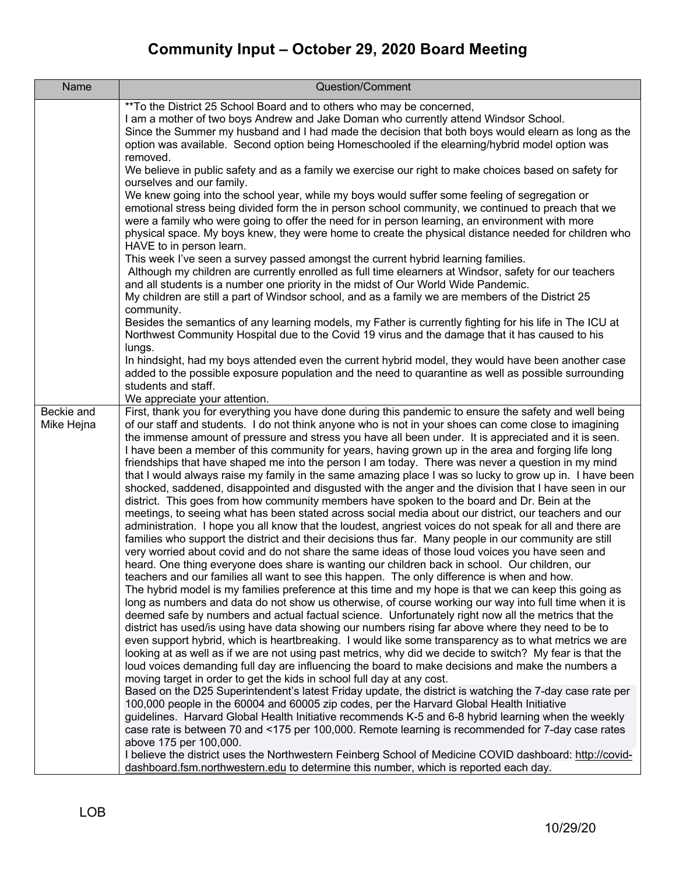| Name                     | Question/Comment                                                                                                                                                                                                                                                                                                                                                                                                                                                                                                                                                                                                                                                                                                                                                                                                                                                                                                                                                                                                                                                                                                                                                                                                                                                                                                                                                                                                                                                                                                                                                                                                                                                                                                                                                                                                                                                                                                                                                                                                                                                                                                                                                                                                                                                                                                                                                                                                                                                                                                                                                                                                                                                                                                                                                                                                                                                                                                                                                                                                 |
|--------------------------|------------------------------------------------------------------------------------------------------------------------------------------------------------------------------------------------------------------------------------------------------------------------------------------------------------------------------------------------------------------------------------------------------------------------------------------------------------------------------------------------------------------------------------------------------------------------------------------------------------------------------------------------------------------------------------------------------------------------------------------------------------------------------------------------------------------------------------------------------------------------------------------------------------------------------------------------------------------------------------------------------------------------------------------------------------------------------------------------------------------------------------------------------------------------------------------------------------------------------------------------------------------------------------------------------------------------------------------------------------------------------------------------------------------------------------------------------------------------------------------------------------------------------------------------------------------------------------------------------------------------------------------------------------------------------------------------------------------------------------------------------------------------------------------------------------------------------------------------------------------------------------------------------------------------------------------------------------------------------------------------------------------------------------------------------------------------------------------------------------------------------------------------------------------------------------------------------------------------------------------------------------------------------------------------------------------------------------------------------------------------------------------------------------------------------------------------------------------------------------------------------------------------------------------------------------------------------------------------------------------------------------------------------------------------------------------------------------------------------------------------------------------------------------------------------------------------------------------------------------------------------------------------------------------------------------------------------------------------------------------------------------------|
|                          | ** To the District 25 School Board and to others who may be concerned,<br>I am a mother of two boys Andrew and Jake Doman who currently attend Windsor School.<br>Since the Summer my husband and I had made the decision that both boys would elearn as long as the<br>option was available. Second option being Homeschooled if the elearning/hybrid model option was<br>removed.                                                                                                                                                                                                                                                                                                                                                                                                                                                                                                                                                                                                                                                                                                                                                                                                                                                                                                                                                                                                                                                                                                                                                                                                                                                                                                                                                                                                                                                                                                                                                                                                                                                                                                                                                                                                                                                                                                                                                                                                                                                                                                                                                                                                                                                                                                                                                                                                                                                                                                                                                                                                                              |
|                          | We believe in public safety and as a family we exercise our right to make choices based on safety for<br>ourselves and our family.<br>We knew going into the school year, while my boys would suffer some feeling of segregation or<br>emotional stress being divided form the in person school community, we continued to preach that we<br>were a family who were going to offer the need for in person learning, an environment with more<br>physical space. My boys knew, they were home to create the physical distance needed for children who                                                                                                                                                                                                                                                                                                                                                                                                                                                                                                                                                                                                                                                                                                                                                                                                                                                                                                                                                                                                                                                                                                                                                                                                                                                                                                                                                                                                                                                                                                                                                                                                                                                                                                                                                                                                                                                                                                                                                                                                                                                                                                                                                                                                                                                                                                                                                                                                                                                             |
|                          | HAVE to in person learn.<br>This week I've seen a survey passed amongst the current hybrid learning families.<br>Although my children are currently enrolled as full time elearners at Windsor, safety for our teachers<br>and all students is a number one priority in the midst of Our World Wide Pandemic.<br>My children are still a part of Windsor school, and as a family we are members of the District 25<br>community.                                                                                                                                                                                                                                                                                                                                                                                                                                                                                                                                                                                                                                                                                                                                                                                                                                                                                                                                                                                                                                                                                                                                                                                                                                                                                                                                                                                                                                                                                                                                                                                                                                                                                                                                                                                                                                                                                                                                                                                                                                                                                                                                                                                                                                                                                                                                                                                                                                                                                                                                                                                 |
|                          | Besides the semantics of any learning models, my Father is currently fighting for his life in The ICU at<br>Northwest Community Hospital due to the Covid 19 virus and the damage that it has caused to his<br>lungs.                                                                                                                                                                                                                                                                                                                                                                                                                                                                                                                                                                                                                                                                                                                                                                                                                                                                                                                                                                                                                                                                                                                                                                                                                                                                                                                                                                                                                                                                                                                                                                                                                                                                                                                                                                                                                                                                                                                                                                                                                                                                                                                                                                                                                                                                                                                                                                                                                                                                                                                                                                                                                                                                                                                                                                                            |
|                          | In hindsight, had my boys attended even the current hybrid model, they would have been another case<br>added to the possible exposure population and the need to quarantine as well as possible surrounding<br>students and staff.                                                                                                                                                                                                                                                                                                                                                                                                                                                                                                                                                                                                                                                                                                                                                                                                                                                                                                                                                                                                                                                                                                                                                                                                                                                                                                                                                                                                                                                                                                                                                                                                                                                                                                                                                                                                                                                                                                                                                                                                                                                                                                                                                                                                                                                                                                                                                                                                                                                                                                                                                                                                                                                                                                                                                                               |
| Beckie and<br>Mike Hejna | We appreciate your attention.<br>First, thank you for everything you have done during this pandemic to ensure the safety and well being<br>of our staff and students. I do not think anyone who is not in your shoes can come close to imagining<br>the immense amount of pressure and stress you have all been under. It is appreciated and it is seen.<br>I have been a member of this community for years, having grown up in the area and forging life long<br>friendships that have shaped me into the person I am today. There was never a question in my mind<br>that I would always raise my family in the same amazing place I was so lucky to grow up in. I have been<br>shocked, saddened, disappointed and disgusted with the anger and the division that I have seen in our<br>district. This goes from how community members have spoken to the board and Dr. Bein at the<br>meetings, to seeing what has been stated across social media about our district, our teachers and our<br>administration. I hope you all know that the loudest, angriest voices do not speak for all and there are<br>families who support the district and their decisions thus far. Many people in our community are still<br>very worried about covid and do not share the same ideas of those loud voices you have seen and<br>heard. One thing everyone does share is wanting our children back in school. Our children, our<br>teachers and our families all want to see this happen. The only difference is when and how.<br>The hybrid model is my families preference at this time and my hope is that we can keep this going as<br>long as numbers and data do not show us otherwise, of course working our way into full time when it is<br>deemed safe by numbers and actual factual science. Unfortunately right now all the metrics that the<br>district has used/is using have data showing our numbers rising far above where they need to be to<br>even support hybrid, which is heartbreaking. I would like some transparency as to what metrics we are<br>looking at as well as if we are not using past metrics, why did we decide to switch? My fear is that the<br>loud voices demanding full day are influencing the board to make decisions and make the numbers a<br>moving target in order to get the kids in school full day at any cost.<br>Based on the D25 Superintendent's latest Friday update, the district is watching the 7-day case rate per<br>100,000 people in the 60004 and 60005 zip codes, per the Harvard Global Health Initiative<br>guidelines. Harvard Global Health Initiative recommends K-5 and 6-8 hybrid learning when the weekly<br>case rate is between 70 and <175 per 100,000. Remote learning is recommended for 7-day case rates<br>above 175 per 100,000.<br>I believe the district uses the Northwestern Feinberg School of Medicine COVID dashboard: http://covid-<br>dashboard.fsm.northwestern.edu to determine this number, which is reported each day. |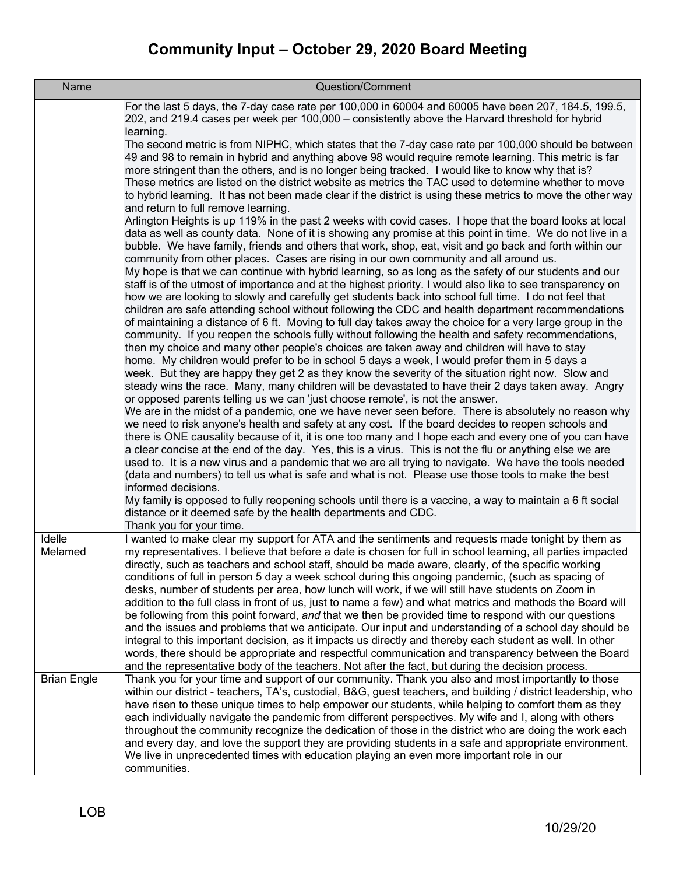| Name               | Question/Comment                                                                                                                                                                                                                                                                                                                                                                                                                                                                                                                                                                                                                                                                                                                                                                                                                                                                                                                                                                                                                                                                        |
|--------------------|-----------------------------------------------------------------------------------------------------------------------------------------------------------------------------------------------------------------------------------------------------------------------------------------------------------------------------------------------------------------------------------------------------------------------------------------------------------------------------------------------------------------------------------------------------------------------------------------------------------------------------------------------------------------------------------------------------------------------------------------------------------------------------------------------------------------------------------------------------------------------------------------------------------------------------------------------------------------------------------------------------------------------------------------------------------------------------------------|
|                    | For the last 5 days, the 7-day case rate per 100,000 in 60004 and 60005 have been 207, 184.5, 199.5,<br>202, and 219.4 cases per week per 100,000 - consistently above the Harvard threshold for hybrid<br>learning.                                                                                                                                                                                                                                                                                                                                                                                                                                                                                                                                                                                                                                                                                                                                                                                                                                                                    |
|                    | The second metric is from NIPHC, which states that the 7-day case rate per 100,000 should be between<br>49 and 98 to remain in hybrid and anything above 98 would require remote learning. This metric is far<br>more stringent than the others, and is no longer being tracked. I would like to know why that is?<br>These metrics are listed on the district website as metrics the TAC used to determine whether to move<br>to hybrid learning. It has not been made clear if the district is using these metrics to move the other way<br>and return to full remove learning.                                                                                                                                                                                                                                                                                                                                                                                                                                                                                                       |
|                    | Arlington Heights is up 119% in the past 2 weeks with covid cases. I hope that the board looks at local<br>data as well as county data. None of it is showing any promise at this point in time. We do not live in a<br>bubble. We have family, friends and others that work, shop, eat, visit and go back and forth within our<br>community from other places. Cases are rising in our own community and all around us.                                                                                                                                                                                                                                                                                                                                                                                                                                                                                                                                                                                                                                                                |
|                    | My hope is that we can continue with hybrid learning, so as long as the safety of our students and our<br>staff is of the utmost of importance and at the highest priority. I would also like to see transparency on<br>how we are looking to slowly and carefully get students back into school full time. I do not feel that<br>children are safe attending school without following the CDC and health department recommendations<br>of maintaining a distance of 6 ft. Moving to full day takes away the choice for a very large group in the<br>community. If you reopen the schools fully without following the health and safety recommendations,                                                                                                                                                                                                                                                                                                                                                                                                                                |
|                    | then my choice and many other people's choices are taken away and children will have to stay<br>home. My children would prefer to be in school 5 days a week, I would prefer them in 5 days a<br>week. But they are happy they get 2 as they know the severity of the situation right now. Slow and<br>steady wins the race. Many, many children will be devastated to have their 2 days taken away. Angry<br>or opposed parents telling us we can 'just choose remote', is not the answer.<br>We are in the midst of a pandemic, one we have never seen before. There is absolutely no reason why                                                                                                                                                                                                                                                                                                                                                                                                                                                                                      |
|                    | we need to risk anyone's health and safety at any cost. If the board decides to reopen schools and<br>there is ONE causality because of it, it is one too many and I hope each and every one of you can have<br>a clear concise at the end of the day. Yes, this is a virus. This is not the flu or anything else we are<br>used to. It is a new virus and a pandemic that we are all trying to navigate. We have the tools needed<br>(data and numbers) to tell us what is safe and what is not. Please use those tools to make the best                                                                                                                                                                                                                                                                                                                                                                                                                                                                                                                                               |
|                    | informed decisions.<br>My family is opposed to fully reopening schools until there is a vaccine, a way to maintain a 6 ft social<br>distance or it deemed safe by the health departments and CDC.<br>Thank you for your time.                                                                                                                                                                                                                                                                                                                                                                                                                                                                                                                                                                                                                                                                                                                                                                                                                                                           |
| Idelle<br>Melamed  | I wanted to make clear my support for ATA and the sentiments and requests made tonight by them as<br>my representatives. I believe that before a date is chosen for full in school learning, all parties impacted<br>directly, such as teachers and school staff, should be made aware, clearly, of the specific working<br>conditions of full in person 5 day a week school during this ongoing pandemic, (such as spacing of<br>desks, number of students per area, how lunch will work, if we will still have students on Zoom in<br>addition to the full class in front of us, just to name a few) and what metrics and methods the Board will<br>be following from this point forward, and that we then be provided time to respond with our questions<br>and the issues and problems that we anticipate. Our input and understanding of a school day should be<br>integral to this important decision, as it impacts us directly and thereby each student as well. In other<br>words, there should be appropriate and respectful communication and transparency between the Board |
| <b>Brian Engle</b> | and the representative body of the teachers. Not after the fact, but during the decision process.<br>Thank you for your time and support of our community. Thank you also and most importantly to those<br>within our district - teachers, TA's, custodial, B&G, guest teachers, and building / district leadership, who                                                                                                                                                                                                                                                                                                                                                                                                                                                                                                                                                                                                                                                                                                                                                                |
|                    | have risen to these unique times to help empower our students, while helping to comfort them as they<br>each individually navigate the pandemic from different perspectives. My wife and I, along with others<br>throughout the community recognize the dedication of those in the district who are doing the work each<br>and every day, and love the support they are providing students in a safe and appropriate environment.<br>We live in unprecedented times with education playing an even more important role in our                                                                                                                                                                                                                                                                                                                                                                                                                                                                                                                                                           |
|                    | communities.                                                                                                                                                                                                                                                                                                                                                                                                                                                                                                                                                                                                                                                                                                                                                                                                                                                                                                                                                                                                                                                                            |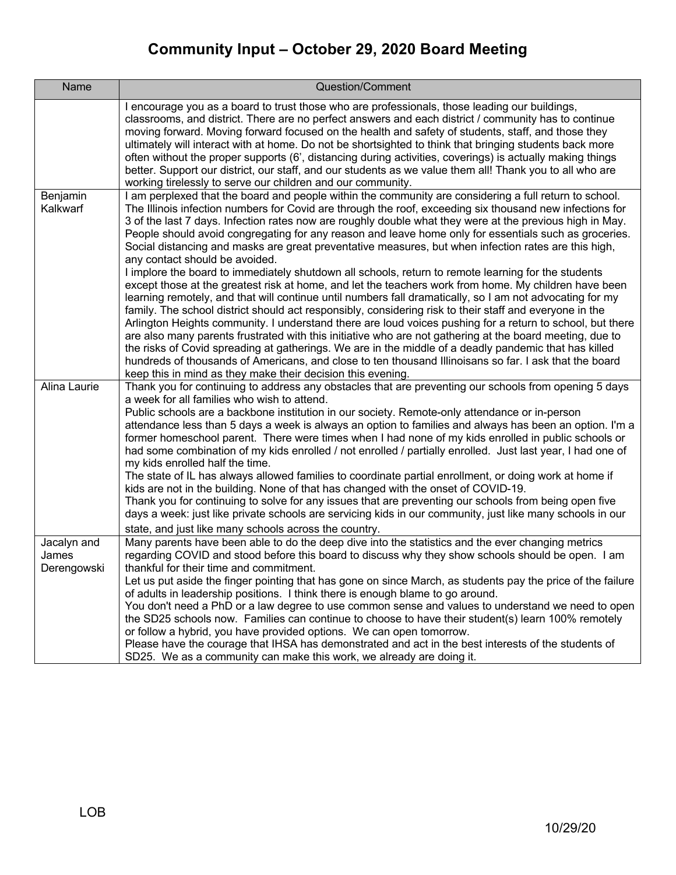| Name                                | Question/Comment                                                                                                                                                                                                                                                                                                                                                                                                                                                                                                                                                                                                                                                                                                                                                                                                                                                                                                                                                                                                                                                                                                                                                                                                                                                                                                                                                                                                                                                     |
|-------------------------------------|----------------------------------------------------------------------------------------------------------------------------------------------------------------------------------------------------------------------------------------------------------------------------------------------------------------------------------------------------------------------------------------------------------------------------------------------------------------------------------------------------------------------------------------------------------------------------------------------------------------------------------------------------------------------------------------------------------------------------------------------------------------------------------------------------------------------------------------------------------------------------------------------------------------------------------------------------------------------------------------------------------------------------------------------------------------------------------------------------------------------------------------------------------------------------------------------------------------------------------------------------------------------------------------------------------------------------------------------------------------------------------------------------------------------------------------------------------------------|
|                                     | I encourage you as a board to trust those who are professionals, those leading our buildings,<br>classrooms, and district. There are no perfect answers and each district / community has to continue<br>moving forward. Moving forward focused on the health and safety of students, staff, and those they<br>ultimately will interact with at home. Do not be shortsighted to think that bringing students back more<br>often without the proper supports (6', distancing during activities, coverings) is actually making things<br>better. Support our district, our staff, and our students as we value them all! Thank you to all who are<br>working tirelessly to serve our children and our community.                                                                                                                                                                                                                                                                                                                                                                                                                                                                                                                                                                                                                                                                                                                                                       |
| Benjamin<br>Kalkwarf                | I am perplexed that the board and people within the community are considering a full return to school.<br>The Illinois infection numbers for Covid are through the roof, exceeding six thousand new infections for<br>3 of the last 7 days. Infection rates now are roughly double what they were at the previous high in May.<br>People should avoid congregating for any reason and leave home only for essentials such as groceries.<br>Social distancing and masks are great preventative measures, but when infection rates are this high,<br>any contact should be avoided.<br>I implore the board to immediately shutdown all schools, return to remote learning for the students<br>except those at the greatest risk at home, and let the teachers work from home. My children have been<br>learning remotely, and that will continue until numbers fall dramatically, so I am not advocating for my<br>family. The school district should act responsibly, considering risk to their staff and everyone in the<br>Arlington Heights community. I understand there are loud voices pushing for a return to school, but there<br>are also many parents frustrated with this initiative who are not gathering at the board meeting, due to<br>the risks of Covid spreading at gatherings. We are in the middle of a deadly pandemic that has killed<br>hundreds of thousands of Americans, and close to ten thousand Illinoisans so far. I ask that the board |
| Alina Laurie                        | keep this in mind as they make their decision this evening.<br>Thank you for continuing to address any obstacles that are preventing our schools from opening 5 days<br>a week for all families who wish to attend.<br>Public schools are a backbone institution in our society. Remote-only attendance or in-person<br>attendance less than 5 days a week is always an option to families and always has been an option. I'm a<br>former homeschool parent. There were times when I had none of my kids enrolled in public schools or<br>had some combination of my kids enrolled / not enrolled / partially enrolled. Just last year, I had one of<br>my kids enrolled half the time.<br>The state of IL has always allowed families to coordinate partial enrollment, or doing work at home if<br>kids are not in the building. None of that has changed with the onset of COVID-19.<br>Thank you for continuing to solve for any issues that are preventing our schools from being open five<br>days a week: just like private schools are servicing kids in our community, just like many schools in our<br>state, and just like many schools across the country.                                                                                                                                                                                                                                                                                               |
| Jacalyn and<br>James<br>Derengowski | Many parents have been able to do the deep dive into the statistics and the ever changing metrics<br>regarding COVID and stood before this board to discuss why they show schools should be open. I am<br>thankful for their time and commitment.<br>Let us put aside the finger pointing that has gone on since March, as students pay the price of the failure<br>of adults in leadership positions. I think there is enough blame to go around.<br>You don't need a PhD or a law degree to use common sense and values to understand we need to open<br>the SD25 schools now. Families can continue to choose to have their student(s) learn 100% remotely<br>or follow a hybrid, you have provided options. We can open tomorrow.<br>Please have the courage that IHSA has demonstrated and act in the best interests of the students of<br>SD25. We as a community can make this work, we already are doing it.                                                                                                                                                                                                                                                                                                                                                                                                                                                                                                                                                 |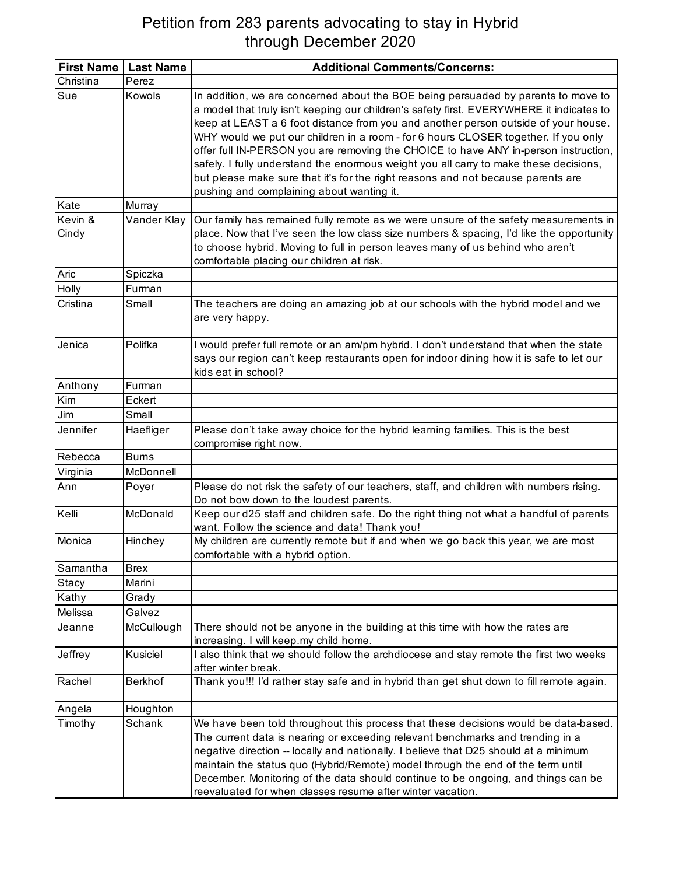## Petition from 283 parents advocating to stay in Hybrid through December 2020

|                  | First Name   Last Name | <b>Additional Comments/Concerns:</b>                                                                                                                                                                                                                                                                                                                                                                                                                                                                                                                                                                                          |
|------------------|------------------------|-------------------------------------------------------------------------------------------------------------------------------------------------------------------------------------------------------------------------------------------------------------------------------------------------------------------------------------------------------------------------------------------------------------------------------------------------------------------------------------------------------------------------------------------------------------------------------------------------------------------------------|
| Christina        | Perez                  |                                                                                                                                                                                                                                                                                                                                                                                                                                                                                                                                                                                                                               |
| Sue              | Kowols                 | In addition, we are concerned about the BOE being persuaded by parents to move to<br>a model that truly isn't keeping our children's safety first. EVERYWHERE it indicates to<br>keep at LEAST a 6 foot distance from you and another person outside of your house.<br>WHY would we put our children in a room - for 6 hours CLOSER together. If you only<br>offer full IN-PERSON you are removing the CHOICE to have ANY in-person instruction,<br>safely. I fully understand the enormous weight you all carry to make these decisions,<br>but please make sure that it's for the right reasons and not because parents are |
|                  |                        | pushing and complaining about wanting it.                                                                                                                                                                                                                                                                                                                                                                                                                                                                                                                                                                                     |
| Kate             | Murray                 |                                                                                                                                                                                                                                                                                                                                                                                                                                                                                                                                                                                                                               |
| Kevin &<br>Cindy | Vander Klay            | Our family has remained fully remote as we were unsure of the safety measurements in<br>place. Now that I've seen the low class size numbers & spacing, I'd like the opportunity<br>to choose hybrid. Moving to full in person leaves many of us behind who aren't<br>comfortable placing our children at risk.                                                                                                                                                                                                                                                                                                               |
| Aric             | Spiczka                |                                                                                                                                                                                                                                                                                                                                                                                                                                                                                                                                                                                                                               |
| Holly            | Furman                 |                                                                                                                                                                                                                                                                                                                                                                                                                                                                                                                                                                                                                               |
| Cristina         | Small                  | The teachers are doing an amazing job at our schools with the hybrid model and we<br>are very happy.                                                                                                                                                                                                                                                                                                                                                                                                                                                                                                                          |
| Jenica           | Polifka                | I would prefer full remote or an am/pm hybrid. I don't understand that when the state<br>says our region can't keep restaurants open for indoor dining how it is safe to let our<br>kids eat in school?                                                                                                                                                                                                                                                                                                                                                                                                                       |
| Anthony          | Furman                 |                                                                                                                                                                                                                                                                                                                                                                                                                                                                                                                                                                                                                               |
| Kim              | Eckert                 |                                                                                                                                                                                                                                                                                                                                                                                                                                                                                                                                                                                                                               |
| Jim              | Small                  |                                                                                                                                                                                                                                                                                                                                                                                                                                                                                                                                                                                                                               |
| Jennifer         | Haefliger              | Please don't take away choice for the hybrid learning families. This is the best<br>compromise right now.                                                                                                                                                                                                                                                                                                                                                                                                                                                                                                                     |
| Rebecca          | <b>Burns</b>           |                                                                                                                                                                                                                                                                                                                                                                                                                                                                                                                                                                                                                               |
| Virginia         | McDonnell              |                                                                                                                                                                                                                                                                                                                                                                                                                                                                                                                                                                                                                               |
| Ann              | Poyer                  | Please do not risk the safety of our teachers, staff, and children with numbers rising.<br>Do not bow down to the loudest parents.                                                                                                                                                                                                                                                                                                                                                                                                                                                                                            |
| Kelli            | McDonald               | Keep our d25 staff and children safe. Do the right thing not what a handful of parents<br>want. Follow the science and data! Thank you!                                                                                                                                                                                                                                                                                                                                                                                                                                                                                       |
| Monica           | Hinchey                | My children are currently remote but if and when we go back this year, we are most<br>comfortable with a hybrid option.                                                                                                                                                                                                                                                                                                                                                                                                                                                                                                       |
| Samantha         | <b>Brex</b>            |                                                                                                                                                                                                                                                                                                                                                                                                                                                                                                                                                                                                                               |
| Stacy            | Marini                 |                                                                                                                                                                                                                                                                                                                                                                                                                                                                                                                                                                                                                               |
| Kathy            | Grady                  |                                                                                                                                                                                                                                                                                                                                                                                                                                                                                                                                                                                                                               |
| Melissa          | Galvez                 |                                                                                                                                                                                                                                                                                                                                                                                                                                                                                                                                                                                                                               |
| Jeanne           | McCullough             | There should not be anyone in the building at this time with how the rates are<br>increasing. I will keep.my child home.                                                                                                                                                                                                                                                                                                                                                                                                                                                                                                      |
| Jeffrey          | Kusiciel               | I also think that we should follow the archdiocese and stay remote the first two weeks<br>after winter break.                                                                                                                                                                                                                                                                                                                                                                                                                                                                                                                 |
| Rachel           | Berkhof                | Thank you!!! I'd rather stay safe and in hybrid than get shut down to fill remote again.                                                                                                                                                                                                                                                                                                                                                                                                                                                                                                                                      |
| Angela           | Houghton               |                                                                                                                                                                                                                                                                                                                                                                                                                                                                                                                                                                                                                               |
| Timothy          | Schank                 | We have been told throughout this process that these decisions would be data-based.<br>The current data is nearing or exceeding relevant benchmarks and trending in a<br>negative direction - locally and nationally. I believe that D25 should at a minimum<br>maintain the status quo (Hybrid/Remote) model through the end of the term until<br>December. Monitoring of the data should continue to be ongoing, and things can be<br>reevaluated for when classes resume after winter vacation.                                                                                                                            |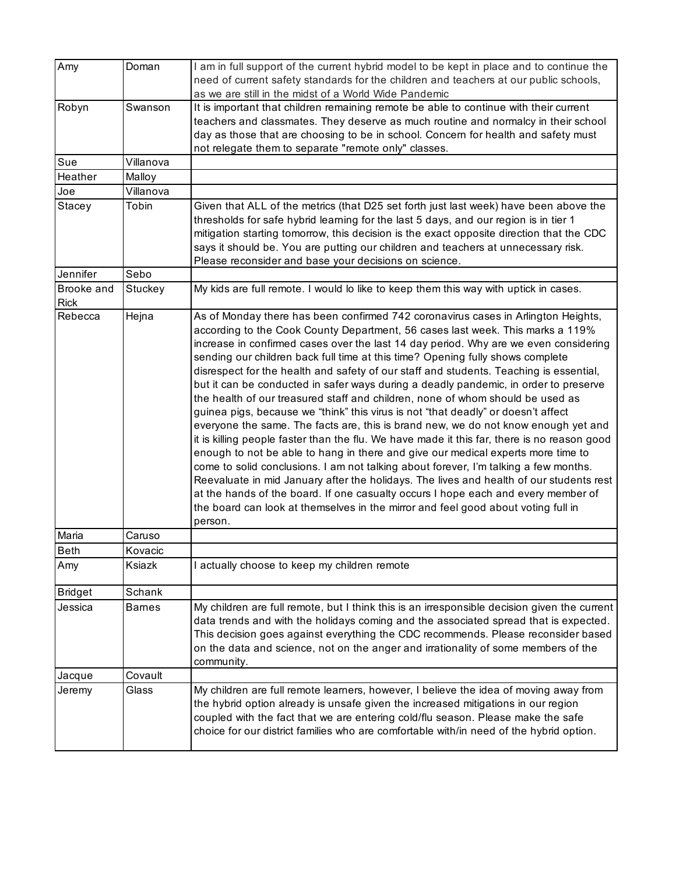| Amy                       | Doman         | I am in full support of the current hybrid model to be kept in place and to continue the<br>need of current safety standards for the children and teachers at our public schools,                                                                                                                                                                                                                                                                                                                                                                                                                                                                                                                                                                                                                                                                                                                                                                                                                                                                                                                                                                                                                                                                                                                                                                       |
|---------------------------|---------------|---------------------------------------------------------------------------------------------------------------------------------------------------------------------------------------------------------------------------------------------------------------------------------------------------------------------------------------------------------------------------------------------------------------------------------------------------------------------------------------------------------------------------------------------------------------------------------------------------------------------------------------------------------------------------------------------------------------------------------------------------------------------------------------------------------------------------------------------------------------------------------------------------------------------------------------------------------------------------------------------------------------------------------------------------------------------------------------------------------------------------------------------------------------------------------------------------------------------------------------------------------------------------------------------------------------------------------------------------------|
| Robyn                     | Swanson       | as we are still in the midst of a World Wide Pandemic<br>It is important that children remaining remote be able to continue with their current                                                                                                                                                                                                                                                                                                                                                                                                                                                                                                                                                                                                                                                                                                                                                                                                                                                                                                                                                                                                                                                                                                                                                                                                          |
|                           |               | teachers and classmates. They deserve as much routine and normalcy in their school<br>day as those that are choosing to be in school. Concern for health and safety must<br>not relegate them to separate "remote only" classes.                                                                                                                                                                                                                                                                                                                                                                                                                                                                                                                                                                                                                                                                                                                                                                                                                                                                                                                                                                                                                                                                                                                        |
| Sue                       | Villanova     |                                                                                                                                                                                                                                                                                                                                                                                                                                                                                                                                                                                                                                                                                                                                                                                                                                                                                                                                                                                                                                                                                                                                                                                                                                                                                                                                                         |
| Heather                   | Malloy        |                                                                                                                                                                                                                                                                                                                                                                                                                                                                                                                                                                                                                                                                                                                                                                                                                                                                                                                                                                                                                                                                                                                                                                                                                                                                                                                                                         |
| Joe                       | Villanova     |                                                                                                                                                                                                                                                                                                                                                                                                                                                                                                                                                                                                                                                                                                                                                                                                                                                                                                                                                                                                                                                                                                                                                                                                                                                                                                                                                         |
| Stacey                    | Tobin         | Given that ALL of the metrics (that D25 set forth just last week) have been above the<br>thresholds for safe hybrid learning for the last 5 days, and our region is in tier 1<br>mitigation starting tomorrow, this decision is the exact opposite direction that the CDC<br>says it should be. You are putting our children and teachers at unnecessary risk.<br>Please reconsider and base your decisions on science.                                                                                                                                                                                                                                                                                                                                                                                                                                                                                                                                                                                                                                                                                                                                                                                                                                                                                                                                 |
| Jennifer                  | Sebo          |                                                                                                                                                                                                                                                                                                                                                                                                                                                                                                                                                                                                                                                                                                                                                                                                                                                                                                                                                                                                                                                                                                                                                                                                                                                                                                                                                         |
| Brooke and<br><b>Rick</b> | Stuckey       | My kids are full remote. I would lo like to keep them this way with uptick in cases.                                                                                                                                                                                                                                                                                                                                                                                                                                                                                                                                                                                                                                                                                                                                                                                                                                                                                                                                                                                                                                                                                                                                                                                                                                                                    |
| Rebecca                   | Hejna         | As of Monday there has been confirmed 742 coronavirus cases in Arlington Heights,<br>according to the Cook County Department, 56 cases last week. This marks a 119%<br>increase in confirmed cases over the last 14 day period. Why are we even considering<br>sending our children back full time at this time? Opening fully shows complete<br>disrespect for the health and safety of our staff and students. Teaching is essential,<br>but it can be conducted in safer ways during a deadly pandemic, in order to preserve<br>the health of our treasured staff and children, none of whom should be used as<br>guinea pigs, because we "think" this virus is not "that deadly" or doesn't affect<br>everyone the same. The facts are, this is brand new, we do not know enough yet and<br>it is killing people faster than the flu. We have made it this far, there is no reason good<br>enough to not be able to hang in there and give our medical experts more time to<br>come to solid conclusions. I am not talking about forever, I'm talking a few months.<br>Reevaluate in mid January after the holidays. The lives and health of our students rest<br>at the hands of the board. If one casualty occurs I hope each and every member of<br>the board can look at themselves in the mirror and feel good about voting full in<br>person. |
| Maria                     | Caruso        |                                                                                                                                                                                                                                                                                                                                                                                                                                                                                                                                                                                                                                                                                                                                                                                                                                                                                                                                                                                                                                                                                                                                                                                                                                                                                                                                                         |
| <b>Beth</b>               | Kovacic       |                                                                                                                                                                                                                                                                                                                                                                                                                                                                                                                                                                                                                                                                                                                                                                                                                                                                                                                                                                                                                                                                                                                                                                                                                                                                                                                                                         |
| Amy                       | Ksiazk        | I actually choose to keep my children remote                                                                                                                                                                                                                                                                                                                                                                                                                                                                                                                                                                                                                                                                                                                                                                                                                                                                                                                                                                                                                                                                                                                                                                                                                                                                                                            |
| <b>Bridget</b>            | Schank        |                                                                                                                                                                                                                                                                                                                                                                                                                                                                                                                                                                                                                                                                                                                                                                                                                                                                                                                                                                                                                                                                                                                                                                                                                                                                                                                                                         |
| Jessica                   | <b>Barnes</b> | My children are full remote, but I think this is an irresponsible decision given the current<br>data trends and with the holidays coming and the associated spread that is expected.<br>This decision goes against everything the CDC recommends. Please reconsider based<br>on the data and science, not on the anger and irrationality of some members of the<br>community.                                                                                                                                                                                                                                                                                                                                                                                                                                                                                                                                                                                                                                                                                                                                                                                                                                                                                                                                                                           |
| Jacque                    | Covault       |                                                                                                                                                                                                                                                                                                                                                                                                                                                                                                                                                                                                                                                                                                                                                                                                                                                                                                                                                                                                                                                                                                                                                                                                                                                                                                                                                         |
| Jeremy                    | Glass         | My children are full remote learners, however, I believe the idea of moving away from<br>the hybrid option already is unsafe given the increased mitigations in our region<br>coupled with the fact that we are entering cold/flu season. Please make the safe<br>choice for our district families who are comfortable with/in need of the hybrid option.                                                                                                                                                                                                                                                                                                                                                                                                                                                                                                                                                                                                                                                                                                                                                                                                                                                                                                                                                                                               |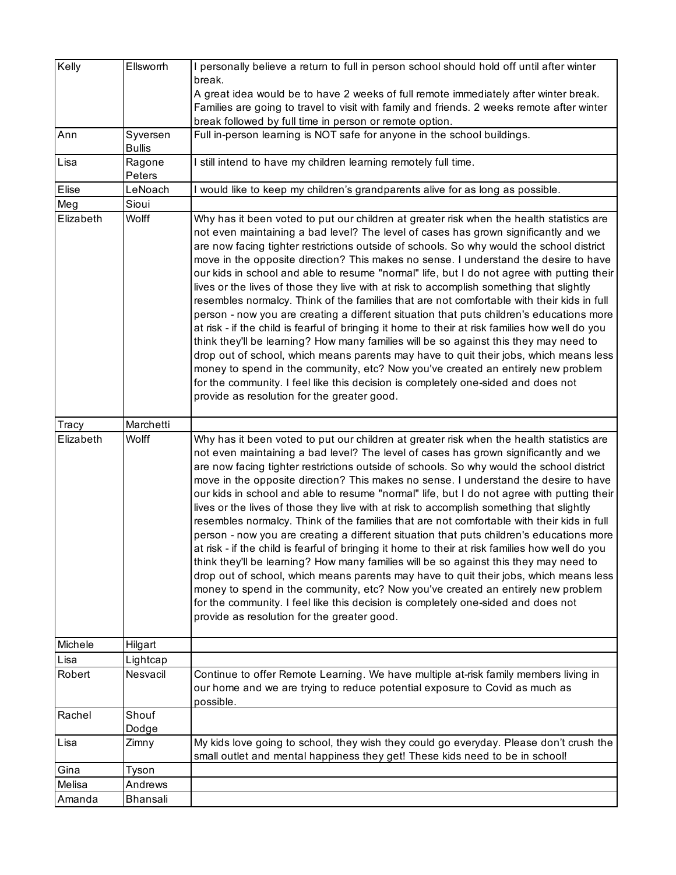| Kelly     | Ellsworrh                 | I personally believe a return to full in person school should hold off until after winter<br>break.<br>A great idea would be to have 2 weeks of full remote immediately after winter break.<br>Families are going to travel to visit with family and friends. 2 weeks remote after winter<br>break followed by full time in person or remote option.                                                                                                                                                                                                                                                                                                                                                                                                                                                                                                                                                                                                                                                                                                                                                                                                                                                                                                                 |
|-----------|---------------------------|----------------------------------------------------------------------------------------------------------------------------------------------------------------------------------------------------------------------------------------------------------------------------------------------------------------------------------------------------------------------------------------------------------------------------------------------------------------------------------------------------------------------------------------------------------------------------------------------------------------------------------------------------------------------------------------------------------------------------------------------------------------------------------------------------------------------------------------------------------------------------------------------------------------------------------------------------------------------------------------------------------------------------------------------------------------------------------------------------------------------------------------------------------------------------------------------------------------------------------------------------------------------|
| Ann       | Syversen<br><b>Bullis</b> | Full in-person learning is NOT safe for anyone in the school buildings.                                                                                                                                                                                                                                                                                                                                                                                                                                                                                                                                                                                                                                                                                                                                                                                                                                                                                                                                                                                                                                                                                                                                                                                              |
| Lisa      | Ragone<br>Peters          | I still intend to have my children learning remotely full time.                                                                                                                                                                                                                                                                                                                                                                                                                                                                                                                                                                                                                                                                                                                                                                                                                                                                                                                                                                                                                                                                                                                                                                                                      |
| Elise     | LeNoach                   | I would like to keep my children's grandparents alive for as long as possible.                                                                                                                                                                                                                                                                                                                                                                                                                                                                                                                                                                                                                                                                                                                                                                                                                                                                                                                                                                                                                                                                                                                                                                                       |
| Meg       | Sioui                     |                                                                                                                                                                                                                                                                                                                                                                                                                                                                                                                                                                                                                                                                                                                                                                                                                                                                                                                                                                                                                                                                                                                                                                                                                                                                      |
| Elizabeth | Wolff                     | Why has it been voted to put our children at greater risk when the health statistics are<br>not even maintaining a bad level? The level of cases has grown significantly and we<br>are now facing tighter restrictions outside of schools. So why would the school district<br>move in the opposite direction? This makes no sense. I understand the desire to have<br>our kids in school and able to resume "normal" life, but I do not agree with putting their<br>lives or the lives of those they live with at risk to accomplish something that slightly<br>resembles normalcy. Think of the families that are not comfortable with their kids in full<br>person - now you are creating a different situation that puts children's educations more<br>at risk - if the child is fearful of bringing it home to their at risk families how well do you<br>think they'll be learning? How many families will be so against this they may need to<br>drop out of school, which means parents may have to quit their jobs, which means less<br>money to spend in the community, etc? Now you've created an entirely new problem<br>for the community. I feel like this decision is completely one-sided and does not<br>provide as resolution for the greater good. |
| Tracy     | Marchetti                 |                                                                                                                                                                                                                                                                                                                                                                                                                                                                                                                                                                                                                                                                                                                                                                                                                                                                                                                                                                                                                                                                                                                                                                                                                                                                      |
| Elizabeth | Wolff                     | Why has it been voted to put our children at greater risk when the health statistics are<br>not even maintaining a bad level? The level of cases has grown significantly and we<br>are now facing tighter restrictions outside of schools. So why would the school district<br>move in the opposite direction? This makes no sense. I understand the desire to have<br>our kids in school and able to resume "normal" life, but I do not agree with putting their<br>lives or the lives of those they live with at risk to accomplish something that slightly<br>resembles normalcy. Think of the families that are not comfortable with their kids in full<br>person - now you are creating a different situation that puts children's educations more<br>at risk - if the child is fearful of bringing it home to their at risk families how well do you<br>think they'll be learning? How many families will be so against this they may need to<br>drop out of school, which means parents may have to quit their jobs, which means less<br>money to spend in the community, etc? Now you've created an entirely new problem<br>for the community. I feel like this decision is completely one-sided and does not<br>provide as resolution for the greater good. |
| Michele   | Hilgart                   |                                                                                                                                                                                                                                                                                                                                                                                                                                                                                                                                                                                                                                                                                                                                                                                                                                                                                                                                                                                                                                                                                                                                                                                                                                                                      |
| Lisa      | Lightcap                  |                                                                                                                                                                                                                                                                                                                                                                                                                                                                                                                                                                                                                                                                                                                                                                                                                                                                                                                                                                                                                                                                                                                                                                                                                                                                      |
| Robert    | Nesvacil                  | Continue to offer Remote Learning. We have multiple at-risk family members living in<br>our home and we are trying to reduce potential exposure to Covid as much as<br>possible.                                                                                                                                                                                                                                                                                                                                                                                                                                                                                                                                                                                                                                                                                                                                                                                                                                                                                                                                                                                                                                                                                     |
| Rachel    | Shouf<br>Dodge            |                                                                                                                                                                                                                                                                                                                                                                                                                                                                                                                                                                                                                                                                                                                                                                                                                                                                                                                                                                                                                                                                                                                                                                                                                                                                      |
| Lisa      | Zimny                     | My kids love going to school, they wish they could go everyday. Please don't crush the<br>small outlet and mental happiness they get! These kids need to be in school!                                                                                                                                                                                                                                                                                                                                                                                                                                                                                                                                                                                                                                                                                                                                                                                                                                                                                                                                                                                                                                                                                               |
| Gina      | Tyson                     |                                                                                                                                                                                                                                                                                                                                                                                                                                                                                                                                                                                                                                                                                                                                                                                                                                                                                                                                                                                                                                                                                                                                                                                                                                                                      |
| Melisa    | Andrews                   |                                                                                                                                                                                                                                                                                                                                                                                                                                                                                                                                                                                                                                                                                                                                                                                                                                                                                                                                                                                                                                                                                                                                                                                                                                                                      |
| Amanda    | Bhansali                  |                                                                                                                                                                                                                                                                                                                                                                                                                                                                                                                                                                                                                                                                                                                                                                                                                                                                                                                                                                                                                                                                                                                                                                                                                                                                      |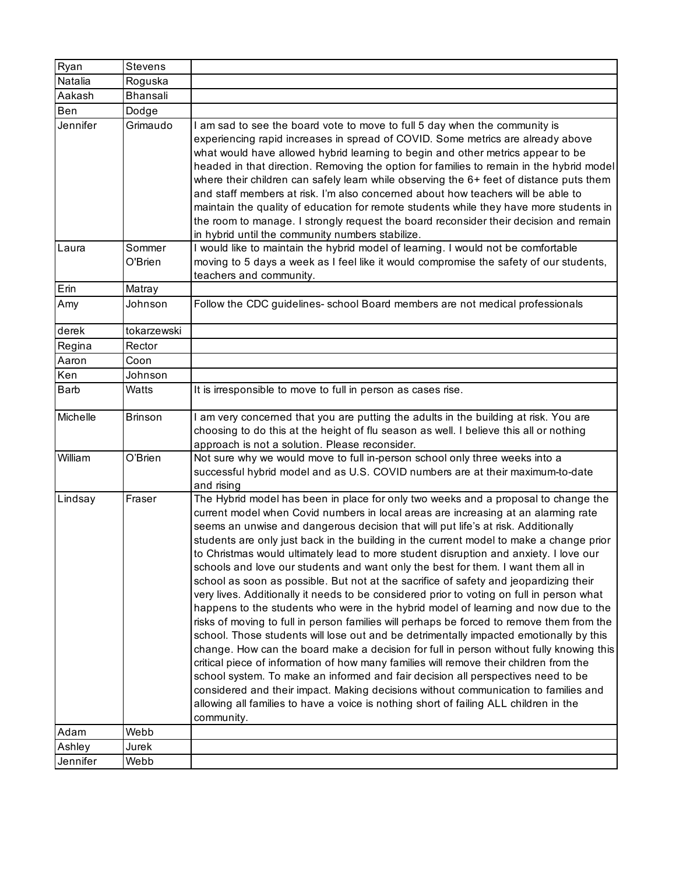| Ryan     | <b>Stevens</b>    |                                                                                                                                                                                                                                                                                                                                                                                                                                                                                                                                                                                                                                                                                                                                                                                                                                                                                                                                                                                                                                                                                                                                                                                                                                                                                                                                                                                                                                                                                   |
|----------|-------------------|-----------------------------------------------------------------------------------------------------------------------------------------------------------------------------------------------------------------------------------------------------------------------------------------------------------------------------------------------------------------------------------------------------------------------------------------------------------------------------------------------------------------------------------------------------------------------------------------------------------------------------------------------------------------------------------------------------------------------------------------------------------------------------------------------------------------------------------------------------------------------------------------------------------------------------------------------------------------------------------------------------------------------------------------------------------------------------------------------------------------------------------------------------------------------------------------------------------------------------------------------------------------------------------------------------------------------------------------------------------------------------------------------------------------------------------------------------------------------------------|
| Natalia  | Roguska           |                                                                                                                                                                                                                                                                                                                                                                                                                                                                                                                                                                                                                                                                                                                                                                                                                                                                                                                                                                                                                                                                                                                                                                                                                                                                                                                                                                                                                                                                                   |
| Aakash   | <b>Bhansali</b>   |                                                                                                                                                                                                                                                                                                                                                                                                                                                                                                                                                                                                                                                                                                                                                                                                                                                                                                                                                                                                                                                                                                                                                                                                                                                                                                                                                                                                                                                                                   |
| Ben      | Dodge             |                                                                                                                                                                                                                                                                                                                                                                                                                                                                                                                                                                                                                                                                                                                                                                                                                                                                                                                                                                                                                                                                                                                                                                                                                                                                                                                                                                                                                                                                                   |
| Jennifer | Grimaudo          | I am sad to see the board vote to move to full 5 day when the community is<br>experiencing rapid increases in spread of COVID. Some metrics are already above<br>what would have allowed hybrid learning to begin and other metrics appear to be<br>headed in that direction. Removing the option for families to remain in the hybrid model<br>where their children can safely learn while observing the 6+ feet of distance puts them<br>and staff members at risk. I'm also concerned about how teachers will be able to<br>maintain the quality of education for remote students while they have more students in<br>the room to manage. I strongly request the board reconsider their decision and remain<br>in hybrid until the community numbers stabilize.                                                                                                                                                                                                                                                                                                                                                                                                                                                                                                                                                                                                                                                                                                                |
| Laura    | Sommer<br>O'Brien | I would like to maintain the hybrid model of learning. I would not be comfortable<br>moving to 5 days a week as I feel like it would compromise the safety of our students,<br>teachers and community.                                                                                                                                                                                                                                                                                                                                                                                                                                                                                                                                                                                                                                                                                                                                                                                                                                                                                                                                                                                                                                                                                                                                                                                                                                                                            |
| Erin     | Matray            |                                                                                                                                                                                                                                                                                                                                                                                                                                                                                                                                                                                                                                                                                                                                                                                                                                                                                                                                                                                                                                                                                                                                                                                                                                                                                                                                                                                                                                                                                   |
| Amy      | Johnson           | Follow the CDC guidelines- school Board members are not medical professionals                                                                                                                                                                                                                                                                                                                                                                                                                                                                                                                                                                                                                                                                                                                                                                                                                                                                                                                                                                                                                                                                                                                                                                                                                                                                                                                                                                                                     |
| derek    | tokarzewski       |                                                                                                                                                                                                                                                                                                                                                                                                                                                                                                                                                                                                                                                                                                                                                                                                                                                                                                                                                                                                                                                                                                                                                                                                                                                                                                                                                                                                                                                                                   |
| Regina   | Rector            |                                                                                                                                                                                                                                                                                                                                                                                                                                                                                                                                                                                                                                                                                                                                                                                                                                                                                                                                                                                                                                                                                                                                                                                                                                                                                                                                                                                                                                                                                   |
| Aaron    | Coon              |                                                                                                                                                                                                                                                                                                                                                                                                                                                                                                                                                                                                                                                                                                                                                                                                                                                                                                                                                                                                                                                                                                                                                                                                                                                                                                                                                                                                                                                                                   |
| Ken      | Johnson           |                                                                                                                                                                                                                                                                                                                                                                                                                                                                                                                                                                                                                                                                                                                                                                                                                                                                                                                                                                                                                                                                                                                                                                                                                                                                                                                                                                                                                                                                                   |
| Barb     | Watts             | It is irresponsible to move to full in person as cases rise.                                                                                                                                                                                                                                                                                                                                                                                                                                                                                                                                                                                                                                                                                                                                                                                                                                                                                                                                                                                                                                                                                                                                                                                                                                                                                                                                                                                                                      |
| Michelle | <b>Brinson</b>    | I am very concerned that you are putting the adults in the building at risk. You are<br>choosing to do this at the height of flu season as well. I believe this all or nothing<br>approach is not a solution. Please reconsider.                                                                                                                                                                                                                                                                                                                                                                                                                                                                                                                                                                                                                                                                                                                                                                                                                                                                                                                                                                                                                                                                                                                                                                                                                                                  |
| William  | O'Brien           | Not sure why we would move to full in-person school only three weeks into a<br>successful hybrid model and as U.S. COVID numbers are at their maximum-to-date<br>and rising                                                                                                                                                                                                                                                                                                                                                                                                                                                                                                                                                                                                                                                                                                                                                                                                                                                                                                                                                                                                                                                                                                                                                                                                                                                                                                       |
| Lindsay  | Fraser            | The Hybrid model has been in place for only two weeks and a proposal to change the<br>current model when Covid numbers in local areas are increasing at an alarming rate<br>seems an unwise and dangerous decision that will put life's at risk. Additionally<br>students are only just back in the building in the current model to make a change prior<br>to Christmas would ultimately lead to more student disruption and anxiety. I love our<br>schools and love our students and want only the best for them. I want them all in<br>school as soon as possible. But not at the sacrifice of safety and jeopardizing their<br>very lives. Additionally it needs to be considered prior to voting on full in person what<br>happens to the students who were in the hybrid model of learning and now due to the<br>risks of moving to full in person families will perhaps be forced to remove them from the<br>school. Those students will lose out and be detrimentally impacted emotionally by this<br>change. How can the board make a decision for full in person without fully knowing this<br>critical piece of information of how many families will remove their children from the<br>school system. To make an informed and fair decision all perspectives need to be<br>considered and their impact. Making decisions without communication to families and<br>allowing all families to have a voice is nothing short of failing ALL children in the<br>community. |
| Adam     | Webb              |                                                                                                                                                                                                                                                                                                                                                                                                                                                                                                                                                                                                                                                                                                                                                                                                                                                                                                                                                                                                                                                                                                                                                                                                                                                                                                                                                                                                                                                                                   |
| Ashley   | Jurek             |                                                                                                                                                                                                                                                                                                                                                                                                                                                                                                                                                                                                                                                                                                                                                                                                                                                                                                                                                                                                                                                                                                                                                                                                                                                                                                                                                                                                                                                                                   |
| Jennifer | Webb              |                                                                                                                                                                                                                                                                                                                                                                                                                                                                                                                                                                                                                                                                                                                                                                                                                                                                                                                                                                                                                                                                                                                                                                                                                                                                                                                                                                                                                                                                                   |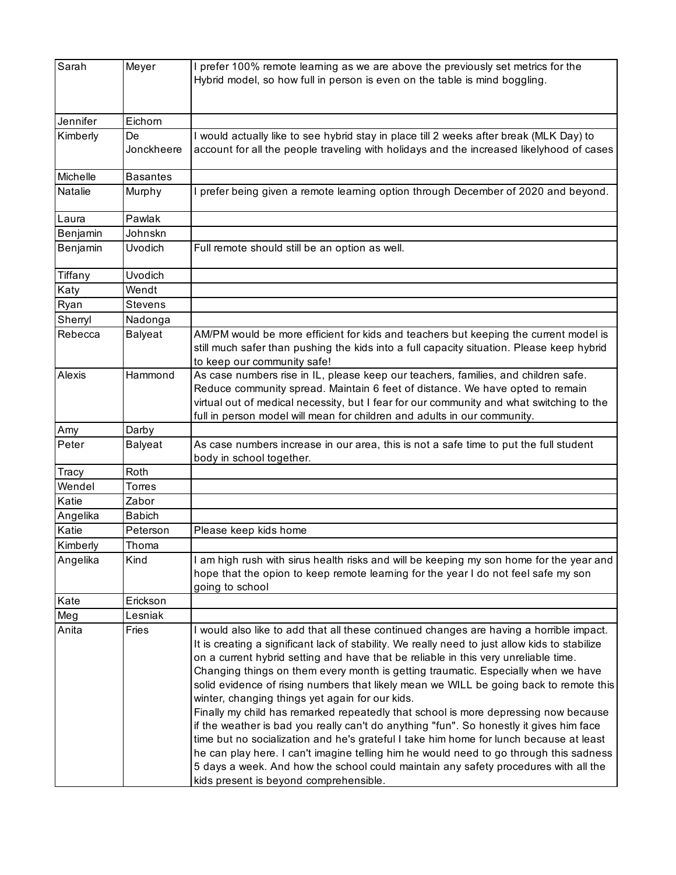| Sarah    | Meyer            | I prefer 100% remote learning as we are above the previously set metrics for the<br>Hybrid model, so how full in person is even on the table is mind boggling.                                                                                                                                                                                                                                                                                                                                                                                                                                                                                                                                                                                                                                                                                                                                                                                                                                                            |
|----------|------------------|---------------------------------------------------------------------------------------------------------------------------------------------------------------------------------------------------------------------------------------------------------------------------------------------------------------------------------------------------------------------------------------------------------------------------------------------------------------------------------------------------------------------------------------------------------------------------------------------------------------------------------------------------------------------------------------------------------------------------------------------------------------------------------------------------------------------------------------------------------------------------------------------------------------------------------------------------------------------------------------------------------------------------|
| Jennifer | Eichorn          |                                                                                                                                                                                                                                                                                                                                                                                                                                                                                                                                                                                                                                                                                                                                                                                                                                                                                                                                                                                                                           |
| Kimberly | De<br>Jonckheere | I would actually like to see hybrid stay in place till 2 weeks after break (MLK Day) to<br>account for all the people traveling with holidays and the increased likelyhood of cases                                                                                                                                                                                                                                                                                                                                                                                                                                                                                                                                                                                                                                                                                                                                                                                                                                       |
| Michelle | <b>Basantes</b>  |                                                                                                                                                                                                                                                                                                                                                                                                                                                                                                                                                                                                                                                                                                                                                                                                                                                                                                                                                                                                                           |
| Natalie  | Murphy           | I prefer being given a remote learning option through December of 2020 and beyond.                                                                                                                                                                                                                                                                                                                                                                                                                                                                                                                                                                                                                                                                                                                                                                                                                                                                                                                                        |
| Laura    | Pawlak           |                                                                                                                                                                                                                                                                                                                                                                                                                                                                                                                                                                                                                                                                                                                                                                                                                                                                                                                                                                                                                           |
| Benjamin | Johnskn          |                                                                                                                                                                                                                                                                                                                                                                                                                                                                                                                                                                                                                                                                                                                                                                                                                                                                                                                                                                                                                           |
| Benjamin | <b>Uvodich</b>   | Full remote should still be an option as well.                                                                                                                                                                                                                                                                                                                                                                                                                                                                                                                                                                                                                                                                                                                                                                                                                                                                                                                                                                            |
| Tiffany  | <b>Uvodich</b>   |                                                                                                                                                                                                                                                                                                                                                                                                                                                                                                                                                                                                                                                                                                                                                                                                                                                                                                                                                                                                                           |
| Katy     | Wendt            |                                                                                                                                                                                                                                                                                                                                                                                                                                                                                                                                                                                                                                                                                                                                                                                                                                                                                                                                                                                                                           |
| Ryan     | Stevens          |                                                                                                                                                                                                                                                                                                                                                                                                                                                                                                                                                                                                                                                                                                                                                                                                                                                                                                                                                                                                                           |
| Sherryl  | Nadonga          |                                                                                                                                                                                                                                                                                                                                                                                                                                                                                                                                                                                                                                                                                                                                                                                                                                                                                                                                                                                                                           |
| Rebecca  | <b>Balyeat</b>   | AM/PM would be more efficient for kids and teachers but keeping the current model is<br>still much safer than pushing the kids into a full capacity situation. Please keep hybrid<br>to keep our community safe!                                                                                                                                                                                                                                                                                                                                                                                                                                                                                                                                                                                                                                                                                                                                                                                                          |
| Alexis   | Hammond          | As case numbers rise in IL, please keep our teachers, families, and children safe.<br>Reduce community spread. Maintain 6 feet of distance. We have opted to remain<br>virtual out of medical necessity, but I fear for our community and what switching to the<br>full in person model will mean for children and adults in our community.                                                                                                                                                                                                                                                                                                                                                                                                                                                                                                                                                                                                                                                                               |
| Amy      | Darby            |                                                                                                                                                                                                                                                                                                                                                                                                                                                                                                                                                                                                                                                                                                                                                                                                                                                                                                                                                                                                                           |
| Peter    | <b>Balyeat</b>   | As case numbers increase in our area, this is not a safe time to put the full student<br>body in school together.                                                                                                                                                                                                                                                                                                                                                                                                                                                                                                                                                                                                                                                                                                                                                                                                                                                                                                         |
| Tracy    | Roth             |                                                                                                                                                                                                                                                                                                                                                                                                                                                                                                                                                                                                                                                                                                                                                                                                                                                                                                                                                                                                                           |
| Wendel   | Torres           |                                                                                                                                                                                                                                                                                                                                                                                                                                                                                                                                                                                                                                                                                                                                                                                                                                                                                                                                                                                                                           |
| Katie    | Zabor            |                                                                                                                                                                                                                                                                                                                                                                                                                                                                                                                                                                                                                                                                                                                                                                                                                                                                                                                                                                                                                           |
| Angelika | <b>Babich</b>    |                                                                                                                                                                                                                                                                                                                                                                                                                                                                                                                                                                                                                                                                                                                                                                                                                                                                                                                                                                                                                           |
| Katie    | Peterson         | Please keep kids home                                                                                                                                                                                                                                                                                                                                                                                                                                                                                                                                                                                                                                                                                                                                                                                                                                                                                                                                                                                                     |
| Kimberly | Thoma            |                                                                                                                                                                                                                                                                                                                                                                                                                                                                                                                                                                                                                                                                                                                                                                                                                                                                                                                                                                                                                           |
| Angelika | Kind             | I am high rush with sirus health risks and will be keeping my son home for the year and<br>hope that the opion to keep remote learning for the year I do not feel safe my son<br>going to school                                                                                                                                                                                                                                                                                                                                                                                                                                                                                                                                                                                                                                                                                                                                                                                                                          |
| Kate     | Erickson         |                                                                                                                                                                                                                                                                                                                                                                                                                                                                                                                                                                                                                                                                                                                                                                                                                                                                                                                                                                                                                           |
| Meg      | Lesniak          |                                                                                                                                                                                                                                                                                                                                                                                                                                                                                                                                                                                                                                                                                                                                                                                                                                                                                                                                                                                                                           |
| Anita    | Fries            | I would also like to add that all these continued changes are having a horrible impact.<br>It is creating a significant lack of stability. We really need to just allow kids to stabilize<br>on a current hybrid setting and have that be reliable in this very unreliable time.<br>Changing things on them every month is getting traumatic. Especially when we have<br>solid evidence of rising numbers that likely mean we WILL be going back to remote this<br>winter, changing things yet again for our kids.<br>Finally my child has remarked repeatedly that school is more depressing now because<br>if the weather is bad you really can't do anything "fun". So honestly it gives him face<br>time but no socialization and he's grateful I take him home for lunch because at least<br>he can play here. I can't imagine telling him he would need to go through this sadness<br>5 days a week. And how the school could maintain any safety procedures with all the<br>kids present is beyond comprehensible. |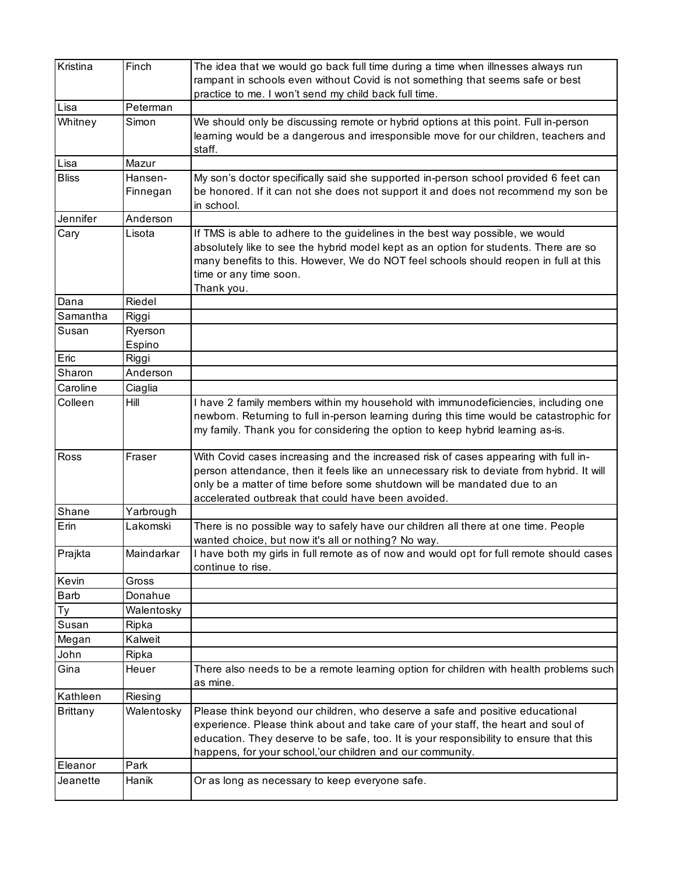| Kristina     | Finch      |                                                                                           |
|--------------|------------|-------------------------------------------------------------------------------------------|
|              |            | The idea that we would go back full time during a time when illnesses always run          |
|              |            | rampant in schools even without Covid is not something that seems safe or best            |
|              |            | practice to me. I won't send my child back full time.                                     |
| Lisa         | Peterman   |                                                                                           |
| Whitney      | Simon      | We should only be discussing remote or hybrid options at this point. Full in-person       |
|              |            | learning would be a dangerous and irresponsible move for our children, teachers and       |
|              |            | staff.                                                                                    |
| Lisa         | Mazur      |                                                                                           |
| <b>Bliss</b> | Hansen-    | My son's doctor specifically said she supported in-person school provided 6 feet can      |
|              | Finnegan   | be honored. If it can not she does not support it and does not recommend my son be        |
|              |            | in school.                                                                                |
| Jennifer     | Anderson   |                                                                                           |
| Cary         | Lisota     | If TMS is able to adhere to the guidelines in the best way possible, we would             |
|              |            | absolutely like to see the hybrid model kept as an option for students. There are so      |
|              |            | many benefits to this. However, We do NOT feel schools should reopen in full at this      |
|              |            | time or any time soon.                                                                    |
|              |            | Thank you.                                                                                |
| Dana         | Riedel     |                                                                                           |
| Samantha     | Riggi      |                                                                                           |
| Susan        | Ryerson    |                                                                                           |
|              | Espino     |                                                                                           |
| Eric         | Riggi      |                                                                                           |
| Sharon       | Anderson   |                                                                                           |
| Caroline     | Ciaglia    |                                                                                           |
| Colleen      | Hill       | I have 2 family members within my household with immunodeficiencies, including one        |
|              |            |                                                                                           |
|              |            | newborn. Returning to full in-person learning during this time would be catastrophic for  |
|              |            | my family. Thank you for considering the option to keep hybrid learning as-is.            |
|              |            |                                                                                           |
| Ross         | Fraser     | With Covid cases increasing and the increased risk of cases appearing with full in-       |
|              |            | person attendance, then it feels like an unnecessary risk to deviate from hybrid. It will |
|              |            | only be a matter of time before some shutdown will be mandated due to an                  |
|              |            | accelerated outbreak that could have been avoided.                                        |
| Shane        | Yarbrough  |                                                                                           |
| Erin         | Lakomski   | There is no possible way to safely have our children all there at one time. People        |
|              |            | wanted choice, but now it's all or nothing? No way.                                       |
| Prajkta      | Maindarkar | I have both my girls in full remote as of now and would opt for full remote should cases  |
|              |            | continue to rise.                                                                         |
| Kevin        | Gross      |                                                                                           |
| Barb         | Donahue    |                                                                                           |
| Ty           | Walentosky |                                                                                           |
| Susan        | Ripka      |                                                                                           |
| Megan        | Kalweit    |                                                                                           |
| John         | Ripka      |                                                                                           |
| Gina         | Heuer      | There also needs to be a remote learning option for children with health problems such    |
|              |            | as mine.                                                                                  |
| Kathleen     | Riesing    |                                                                                           |
| Brittany     | Walentosky | Please think beyond our children, who deserve a safe and positive educational             |
|              |            | experience. Please think about and take care of your staff, the heart and soul of         |
|              |            | education. They deserve to be safe, too. It is your responsibility to ensure that this    |
|              |            | happens, for your school,'our children and our community.                                 |
| Eleanor      | Park       |                                                                                           |
| Jeanette     | Hanik      | Or as long as necessary to keep everyone safe.                                            |
|              |            |                                                                                           |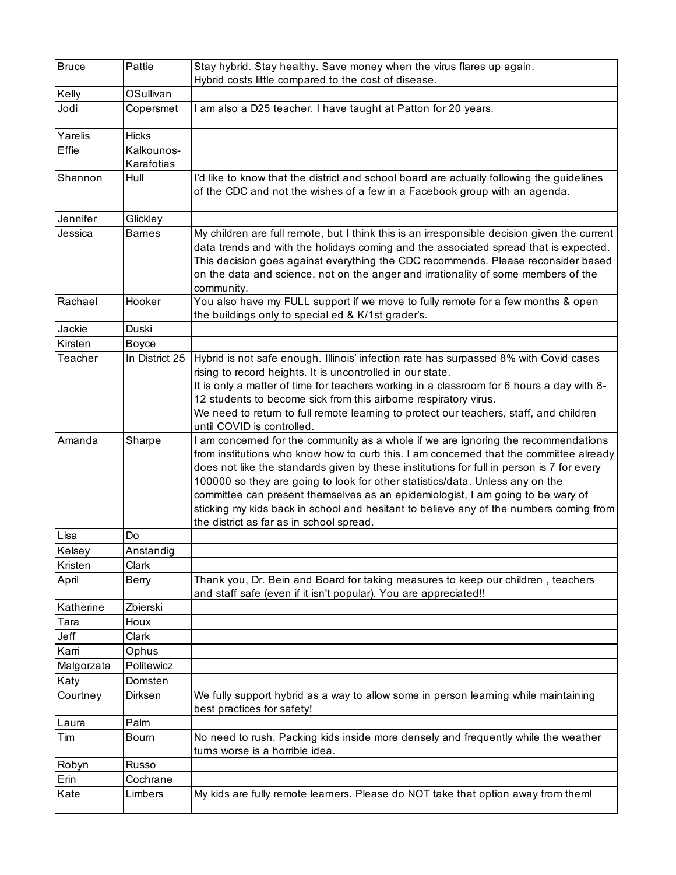| <b>Bruce</b> | Pattie         | Stay hybrid. Stay healthy. Save money when the virus flares up again.                                                                                                                                                                                                                                                                                                                                                                                                                                                                                                               |
|--------------|----------------|-------------------------------------------------------------------------------------------------------------------------------------------------------------------------------------------------------------------------------------------------------------------------------------------------------------------------------------------------------------------------------------------------------------------------------------------------------------------------------------------------------------------------------------------------------------------------------------|
|              |                | Hybrid costs little compared to the cost of disease.                                                                                                                                                                                                                                                                                                                                                                                                                                                                                                                                |
| Kelly        | OSullivan      |                                                                                                                                                                                                                                                                                                                                                                                                                                                                                                                                                                                     |
| Jodi         | Copersmet      | I am also a D25 teacher. I have taught at Patton for 20 years.                                                                                                                                                                                                                                                                                                                                                                                                                                                                                                                      |
| Yarelis      | <b>Hicks</b>   |                                                                                                                                                                                                                                                                                                                                                                                                                                                                                                                                                                                     |
| Effie        | Kalkounos-     |                                                                                                                                                                                                                                                                                                                                                                                                                                                                                                                                                                                     |
|              | Karafotias     |                                                                                                                                                                                                                                                                                                                                                                                                                                                                                                                                                                                     |
| Shannon      | Hull           | I'd like to know that the district and school board are actually following the guidelines<br>of the CDC and not the wishes of a few in a Facebook group with an agenda.                                                                                                                                                                                                                                                                                                                                                                                                             |
| Jennifer     | Glickley       |                                                                                                                                                                                                                                                                                                                                                                                                                                                                                                                                                                                     |
| Jessica      | <b>Barnes</b>  | My children are full remote, but I think this is an irresponsible decision given the current<br>data trends and with the holidays coming and the associated spread that is expected.<br>This decision goes against everything the CDC recommends. Please reconsider based<br>on the data and science, not on the anger and irrationality of some members of the<br>community.                                                                                                                                                                                                       |
| Rachael      | Hooker         | You also have my FULL support if we move to fully remote for a few months & open<br>the buildings only to special ed & K/1st grader's.                                                                                                                                                                                                                                                                                                                                                                                                                                              |
| Jackie       | Duski          |                                                                                                                                                                                                                                                                                                                                                                                                                                                                                                                                                                                     |
| Kirsten      | <b>Boyce</b>   |                                                                                                                                                                                                                                                                                                                                                                                                                                                                                                                                                                                     |
| Teacher      | In District 25 | Hybrid is not safe enough. Illinois' infection rate has surpassed 8% with Covid cases<br>rising to record heights. It is uncontrolled in our state.<br>It is only a matter of time for teachers working in a classroom for 6 hours a day with 8-<br>12 students to become sick from this airborne respiratory virus.<br>We need to return to full remote learning to protect our teachers, staff, and children<br>until COVID is controlled.                                                                                                                                        |
| Amanda       | Sharpe         | I am concerned for the community as a whole if we are ignoring the recommendations<br>from institutions who know how to curb this. I am concerned that the committee already<br>does not like the standards given by these institutions for full in person is 7 for every<br>100000 so they are going to look for other statistics/data. Unless any on the<br>committee can present themselves as an epidemiologist, I am going to be wary of<br>sticking my kids back in school and hesitant to believe any of the numbers coming from<br>the district as far as in school spread. |
| Lisa         | Do             |                                                                                                                                                                                                                                                                                                                                                                                                                                                                                                                                                                                     |
| Kelsey       | Anstandig      |                                                                                                                                                                                                                                                                                                                                                                                                                                                                                                                                                                                     |
| Kristen      | Clark          |                                                                                                                                                                                                                                                                                                                                                                                                                                                                                                                                                                                     |
| April        | Berry          | Thank you, Dr. Bein and Board for taking measures to keep our children, teachers<br>and staff safe (even if it isn't popular). You are appreciated!!                                                                                                                                                                                                                                                                                                                                                                                                                                |
| Katherine    | Zbierski       |                                                                                                                                                                                                                                                                                                                                                                                                                                                                                                                                                                                     |
| Tara         | Houx           |                                                                                                                                                                                                                                                                                                                                                                                                                                                                                                                                                                                     |
| Jeff         | Clark          |                                                                                                                                                                                                                                                                                                                                                                                                                                                                                                                                                                                     |
| Karri        | Ophus          |                                                                                                                                                                                                                                                                                                                                                                                                                                                                                                                                                                                     |
| Malgorzata   | Politewicz     |                                                                                                                                                                                                                                                                                                                                                                                                                                                                                                                                                                                     |
| Katy         | Domsten        |                                                                                                                                                                                                                                                                                                                                                                                                                                                                                                                                                                                     |
| Courtney     | Dirksen        | We fully support hybrid as a way to allow some in person learning while maintaining<br>best practices for safety!                                                                                                                                                                                                                                                                                                                                                                                                                                                                   |
| Laura        | Palm           |                                                                                                                                                                                                                                                                                                                                                                                                                                                                                                                                                                                     |
| Tim          | Bourn          | No need to rush. Packing kids inside more densely and frequently while the weather<br>turns worse is a horrible idea.                                                                                                                                                                                                                                                                                                                                                                                                                                                               |
| Robyn        | Russo          |                                                                                                                                                                                                                                                                                                                                                                                                                                                                                                                                                                                     |
| Erin         | Cochrane       |                                                                                                                                                                                                                                                                                                                                                                                                                                                                                                                                                                                     |
| Kate         | Limbers        | My kids are fully remote learners. Please do NOT take that option away from them!                                                                                                                                                                                                                                                                                                                                                                                                                                                                                                   |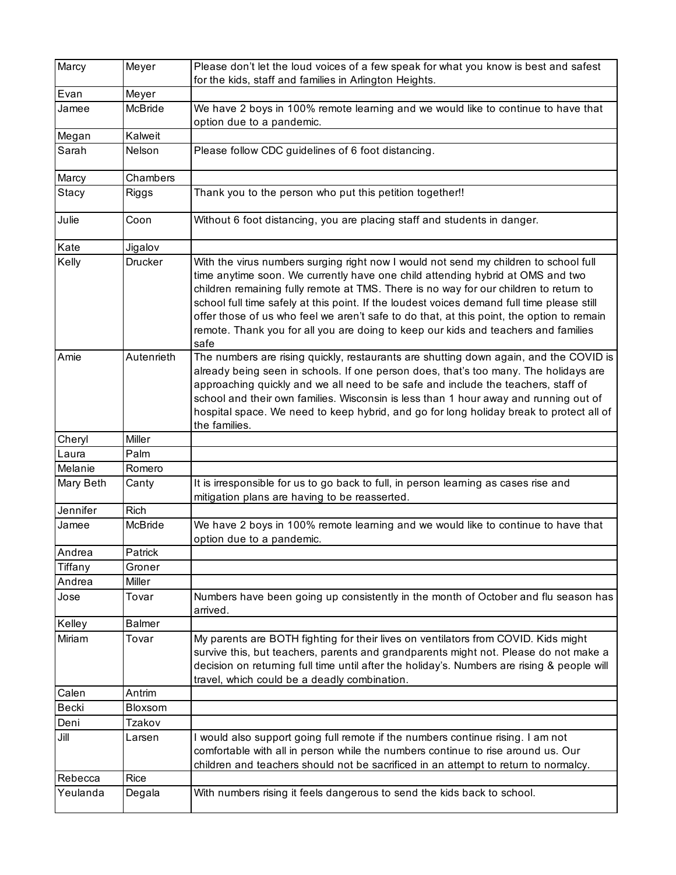| Marcy     | Meyer          | Please don't let the loud voices of a few speak for what you know is best and safest                                                                                                                                                                                                                                                                                                                                                                                                                                                                     |
|-----------|----------------|----------------------------------------------------------------------------------------------------------------------------------------------------------------------------------------------------------------------------------------------------------------------------------------------------------------------------------------------------------------------------------------------------------------------------------------------------------------------------------------------------------------------------------------------------------|
|           |                | for the kids, staff and families in Arlington Heights.                                                                                                                                                                                                                                                                                                                                                                                                                                                                                                   |
| Evan      | Meyer          |                                                                                                                                                                                                                                                                                                                                                                                                                                                                                                                                                          |
| Jamee     | McBride        | We have 2 boys in 100% remote learning and we would like to continue to have that<br>option due to a pandemic.                                                                                                                                                                                                                                                                                                                                                                                                                                           |
| Megan     | Kalweit        |                                                                                                                                                                                                                                                                                                                                                                                                                                                                                                                                                          |
| Sarah     | Nelson         | Please follow CDC guidelines of 6 foot distancing.                                                                                                                                                                                                                                                                                                                                                                                                                                                                                                       |
| Marcy     | Chambers       |                                                                                                                                                                                                                                                                                                                                                                                                                                                                                                                                                          |
| Stacy     | <b>Riggs</b>   | Thank you to the person who put this petition together!!                                                                                                                                                                                                                                                                                                                                                                                                                                                                                                 |
| Julie     | Coon           | Without 6 foot distancing, you are placing staff and students in danger.                                                                                                                                                                                                                                                                                                                                                                                                                                                                                 |
| Kate      | Jigalov        |                                                                                                                                                                                                                                                                                                                                                                                                                                                                                                                                                          |
| Kelly     | <b>Drucker</b> | With the virus numbers surging right now I would not send my children to school full<br>time anytime soon. We currently have one child attending hybrid at OMS and two<br>children remaining fully remote at TMS. There is no way for our children to return to<br>school full time safely at this point. If the loudest voices demand full time please still<br>offer those of us who feel we aren't safe to do that, at this point, the option to remain<br>remote. Thank you for all you are doing to keep our kids and teachers and families<br>safe |
| Amie      | Autenrieth     | The numbers are rising quickly, restaurants are shutting down again, and the COVID is<br>already being seen in schools. If one person does, that's too many. The holidays are<br>approaching quickly and we all need to be safe and include the teachers, staff of<br>school and their own families. Wisconsin is less than 1 hour away and running out of<br>hospital space. We need to keep hybrid, and go for long holiday break to protect all of<br>the families.                                                                                   |
| Cheryl    | Miller         |                                                                                                                                                                                                                                                                                                                                                                                                                                                                                                                                                          |
| Laura     | Palm           |                                                                                                                                                                                                                                                                                                                                                                                                                                                                                                                                                          |
| Melanie   | Romero         |                                                                                                                                                                                                                                                                                                                                                                                                                                                                                                                                                          |
| Mary Beth | Canty          | It is irresponsible for us to go back to full, in person learning as cases rise and<br>mitigation plans are having to be reasserted.                                                                                                                                                                                                                                                                                                                                                                                                                     |
| Jennifer  | <b>Rich</b>    |                                                                                                                                                                                                                                                                                                                                                                                                                                                                                                                                                          |
| Jamee     | McBride        | We have 2 boys in 100% remote learning and we would like to continue to have that<br>option due to a pandemic.                                                                                                                                                                                                                                                                                                                                                                                                                                           |
| Andrea    | Patrick        |                                                                                                                                                                                                                                                                                                                                                                                                                                                                                                                                                          |
| Tiffany   | Groner         |                                                                                                                                                                                                                                                                                                                                                                                                                                                                                                                                                          |
| Andrea    | Miller         |                                                                                                                                                                                                                                                                                                                                                                                                                                                                                                                                                          |
| Jose      | Tovar          | Numbers have been going up consistently in the month of October and flu season has<br>arrived.                                                                                                                                                                                                                                                                                                                                                                                                                                                           |
| Kelley    | <b>Balmer</b>  |                                                                                                                                                                                                                                                                                                                                                                                                                                                                                                                                                          |
| Miriam    | Tovar          | My parents are BOTH fighting for their lives on ventilators from COVID. Kids might<br>survive this, but teachers, parents and grandparents might not. Please do not make a<br>decision on returning full time until after the holiday's. Numbers are rising & people will<br>travel, which could be a deadly combination.                                                                                                                                                                                                                                |
| Calen     | Antrim         |                                                                                                                                                                                                                                                                                                                                                                                                                                                                                                                                                          |
| Becki     | Bloxsom        |                                                                                                                                                                                                                                                                                                                                                                                                                                                                                                                                                          |
| Deni      | Tzakov         |                                                                                                                                                                                                                                                                                                                                                                                                                                                                                                                                                          |
| Jill      | Larsen         | I would also support going full remote if the numbers continue rising. I am not<br>comfortable with all in person while the numbers continue to rise around us. Our<br>children and teachers should not be sacrificed in an attempt to return to normalcy.                                                                                                                                                                                                                                                                                               |
| Rebecca   | Rice           |                                                                                                                                                                                                                                                                                                                                                                                                                                                                                                                                                          |
| Yeulanda  | Degala         | With numbers rising it feels dangerous to send the kids back to school.                                                                                                                                                                                                                                                                                                                                                                                                                                                                                  |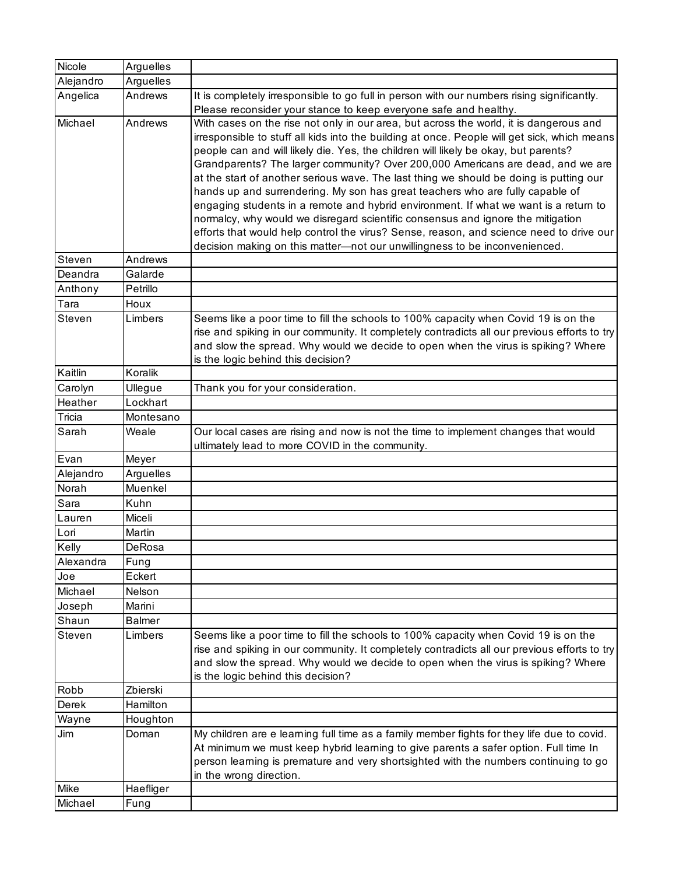| Nicole    | Arguelles     |                                                                                                                                                                                                                                                                                                                                                                                                                                                                                                                                                                                                                                                                                                                                                                                                                                                                                                 |
|-----------|---------------|-------------------------------------------------------------------------------------------------------------------------------------------------------------------------------------------------------------------------------------------------------------------------------------------------------------------------------------------------------------------------------------------------------------------------------------------------------------------------------------------------------------------------------------------------------------------------------------------------------------------------------------------------------------------------------------------------------------------------------------------------------------------------------------------------------------------------------------------------------------------------------------------------|
| Alejandro | Arguelles     |                                                                                                                                                                                                                                                                                                                                                                                                                                                                                                                                                                                                                                                                                                                                                                                                                                                                                                 |
| Angelica  | Andrews       | It is completely irresponsible to go full in person with our numbers rising significantly.<br>Please reconsider your stance to keep everyone safe and healthy.                                                                                                                                                                                                                                                                                                                                                                                                                                                                                                                                                                                                                                                                                                                                  |
| Michael   | Andrews       | With cases on the rise not only in our area, but across the world, it is dangerous and<br>irresponsible to stuff all kids into the building at once. People will get sick, which means<br>people can and will likely die. Yes, the children will likely be okay, but parents?<br>Grandparents? The larger community? Over 200,000 Americans are dead, and we are<br>at the start of another serious wave. The last thing we should be doing is putting our<br>hands up and surrendering. My son has great teachers who are fully capable of<br>engaging students in a remote and hybrid environment. If what we want is a return to<br>normalcy, why would we disregard scientific consensus and ignore the mitigation<br>efforts that would help control the virus? Sense, reason, and science need to drive our<br>decision making on this matter-not our unwillingness to be inconvenienced. |
| Steven    | Andrews       |                                                                                                                                                                                                                                                                                                                                                                                                                                                                                                                                                                                                                                                                                                                                                                                                                                                                                                 |
| Deandra   | Galarde       |                                                                                                                                                                                                                                                                                                                                                                                                                                                                                                                                                                                                                                                                                                                                                                                                                                                                                                 |
| Anthony   | Petrillo      |                                                                                                                                                                                                                                                                                                                                                                                                                                                                                                                                                                                                                                                                                                                                                                                                                                                                                                 |
| Tara      | Houx          |                                                                                                                                                                                                                                                                                                                                                                                                                                                                                                                                                                                                                                                                                                                                                                                                                                                                                                 |
| Steven    | Limbers       | Seems like a poor time to fill the schools to 100% capacity when Covid 19 is on the<br>rise and spiking in our community. It completely contradicts all our previous efforts to try<br>and slow the spread. Why would we decide to open when the virus is spiking? Where<br>is the logic behind this decision?                                                                                                                                                                                                                                                                                                                                                                                                                                                                                                                                                                                  |
| Kaitlin   | Koralik       |                                                                                                                                                                                                                                                                                                                                                                                                                                                                                                                                                                                                                                                                                                                                                                                                                                                                                                 |
| Carolyn   | Ullegue       | Thank you for your consideration.                                                                                                                                                                                                                                                                                                                                                                                                                                                                                                                                                                                                                                                                                                                                                                                                                                                               |
| Heather   | Lockhart      |                                                                                                                                                                                                                                                                                                                                                                                                                                                                                                                                                                                                                                                                                                                                                                                                                                                                                                 |
| Tricia    | Montesano     |                                                                                                                                                                                                                                                                                                                                                                                                                                                                                                                                                                                                                                                                                                                                                                                                                                                                                                 |
| Sarah     | Weale         | Our local cases are rising and now is not the time to implement changes that would<br>ultimately lead to more COVID in the community.                                                                                                                                                                                                                                                                                                                                                                                                                                                                                                                                                                                                                                                                                                                                                           |
| Evan      | Meyer         |                                                                                                                                                                                                                                                                                                                                                                                                                                                                                                                                                                                                                                                                                                                                                                                                                                                                                                 |
| Alejandro | Arguelles     |                                                                                                                                                                                                                                                                                                                                                                                                                                                                                                                                                                                                                                                                                                                                                                                                                                                                                                 |
| Norah     | Muenkel       |                                                                                                                                                                                                                                                                                                                                                                                                                                                                                                                                                                                                                                                                                                                                                                                                                                                                                                 |
| Sara      | Kuhn          |                                                                                                                                                                                                                                                                                                                                                                                                                                                                                                                                                                                                                                                                                                                                                                                                                                                                                                 |
| Lauren    | Miceli        |                                                                                                                                                                                                                                                                                                                                                                                                                                                                                                                                                                                                                                                                                                                                                                                                                                                                                                 |
| Lori      | Martin        |                                                                                                                                                                                                                                                                                                                                                                                                                                                                                                                                                                                                                                                                                                                                                                                                                                                                                                 |
| Kelly     | DeRosa        |                                                                                                                                                                                                                                                                                                                                                                                                                                                                                                                                                                                                                                                                                                                                                                                                                                                                                                 |
| Alexandra | Fung          |                                                                                                                                                                                                                                                                                                                                                                                                                                                                                                                                                                                                                                                                                                                                                                                                                                                                                                 |
| Joe       | Eckert        |                                                                                                                                                                                                                                                                                                                                                                                                                                                                                                                                                                                                                                                                                                                                                                                                                                                                                                 |
| Michael   | Nelson        |                                                                                                                                                                                                                                                                                                                                                                                                                                                                                                                                                                                                                                                                                                                                                                                                                                                                                                 |
| Joseph    | Marini        |                                                                                                                                                                                                                                                                                                                                                                                                                                                                                                                                                                                                                                                                                                                                                                                                                                                                                                 |
| Shaun     | <b>Balmer</b> |                                                                                                                                                                                                                                                                                                                                                                                                                                                                                                                                                                                                                                                                                                                                                                                                                                                                                                 |
| Steven    | Limbers       | Seems like a poor time to fill the schools to 100% capacity when Covid 19 is on the<br>rise and spiking in our community. It completely contradicts all our previous efforts to try<br>and slow the spread. Why would we decide to open when the virus is spiking? Where<br>is the logic behind this decision?                                                                                                                                                                                                                                                                                                                                                                                                                                                                                                                                                                                  |
| Robb      | Zbierski      |                                                                                                                                                                                                                                                                                                                                                                                                                                                                                                                                                                                                                                                                                                                                                                                                                                                                                                 |
| Derek     | Hamilton      |                                                                                                                                                                                                                                                                                                                                                                                                                                                                                                                                                                                                                                                                                                                                                                                                                                                                                                 |
| Wayne     | Houghton      |                                                                                                                                                                                                                                                                                                                                                                                                                                                                                                                                                                                                                                                                                                                                                                                                                                                                                                 |
| Jim       | Doman         | My children are e learning full time as a family member fights for they life due to covid.<br>At minimum we must keep hybrid learning to give parents a safer option. Full time In<br>person learning is premature and very shortsighted with the numbers continuing to go<br>in the wrong direction.                                                                                                                                                                                                                                                                                                                                                                                                                                                                                                                                                                                           |
| Mike      | Haefliger     |                                                                                                                                                                                                                                                                                                                                                                                                                                                                                                                                                                                                                                                                                                                                                                                                                                                                                                 |
| Michael   | Fung          |                                                                                                                                                                                                                                                                                                                                                                                                                                                                                                                                                                                                                                                                                                                                                                                                                                                                                                 |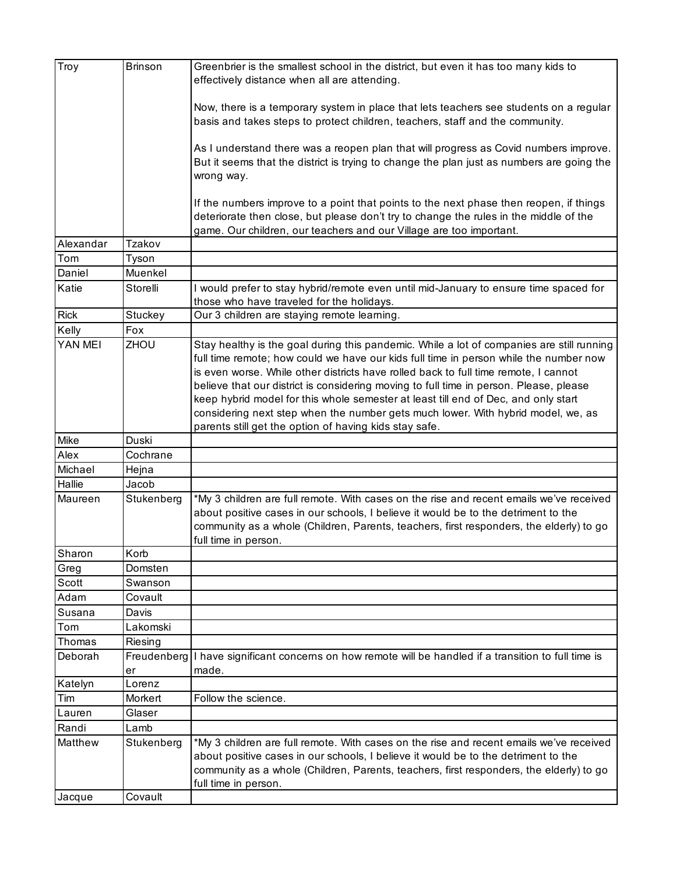| Troy              | <b>Brinson</b>        | Greenbrier is the smallest school in the district, but even it has too many kids to<br>effectively distance when all are attending.                                                                                                                                                                                                                                                                                                                                                                                                                                                                     |
|-------------------|-----------------------|---------------------------------------------------------------------------------------------------------------------------------------------------------------------------------------------------------------------------------------------------------------------------------------------------------------------------------------------------------------------------------------------------------------------------------------------------------------------------------------------------------------------------------------------------------------------------------------------------------|
|                   |                       | Now, there is a temporary system in place that lets teachers see students on a regular<br>basis and takes steps to protect children, teachers, staff and the community.                                                                                                                                                                                                                                                                                                                                                                                                                                 |
|                   |                       | As I understand there was a reopen plan that will progress as Covid numbers improve.<br>But it seems that the district is trying to change the plan just as numbers are going the<br>wrong way.                                                                                                                                                                                                                                                                                                                                                                                                         |
|                   |                       | If the numbers improve to a point that points to the next phase then reopen, if things<br>deteriorate then close, but please don't try to change the rules in the middle of the<br>game. Our children, our teachers and our Village are too important.                                                                                                                                                                                                                                                                                                                                                  |
| Alexandar         | Tzakov                |                                                                                                                                                                                                                                                                                                                                                                                                                                                                                                                                                                                                         |
| Tom               | Tyson                 |                                                                                                                                                                                                                                                                                                                                                                                                                                                                                                                                                                                                         |
| Daniel            | Muenkel               |                                                                                                                                                                                                                                                                                                                                                                                                                                                                                                                                                                                                         |
| Katie             | Storelli              | I would prefer to stay hybrid/remote even until mid-January to ensure time spaced for<br>those who have traveled for the holidays.                                                                                                                                                                                                                                                                                                                                                                                                                                                                      |
| <b>Rick</b>       | Stuckey               | Our 3 children are staying remote learning.                                                                                                                                                                                                                                                                                                                                                                                                                                                                                                                                                             |
| Kelly             | Fox                   |                                                                                                                                                                                                                                                                                                                                                                                                                                                                                                                                                                                                         |
| YAN MEI           | ZHOU                  | Stay healthy is the goal during this pandemic. While a lot of companies are still running<br>full time remote; how could we have our kids full time in person while the number now<br>is even worse. While other districts have rolled back to full time remote, I cannot<br>believe that our district is considering moving to full time in person. Please, please<br>keep hybrid model for this whole semester at least till end of Dec, and only start<br>considering next step when the number gets much lower. With hybrid model, we, as<br>parents still get the option of having kids stay safe. |
| Mike              | Duski                 |                                                                                                                                                                                                                                                                                                                                                                                                                                                                                                                                                                                                         |
| Alex              | Cochrane              |                                                                                                                                                                                                                                                                                                                                                                                                                                                                                                                                                                                                         |
| Michael           | Hejna                 |                                                                                                                                                                                                                                                                                                                                                                                                                                                                                                                                                                                                         |
| Hallie            | Jacob                 |                                                                                                                                                                                                                                                                                                                                                                                                                                                                                                                                                                                                         |
| Maureen           | Stukenberg            | *My 3 children are full remote. With cases on the rise and recent emails we've received<br>about positive cases in our schools, I believe it would be to the detriment to the                                                                                                                                                                                                                                                                                                                                                                                                                           |
|                   |                       | community as a whole (Children, Parents, teachers, first responders, the elderly) to go<br>full time in person.                                                                                                                                                                                                                                                                                                                                                                                                                                                                                         |
| Sharon            | Korb                  |                                                                                                                                                                                                                                                                                                                                                                                                                                                                                                                                                                                                         |
| Greg              | Domsten               |                                                                                                                                                                                                                                                                                                                                                                                                                                                                                                                                                                                                         |
| Scott             | Swanson               |                                                                                                                                                                                                                                                                                                                                                                                                                                                                                                                                                                                                         |
| Adam              | Covault               |                                                                                                                                                                                                                                                                                                                                                                                                                                                                                                                                                                                                         |
| Susana            | Davis                 |                                                                                                                                                                                                                                                                                                                                                                                                                                                                                                                                                                                                         |
| Tom               | Lakomski              |                                                                                                                                                                                                                                                                                                                                                                                                                                                                                                                                                                                                         |
| Thomas            | Riesing               |                                                                                                                                                                                                                                                                                                                                                                                                                                                                                                                                                                                                         |
| Deborah           | Freudenberg<br>er     | I have significant concerns on how remote will be handled if a transition to full time is<br>made.                                                                                                                                                                                                                                                                                                                                                                                                                                                                                                      |
| Katelyn           | Lorenz                |                                                                                                                                                                                                                                                                                                                                                                                                                                                                                                                                                                                                         |
| Tim               | Morkert               | Follow the science.                                                                                                                                                                                                                                                                                                                                                                                                                                                                                                                                                                                     |
| Lauren            | Glaser                |                                                                                                                                                                                                                                                                                                                                                                                                                                                                                                                                                                                                         |
| Randi             | Lamb                  |                                                                                                                                                                                                                                                                                                                                                                                                                                                                                                                                                                                                         |
| Matthew<br>Jacque | Stukenberg<br>Covault | *My 3 children are full remote. With cases on the rise and recent emails we've received<br>about positive cases in our schools, I believe it would be to the detriment to the<br>community as a whole (Children, Parents, teachers, first responders, the elderly) to go<br>full time in person.                                                                                                                                                                                                                                                                                                        |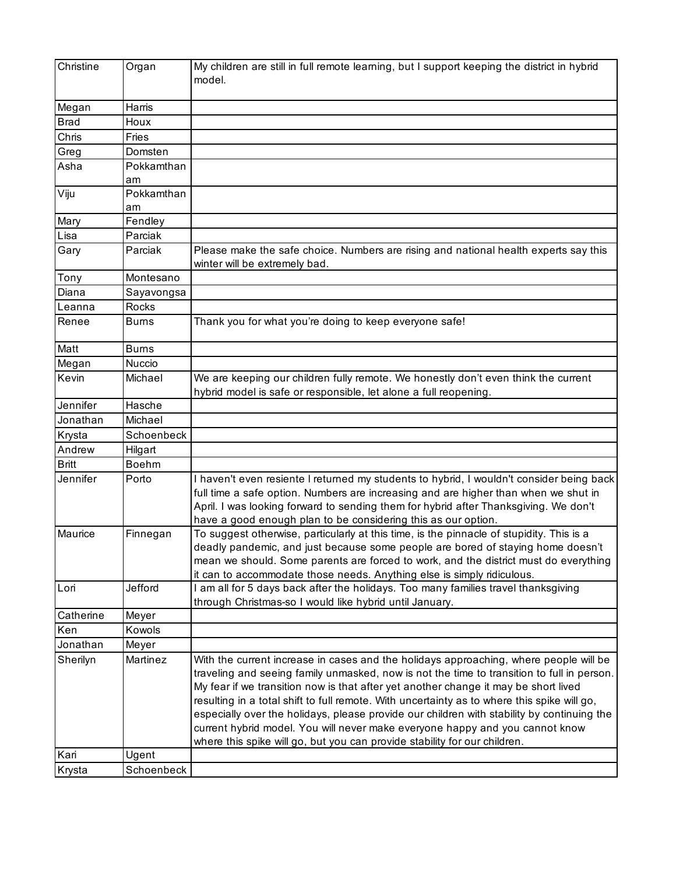| Christine    | Organ        | My children are still in full remote learning, but I support keeping the district in hybrid<br>model.                                                                                                                                                                                                                                                                                                                                                                                                                                                                                                                                |
|--------------|--------------|--------------------------------------------------------------------------------------------------------------------------------------------------------------------------------------------------------------------------------------------------------------------------------------------------------------------------------------------------------------------------------------------------------------------------------------------------------------------------------------------------------------------------------------------------------------------------------------------------------------------------------------|
| Megan        | Harris       |                                                                                                                                                                                                                                                                                                                                                                                                                                                                                                                                                                                                                                      |
| <b>Brad</b>  | Houx         |                                                                                                                                                                                                                                                                                                                                                                                                                                                                                                                                                                                                                                      |
| Chris        | Fries        |                                                                                                                                                                                                                                                                                                                                                                                                                                                                                                                                                                                                                                      |
| Greg         | Domsten      |                                                                                                                                                                                                                                                                                                                                                                                                                                                                                                                                                                                                                                      |
| Asha         | Pokkamthan   |                                                                                                                                                                                                                                                                                                                                                                                                                                                                                                                                                                                                                                      |
|              | am           |                                                                                                                                                                                                                                                                                                                                                                                                                                                                                                                                                                                                                                      |
| Viju         | Pokkamthan   |                                                                                                                                                                                                                                                                                                                                                                                                                                                                                                                                                                                                                                      |
|              | am           |                                                                                                                                                                                                                                                                                                                                                                                                                                                                                                                                                                                                                                      |
| Mary         | Fendley      |                                                                                                                                                                                                                                                                                                                                                                                                                                                                                                                                                                                                                                      |
| Lisa         | Parciak      |                                                                                                                                                                                                                                                                                                                                                                                                                                                                                                                                                                                                                                      |
| Gary         | Parciak      | Please make the safe choice. Numbers are rising and national health experts say this<br>winter will be extremely bad.                                                                                                                                                                                                                                                                                                                                                                                                                                                                                                                |
| Tony         | Montesano    |                                                                                                                                                                                                                                                                                                                                                                                                                                                                                                                                                                                                                                      |
| Diana        | Sayavongsa   |                                                                                                                                                                                                                                                                                                                                                                                                                                                                                                                                                                                                                                      |
| Leanna       | <b>Rocks</b> |                                                                                                                                                                                                                                                                                                                                                                                                                                                                                                                                                                                                                                      |
| Renee        | <b>Burns</b> | Thank you for what you're doing to keep everyone safe!                                                                                                                                                                                                                                                                                                                                                                                                                                                                                                                                                                               |
| Matt         | <b>Burns</b> |                                                                                                                                                                                                                                                                                                                                                                                                                                                                                                                                                                                                                                      |
| Megan        | Nuccio       |                                                                                                                                                                                                                                                                                                                                                                                                                                                                                                                                                                                                                                      |
| Kevin        | Michael      | We are keeping our children fully remote. We honestly don't even think the current<br>hybrid model is safe or responsible, let alone a full reopening.                                                                                                                                                                                                                                                                                                                                                                                                                                                                               |
| Jennifer     | Hasche       |                                                                                                                                                                                                                                                                                                                                                                                                                                                                                                                                                                                                                                      |
| Jonathan     | Michael      |                                                                                                                                                                                                                                                                                                                                                                                                                                                                                                                                                                                                                                      |
| Krysta       | Schoenbeck   |                                                                                                                                                                                                                                                                                                                                                                                                                                                                                                                                                                                                                                      |
| Andrew       | Hilgart      |                                                                                                                                                                                                                                                                                                                                                                                                                                                                                                                                                                                                                                      |
| <b>Britt</b> | <b>Boehm</b> |                                                                                                                                                                                                                                                                                                                                                                                                                                                                                                                                                                                                                                      |
| Jennifer     | Porto        | I haven't even resiente I returned my students to hybrid, I wouldn't consider being back                                                                                                                                                                                                                                                                                                                                                                                                                                                                                                                                             |
|              |              | full time a safe option. Numbers are increasing and are higher than when we shut in<br>April. I was looking forward to sending them for hybrid after Thanksgiving. We don't<br>have a good enough plan to be considering this as our option.                                                                                                                                                                                                                                                                                                                                                                                         |
| Maurice      | Finnegan     | To suggest otherwise, particularly at this time, is the pinnacle of stupidity. This is a                                                                                                                                                                                                                                                                                                                                                                                                                                                                                                                                             |
|              |              | deadly pandemic, and just because some people are bored of staying home doesn't<br>mean we should. Some parents are forced to work, and the district must do everything                                                                                                                                                                                                                                                                                                                                                                                                                                                              |
|              |              | it can to accommodate those needs. Anything else is simply ridiculous.                                                                                                                                                                                                                                                                                                                                                                                                                                                                                                                                                               |
| Lori         | Jefford      | I am all for 5 days back after the holidays. Too many families travel thanksgiving<br>through Christmas-so I would like hybrid until January.                                                                                                                                                                                                                                                                                                                                                                                                                                                                                        |
| Catherine    | Meyer        |                                                                                                                                                                                                                                                                                                                                                                                                                                                                                                                                                                                                                                      |
| Ken          | Kowols       |                                                                                                                                                                                                                                                                                                                                                                                                                                                                                                                                                                                                                                      |
| Jonathan     | Meyer        |                                                                                                                                                                                                                                                                                                                                                                                                                                                                                                                                                                                                                                      |
| Sherilyn     | Martinez     | With the current increase in cases and the holidays approaching, where people will be<br>traveling and seeing family unmasked, now is not the time to transition to full in person.<br>My fear if we transition now is that after yet another change it may be short lived<br>resulting in a total shift to full remote. With uncertainty as to where this spike will go,<br>especially over the holidays, please provide our children with stability by continuing the<br>current hybrid model. You will never make everyone happy and you cannot know<br>where this spike will go, but you can provide stability for our children. |
| Kari         | Ugent        |                                                                                                                                                                                                                                                                                                                                                                                                                                                                                                                                                                                                                                      |
| Krysta       | Schoenbeck   |                                                                                                                                                                                                                                                                                                                                                                                                                                                                                                                                                                                                                                      |